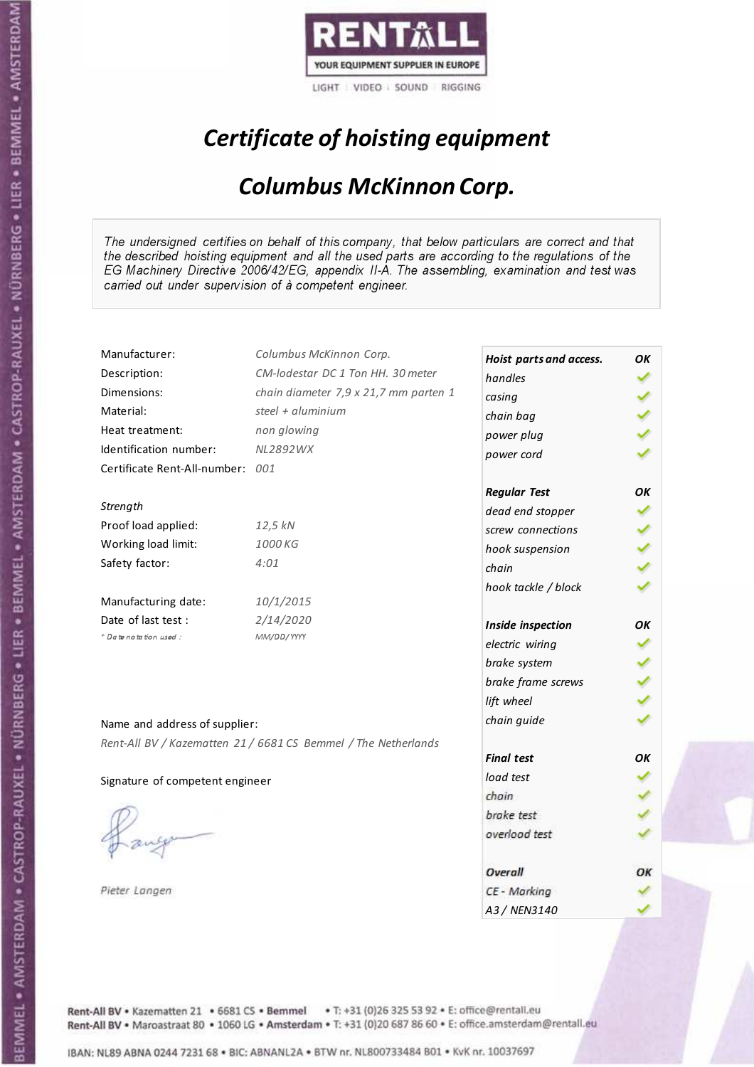

## Certificate of hoisting equipment

#### Columbus McKinnon Corp.

The undersigned certifies on behalf of this company, that below particulars are correct and that the described hoisting equipment and all the used parts are according to the regulations of the EG Machinery Directive 2006/42/EG, appendix II-A. The assembling, examination and test was carried out under supervision of à competent engineer.

| Manufacturer:                    | Columbus McKinnon Corp.                                        | Hoist parts and access. | OK |
|----------------------------------|----------------------------------------------------------------|-------------------------|----|
| Description:                     | CM-lodestar DC 1 Ton HH. 30 meter                              | handles                 |    |
| Dimensions:                      | chain diameter 7,9 x 21,7 mm parten 1                          | casing                  |    |
| Material:                        | steel + aluminium                                              | chain bag               |    |
| Heat treatment:                  | non glowing                                                    | power plug              |    |
| Identification number:           | NL2892WX                                                       | power cord              |    |
| Certificate Rent-All-number: 001 |                                                                |                         |    |
|                                  |                                                                | <b>Regular Test</b>     | OK |
| Strength                         |                                                                | dead end stopper        |    |
| Proof load applied:              | 12,5 kN                                                        | screw connections       |    |
| Working load limit:              | 1000 KG                                                        | hook suspension         |    |
| Safety factor:                   | 4:01                                                           | chain                   |    |
|                                  |                                                                | hook tackle / block     |    |
| Manufacturing date:              | 10/1/2015                                                      |                         |    |
| Date of last test:               | 2/14/2020                                                      | Inside inspection       | OK |
| + Date notation used:            | MM/DD/YYYY                                                     | electric wiring         |    |
|                                  |                                                                | brake system            |    |
|                                  |                                                                | brake frame screws      |    |
|                                  |                                                                | lift wheel              |    |
| Name and address of supplier:    |                                                                | chain guide             |    |
|                                  | Rent-All BV / Kazematten 21 / 6681 CS Bemmel / The Netherlands |                         |    |
|                                  |                                                                | <b>Final test</b>       | OΚ |
| Signature of competent engineer  |                                                                | load test               |    |
|                                  |                                                                | chain                   |    |
|                                  |                                                                | brake test              |    |
|                                  |                                                                | overload test           |    |
|                                  |                                                                |                         |    |
|                                  |                                                                | Overall                 | ОΚ |
| Pieter Langen                    |                                                                | CE - Marking            |    |
|                                  |                                                                | A3 / NEN3140            |    |

Rent-All BV . Kazematten 21 . 6681 CS . Bemmel . T: +31 (0)26 325 53 92 . E: office@rentall.eu Rent-All BV · Maroastraat 80 · 1060 LG · Amsterdam · T: +31 (0)20 687 86 60 · E: office.amsterdam@rentall.eu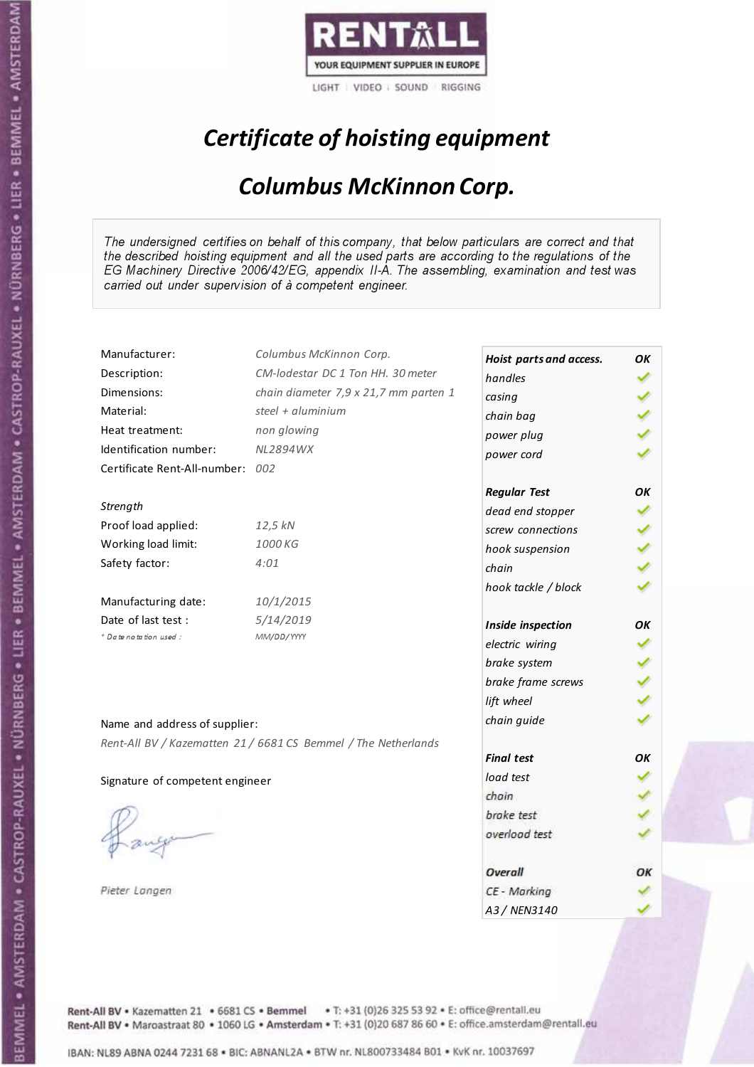

## Certificate of hoisting equipment

#### Columbus McKinnon Corp.

The undersigned certifies on behalf of this company, that below particulars are correct and that the described hoisting equipment and all the used parts are according to the regulations of the EG Machinery Directive 2006/42/EG, appendix II-A. The assembling, examination and test was carried out under supervision of à competent engineer.

| Manufacturer:                    | Columbus McKinnon Corp.                                        | Hoist parts and access. | ΟK |
|----------------------------------|----------------------------------------------------------------|-------------------------|----|
| Description:                     | CM-lodestar DC 1 Ton HH. 30 meter                              | handles                 |    |
| Dimensions:                      | chain diameter 7,9 x 21,7 mm parten 1                          | casing                  |    |
| Material:                        | steel + aluminium                                              | chain bag               |    |
| Heat treatment:                  | non glowing                                                    | power plug              |    |
| Identification number:           | NL2894WX                                                       | power cord              |    |
| Certificate Rent-All-number: 002 |                                                                |                         |    |
|                                  |                                                                | <b>Regular Test</b>     | ΟK |
| Strength                         |                                                                | dead end stopper        |    |
| Proof load applied:              | 12,5 kN                                                        | screw connections       |    |
| Working load limit:              | 1000 KG                                                        | hook suspension         |    |
| Safety factor:                   | 4:01                                                           | chain                   |    |
|                                  |                                                                | hook tackle / block     |    |
| Manufacturing date:              | 10/1/2015                                                      |                         |    |
| Date of last test :              | 5/14/2019                                                      | Inside inspection       | OΚ |
| + Date notation used:            | MM/DD/YYYY                                                     | electric wiring         |    |
|                                  |                                                                | brake system            |    |
|                                  |                                                                | brake frame screws      |    |
|                                  |                                                                | lift wheel              |    |
| Name and address of supplier:    |                                                                | chain guide             |    |
|                                  | Rent-All BV / Kazematten 21 / 6681 CS Bemmel / The Netherlands |                         |    |
|                                  |                                                                | <b>Final test</b>       | OK |
| Signature of competent engineer  |                                                                | load test               |    |
|                                  |                                                                | chain                   |    |
|                                  |                                                                | brake test              |    |
|                                  |                                                                | overload test           |    |
|                                  |                                                                |                         |    |
|                                  |                                                                | Overall                 | ОΚ |
| Pieter Langen                    |                                                                | CE - Marking            |    |
|                                  |                                                                | A3 / NEN3140            |    |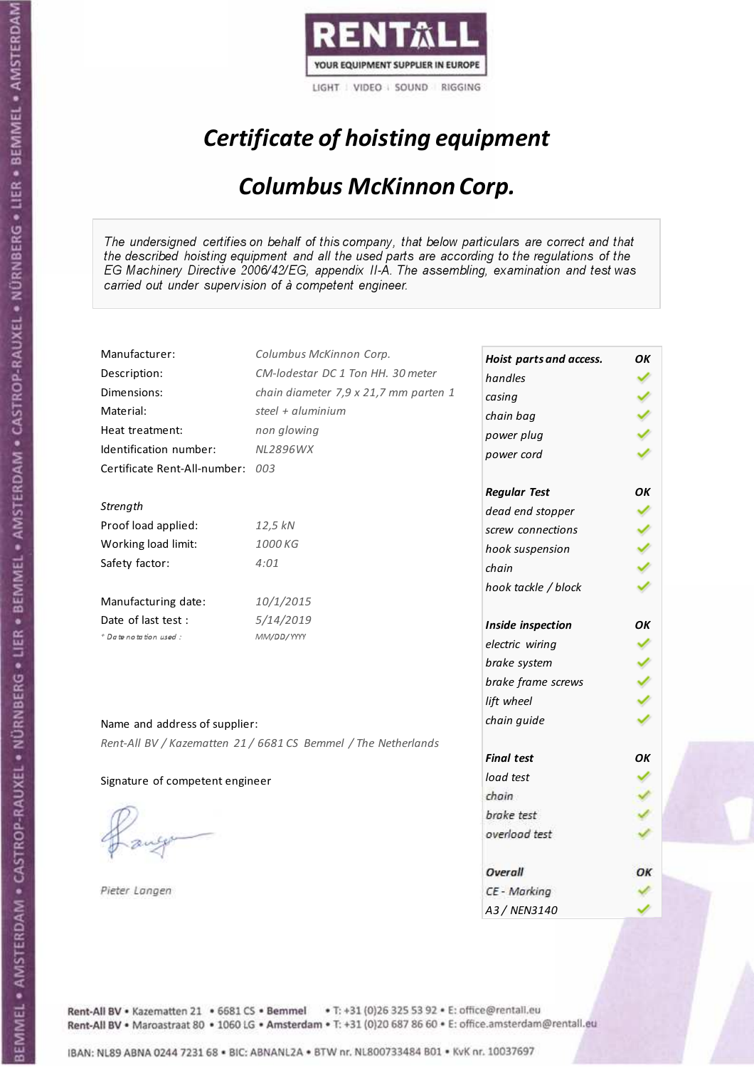

## Certificate of hoisting equipment

#### Columbus McKinnon Corp.

The undersigned certifies on behalf of this company, that below particulars are correct and that the described hoisting equipment and all the used parts are according to the regulations of the EG Machinery Directive 2006/42/EG, appendix II-A. The assembling, examination and test was carried out under supervision of à competent engineer.

| Manufacturer:                    | Columbus McKinnon Corp.                                        | Hoist parts and access. | OK |
|----------------------------------|----------------------------------------------------------------|-------------------------|----|
| Description:                     | CM-lodestar DC 1 Ton HH. 30 meter                              | handles                 |    |
| Dimensions:                      | chain diameter 7,9 x 21,7 mm parten 1                          | casing                  |    |
| Material:                        | steel + $\alpha$ luminium                                      | chain bag               |    |
| Heat treatment:                  | non glowing                                                    | power plug              |    |
| Identification number:           | <b>NL2896WX</b>                                                | power cord              |    |
| Certificate Rent-All-number: 003 |                                                                |                         |    |
|                                  |                                                                | <b>Regular Test</b>     | ΟK |
| Strength                         |                                                                | dead end stopper        |    |
| Proof load applied:              | 12,5 kN                                                        | screw connections       |    |
| Working load limit:              | 1000 KG                                                        | hook suspension         |    |
| Safety factor:                   | 4:01                                                           | chain                   |    |
|                                  |                                                                | hook tackle / block     |    |
| Manufacturing date:              | 10/1/2015                                                      |                         |    |
| Date of last test :              | 5/14/2019                                                      | Inside inspection       | ОΚ |
| + Date notation used:            | MM/DD/YYYY                                                     | electric wiring         |    |
|                                  |                                                                | brake system            |    |
|                                  |                                                                | brake frame screws      |    |
|                                  |                                                                | lift wheel              |    |
| Name and address of supplier:    |                                                                | chain guide             |    |
|                                  |                                                                |                         |    |
|                                  | Rent-All BV / Kazematten 21 / 6681 CS Bemmel / The Netherlands | <b>Final test</b>       | OK |
| Signature of competent engineer  |                                                                | load test               |    |
|                                  |                                                                | chain                   |    |
|                                  |                                                                | brake test              |    |
|                                  |                                                                | overload test           |    |
|                                  |                                                                |                         |    |
|                                  |                                                                | Overall                 | OК |
| Pieter Langen                    |                                                                | CE - Marking            |    |
|                                  |                                                                | A3 / NEN3140            |    |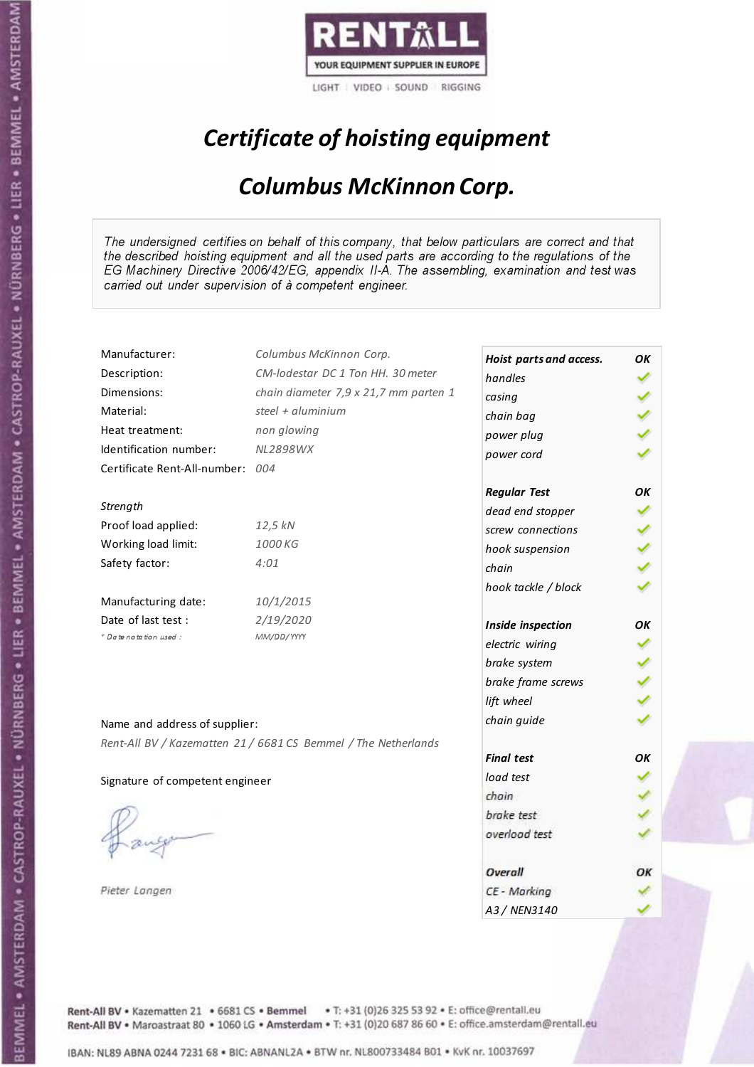

## Certificate of hoisting equipment

#### Columbus McKinnon Corp.

The undersigned certifies on behalf of this company, that below particulars are correct and that the described hoisting equipment and all the used parts are according to the regulations of the EG Machinery Directive 2006/42/EG, appendix II-A. The assembling, examination and test was carried out under supervision of à competent engineer.

| Manufacturer:                   | Columbus McKinnon Corp.                                        | Hoist parts and access. | OK |
|---------------------------------|----------------------------------------------------------------|-------------------------|----|
| Description:                    | CM-lodestar DC 1 Ton HH. 30 meter                              | handles                 |    |
| Dimensions:                     | chain diameter 7,9 x 21,7 mm parten 1                          | casing                  |    |
| Material:                       | steel + aluminium                                              | chain bag               |    |
| Heat treatment:                 | non glowing                                                    | power plug              |    |
| Identification number:          | <b>NL2898WX</b>                                                | power cord              |    |
| Certificate Rent-All-number:    | 004                                                            |                         |    |
|                                 |                                                                | <b>Regular Test</b>     | OK |
| Strength                        |                                                                | dead end stopper        |    |
| Proof load applied:             | 12,5 kN                                                        | screw connections       |    |
| Working load limit:             | 1000 KG                                                        | hook suspension         |    |
| Safety factor:                  | 4:01                                                           | chain                   |    |
|                                 |                                                                | hook tackle / block     |    |
| Manufacturing date:             | 10/1/2015                                                      |                         |    |
| Date of last test :             | 2/19/2020                                                      | Inside inspection       | OK |
| + Date notation used:           | MM/DD/YYYY                                                     | electric wiring         |    |
|                                 |                                                                | brake system            |    |
|                                 |                                                                | brake frame screws      |    |
|                                 |                                                                | lift wheel              |    |
| Name and address of supplier:   |                                                                | chain guide             |    |
|                                 | Rent-All BV / Kazematten 21 / 6681 CS Bemmel / The Netherlands |                         |    |
|                                 |                                                                | <b>Final test</b>       | OK |
| Signature of competent engineer |                                                                | load test               |    |
|                                 |                                                                | chain                   |    |
|                                 |                                                                | brake test              |    |
|                                 |                                                                | overload test           |    |
|                                 |                                                                |                         |    |
|                                 |                                                                | Overall                 | ОΚ |
| Pieter Langen                   |                                                                | CE - Marking            |    |
|                                 |                                                                | A3 / NEN3140            |    |

Rent-All BV . Kazematten 21 . 6681 CS . Bemmel . T: +31 (0)26 325 53 92 . E: office@rentall.eu Rent-All BV · Maroastraat 80 · 1060 LG · Amsterdam · T: +31 (0)20 687 86 60 · E: office.amsterdam@rentall.eu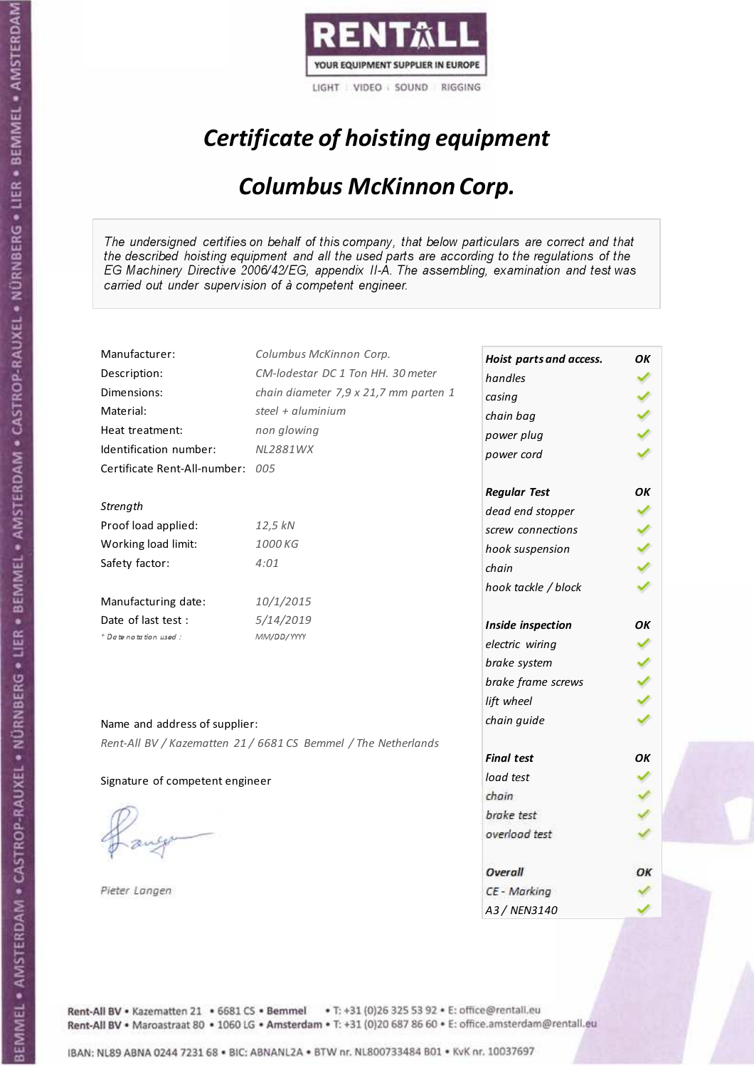

## Certificate of hoisting equipment

#### Columbus McKinnon Corp.

The undersigned certifies on behalf of this company, that below particulars are correct and that the described hoisting equipment and all the used parts are according to the regulations of the EG Machinery Directive 2006/42/EG, appendix II-A. The assembling, examination and test was carried out under supervision of à competent engineer.

| Manufacturer:                    | Columbus McKinnon Corp.                                        | Hoist parts and access. | OK |
|----------------------------------|----------------------------------------------------------------|-------------------------|----|
| Description:                     | CM-lodestar DC 1 Ton HH. 30 meter                              | handles                 |    |
| Dimensions:                      | chain diameter 7,9 x 21,7 mm parten 1                          | casing                  |    |
| Material:                        | steel + $\alpha$ luminium                                      | chain bag               |    |
| Heat treatment:                  | non glowing                                                    | power plug              |    |
| Identification number:           | NL2881WX                                                       | power cord              |    |
| Certificate Rent-All-number: 005 |                                                                |                         |    |
|                                  |                                                                | <b>Regular Test</b>     | ΟK |
| Strength                         |                                                                | dead end stopper        |    |
| Proof load applied:              | 12,5 kN                                                        | screw connections       |    |
| Working load limit:              | 1000 KG                                                        | hook suspension         |    |
| Safety factor:                   | 4:01                                                           | chain                   |    |
|                                  |                                                                | hook tackle / block     |    |
| Manufacturing date:              | 10/1/2015                                                      |                         |    |
| Date of last test :              | 5/14/2019                                                      | Inside inspection       | ОΚ |
| + Date notation used:            | MM/DD/YYYY                                                     | electric wiring         |    |
|                                  |                                                                | brake system            |    |
|                                  |                                                                | brake frame screws      |    |
|                                  |                                                                | lift wheel              |    |
| Name and address of supplier:    |                                                                | chain guide             |    |
|                                  | Rent-All BV / Kazematten 21 / 6681 CS Bemmel / The Netherlands |                         |    |
|                                  |                                                                | <b>Final test</b>       | OK |
| Signature of competent engineer  |                                                                | load test               |    |
|                                  |                                                                | chain                   |    |
|                                  |                                                                | brake test              |    |
|                                  |                                                                | overload test           |    |
|                                  |                                                                |                         |    |
|                                  |                                                                | Overall                 | OК |
| Pieter Langen                    |                                                                | CE - Marking            |    |
|                                  |                                                                | A3 / NEN3140            |    |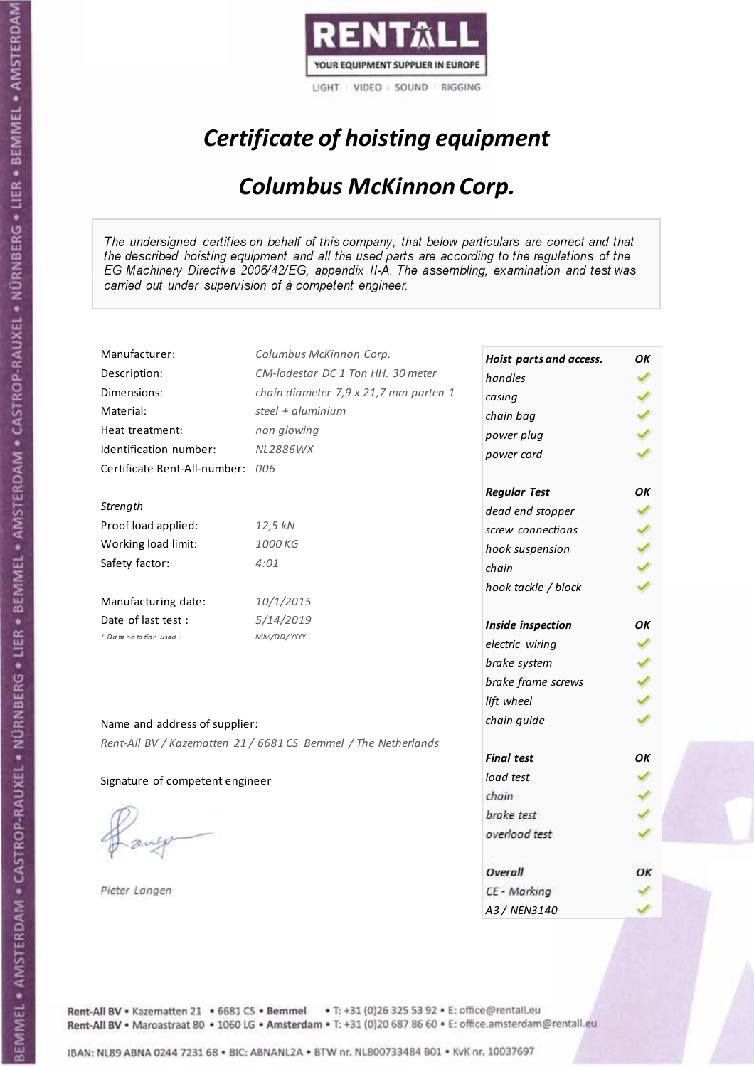

## Certificate of hoisting equipment

#### Columbus McKinnon Corp.

The undersigned certifies on behalf of this company, that below particulars are correct and that the described hoisting equipment and all the used parts are according to the regulations of the EG Machinery Directive 2006/42/EG, appendix II-A. The assembling, examination and test was carried out under supervision of à competent engineer.

| Manufacturer:                    | Columbus McKinnon Corp.                                        | Hoist parts and access. | OK |
|----------------------------------|----------------------------------------------------------------|-------------------------|----|
| Description:                     | CM-lodestar DC 1 Ton HH. 30 meter                              | handles                 |    |
| Dimensions:                      | chain diameter 7,9 x 21,7 mm parten 1                          | casing                  |    |
| Material:                        | steel + $\alpha$ luminium                                      | chain bag               |    |
| Heat treatment:                  | non glowing                                                    | power plug              |    |
| Identification number:           | <b>NL2886WX</b>                                                | power cord              |    |
| Certificate Rent-All-number: 006 |                                                                |                         |    |
|                                  |                                                                | <b>Regular Test</b>     | ΟK |
| Strength                         |                                                                | dead end stopper        |    |
| Proof load applied:              | 12,5 kN                                                        | screw connections       |    |
| Working load limit:              | 1000 KG                                                        | hook suspension         |    |
| Safety factor:                   | 4:01                                                           | chain                   |    |
|                                  |                                                                | hook tackle / block     |    |
| Manufacturing date:              | 10/1/2015                                                      |                         |    |
| Date of last test :              | 5/14/2019                                                      | Inside inspection       | ОΚ |
| + Date notation used:            | MM/DD/YYYY                                                     | electric wiring         |    |
|                                  |                                                                | brake system            |    |
|                                  |                                                                | brake frame screws      |    |
|                                  |                                                                | lift wheel              |    |
| Name and address of supplier:    |                                                                | chain guide             |    |
|                                  | Rent-All BV / Kazematten 21 / 6681 CS Bemmel / The Netherlands |                         |    |
|                                  |                                                                | <b>Final test</b>       | OK |
| Signature of competent engineer  |                                                                | load test               |    |
|                                  |                                                                | chain                   |    |
|                                  |                                                                | brake test              |    |
|                                  |                                                                | overload test           |    |
|                                  |                                                                |                         |    |
|                                  |                                                                | Overall                 | OК |
| Pieter Langen                    |                                                                | CE - Marking            |    |
|                                  |                                                                | A3 / NEN3140            |    |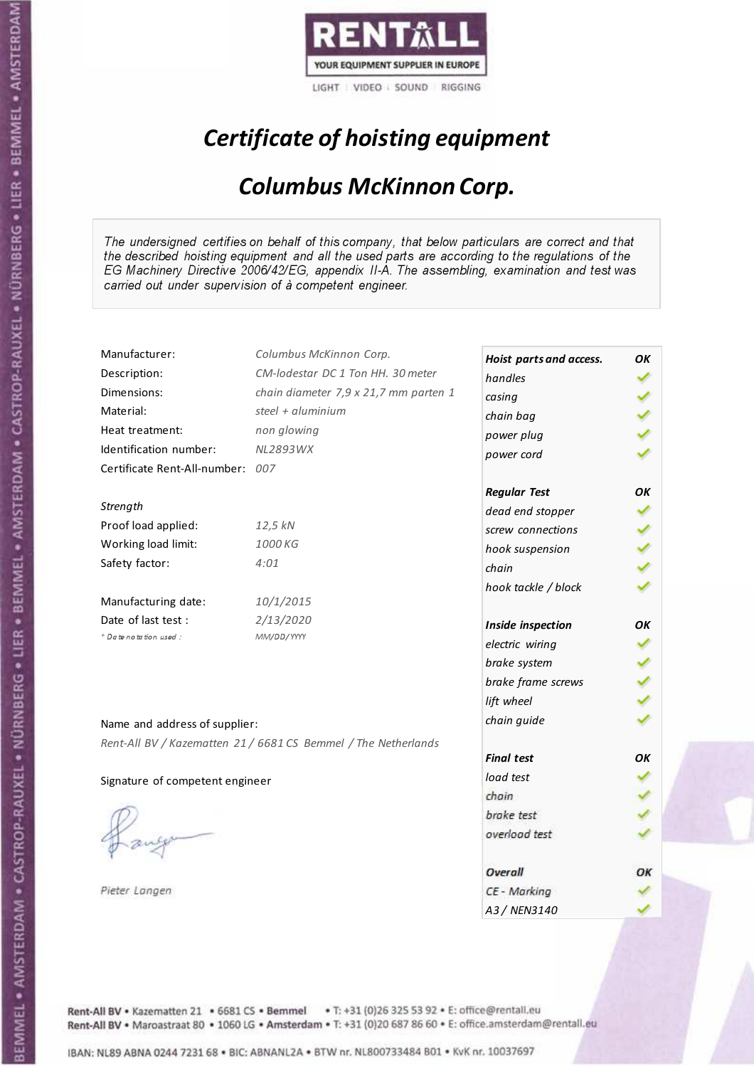

## Certificate of hoisting equipment

#### Columbus McKinnon Corp.

The undersigned certifies on behalf of this company, that below particulars are correct and that the described hoisting equipment and all the used parts are according to the regulations of the EG Machinery Directive 2006/42/EG, appendix II-A. The assembling, examination and test was carried out under supervision of à competent engineer.

| Manufacturer:                    | Columbus McKinnon Corp.                                        | Hoist parts and access. | OK |
|----------------------------------|----------------------------------------------------------------|-------------------------|----|
| Description:                     | CM-lodestar DC 1 Ton HH. 30 meter                              | handles                 |    |
| Dimensions:                      | chain diameter 7,9 x 21,7 mm parten 1                          | casing                  |    |
| Material:                        | steel + aluminium                                              | chain bag               |    |
| Heat treatment:                  | non glowing                                                    | power plug              |    |
| Identification number:           | <b>NL2893WX</b>                                                | power cord              |    |
| Certificate Rent-All-number: 007 |                                                                |                         |    |
|                                  |                                                                | <b>Regular Test</b>     | OK |
| Strength                         |                                                                | dead end stopper        |    |
| Proof load applied:              | 12,5 kN                                                        | screw connections       |    |
| Working load limit:              | 1000 KG                                                        | hook suspension         |    |
| Safety factor:                   | 4:01                                                           | chain                   |    |
|                                  |                                                                | hook tackle / block     |    |
| Manufacturing date:              | 10/1/2015                                                      |                         |    |
| Date of last test :              | 2/13/2020                                                      | Inside inspection       | OK |
| + Date notation used:            | MM/DD/YYYY                                                     | electric wiring         |    |
|                                  |                                                                | brake system            |    |
|                                  |                                                                | brake frame screws      |    |
|                                  |                                                                | lift wheel              |    |
| Name and address of supplier:    |                                                                | chain guide             |    |
|                                  | Rent-All BV / Kazematten 21 / 6681 CS Bemmel / The Netherlands |                         |    |
|                                  |                                                                | <b>Final test</b>       | OK |
| Signature of competent engineer  |                                                                | load test               |    |
|                                  |                                                                | chain                   |    |
|                                  |                                                                | brake test              |    |
|                                  |                                                                | overload test           |    |
|                                  |                                                                |                         |    |
|                                  |                                                                | Overall                 | ОΚ |
| Pieter Langen                    |                                                                | CE - Marking            |    |
|                                  |                                                                | A3 / NEN3140            |    |

Rent-All BV . Kazematten 21 . 6681 CS . Bemmel . T: +31 (0)26 325 53 92 . E: office@rentall.eu Rent-All BV · Maroastraat 80 · 1060 LG · Amsterdam · T: +31 (0)20 687 86 60 · E: office.amsterdam@rentall.eu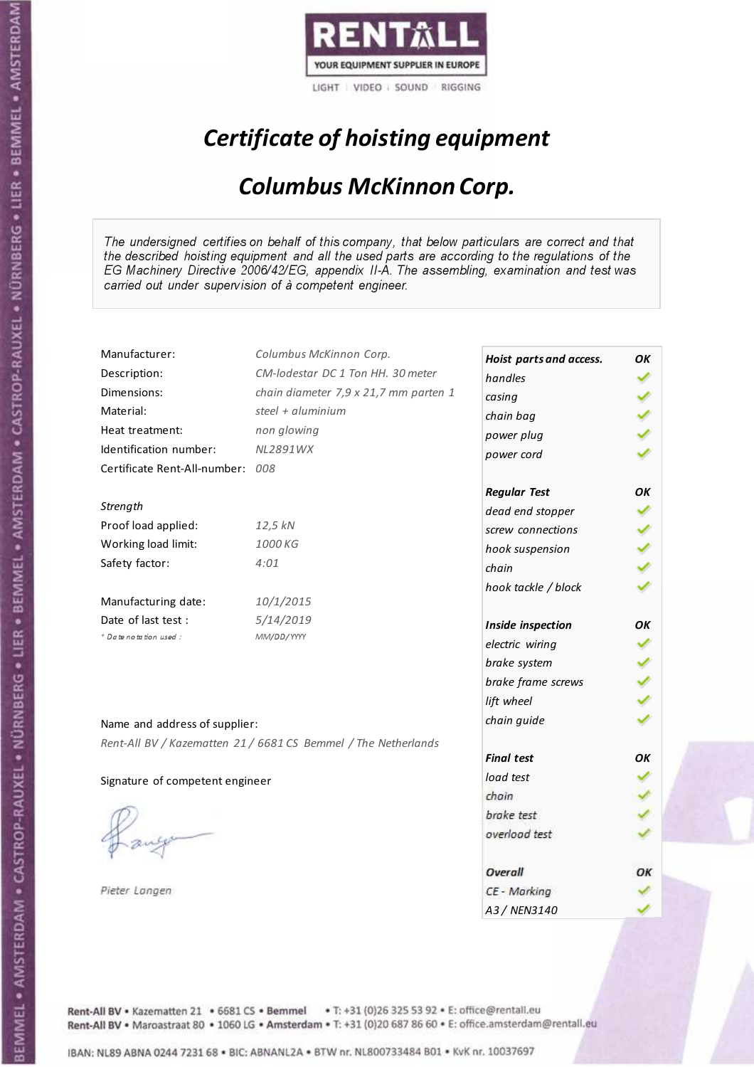

## Certificate of hoisting equipment

#### Columbus McKinnon Corp.

The undersigned certifies on behalf of this company, that below particulars are correct and that the described hoisting equipment and all the used parts are according to the regulations of the EG Machinery Directive 2006/42/EG, appendix II-A. The assembling, examination and test was carried out under supervision of à competent engineer.

| Manufacturer:                   | Columbus McKinnon Corp.                                        | Hoist parts and access. | OK |
|---------------------------------|----------------------------------------------------------------|-------------------------|----|
| Description:                    | CM-lodestar DC 1 Ton HH. 30 meter                              | handles                 |    |
| Dimensions:                     | chain diameter 7,9 x 21,7 mm parten 1                          | casing                  |    |
| Material:                       | steel + $\alpha$ luminium                                      | chain bag               |    |
| Heat treatment:                 | non glowing                                                    | power plug              |    |
| Identification number:          | NL2891WX                                                       | power cord              |    |
| Certificate Rent-All-number:    | 008                                                            |                         |    |
|                                 |                                                                | <b>Regular Test</b>     | ΟK |
| Strength                        |                                                                | dead end stopper        |    |
| Proof load applied:             | 12,5 kN                                                        | screw connections       |    |
| Working load limit:             | 1000 KG                                                        | hook suspension         |    |
| Safety factor:                  | 4:01                                                           | chain                   |    |
|                                 |                                                                | hook tackle / block     |    |
| Manufacturing date:             | 10/1/2015                                                      |                         |    |
| Date of last test :             | 5/14/2019                                                      | Inside inspection       | ОΚ |
| + Date notation used:           | MM/DD/YYYY                                                     | electric wiring         |    |
|                                 |                                                                | brake system            |    |
|                                 |                                                                | brake frame screws      |    |
|                                 |                                                                | lift wheel              |    |
| Name and address of supplier:   |                                                                | chain guide             |    |
|                                 |                                                                |                         |    |
|                                 | Rent-All BV / Kazematten 21 / 6681 CS Bemmel / The Netherlands | <b>Final test</b>       | OK |
| Signature of competent engineer |                                                                | load test               |    |
|                                 |                                                                | chain                   |    |
|                                 |                                                                | brake test              |    |
|                                 |                                                                | overload test           |    |
|                                 |                                                                |                         |    |
|                                 |                                                                | Overall                 | OК |
| Pieter Langen                   |                                                                | CE - Marking            |    |
|                                 |                                                                | A3 / NEN3140            |    |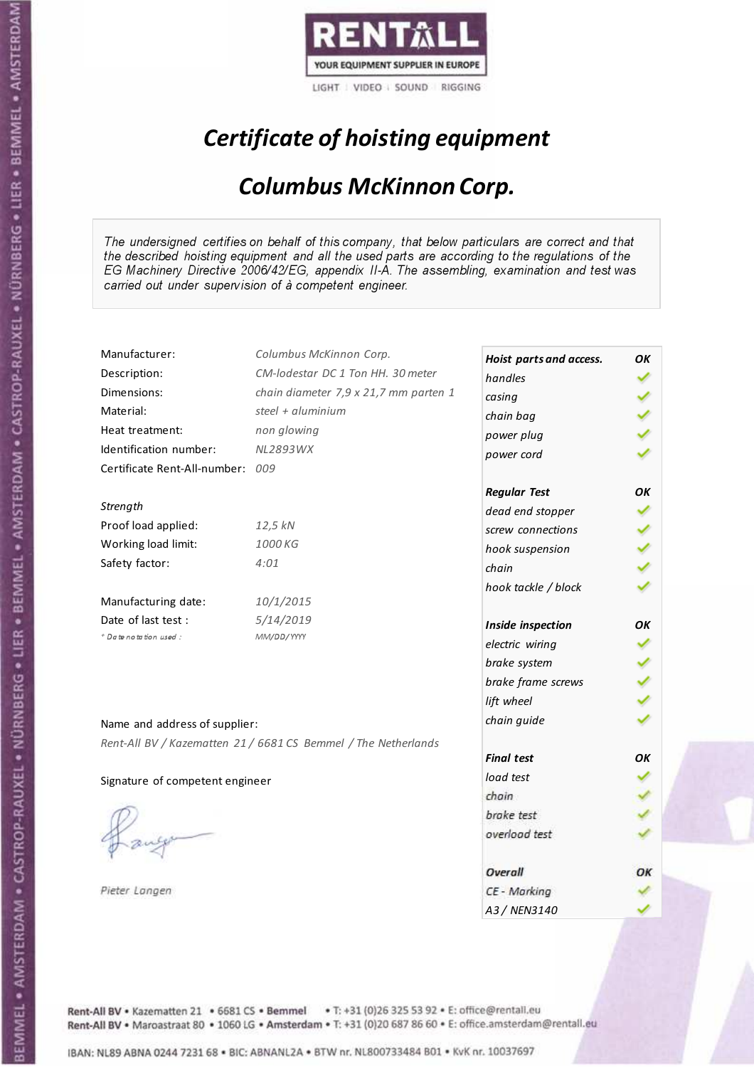

## Certificate of hoisting equipment

#### Columbus McKinnon Corp.

The undersigned certifies on behalf of this company, that below particulars are correct and that the described hoisting equipment and all the used parts are according to the regulations of the EG Machinery Directive 2006/42/EG, appendix II-A. The assembling, examination and test was carried out under supervision of à competent engineer.

| Manufacturer:                   | Columbus McKinnon Corp.                                        | Hoist parts and access. | OK |
|---------------------------------|----------------------------------------------------------------|-------------------------|----|
| Description:                    | CM-lodestar DC 1 Ton HH. 30 meter                              | handles                 |    |
| Dimensions:                     | chain diameter 7,9 x 21,7 mm parten 1                          | casing                  |    |
| Material:                       | steel + $\alpha$ luminium                                      | chain bag               |    |
| Heat treatment:                 | non glowing                                                    | power plug              |    |
| Identification number:          | NL2893WX                                                       | power cord              |    |
| Certificate Rent-All-number:    | 009                                                            |                         |    |
|                                 |                                                                | <b>Regular Test</b>     | ΟK |
| Strength                        |                                                                | dead end stopper        |    |
| Proof load applied:             | 12,5 kN                                                        | screw connections       |    |
| Working load limit:             | 1000 KG                                                        | hook suspension         |    |
| Safety factor:                  | 4:01                                                           | chain                   |    |
|                                 |                                                                | hook tackle / block     |    |
| Manufacturing date:             | 10/1/2015                                                      |                         |    |
| Date of last test :             | 5/14/2019                                                      | Inside inspection       | ОΚ |
| + Date notation used:           | MM/DD/YYYY                                                     | electric wiring         |    |
|                                 |                                                                | brake system            |    |
|                                 |                                                                | brake frame screws      |    |
|                                 |                                                                | lift wheel              |    |
| Name and address of supplier:   |                                                                | chain guide             |    |
|                                 |                                                                |                         |    |
|                                 | Rent-All BV / Kazematten 21 / 6681 CS Bemmel / The Netherlands | <b>Final test</b>       | OK |
| Signature of competent engineer |                                                                | load test               |    |
|                                 |                                                                | chain                   |    |
|                                 |                                                                | brake test              |    |
|                                 |                                                                | overload test           |    |
|                                 |                                                                |                         |    |
|                                 |                                                                | Overall                 | OК |
| Pieter Langen                   |                                                                | CE - Marking            |    |
|                                 |                                                                | A3 / NEN3140            |    |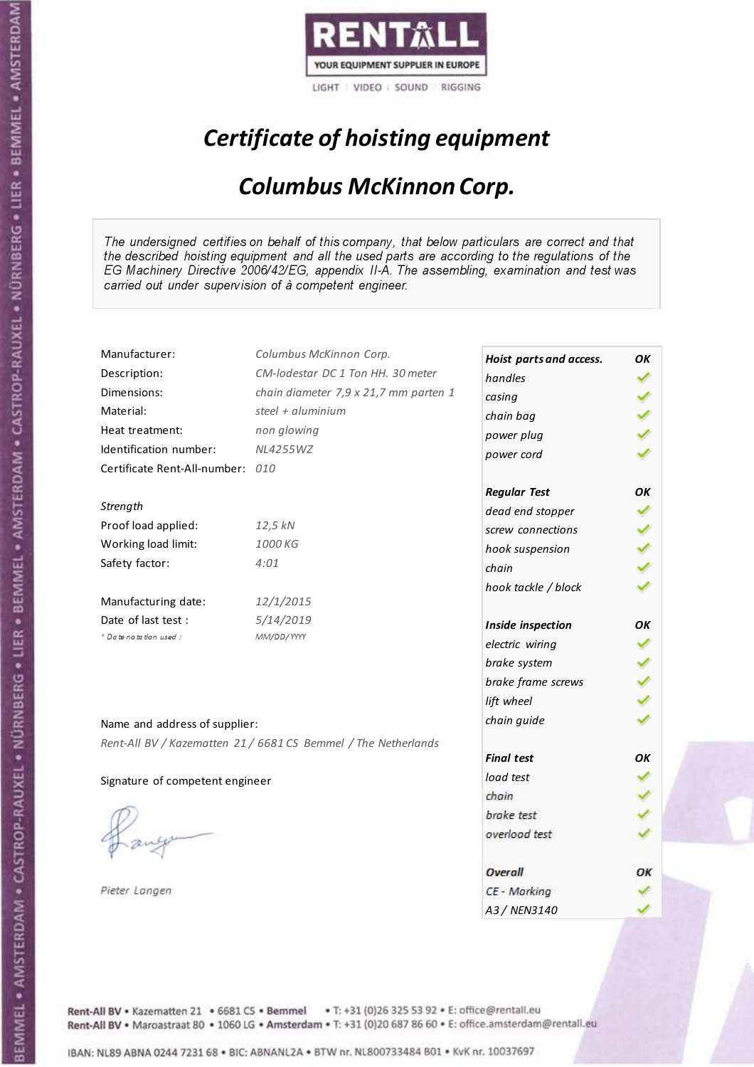

## Certificate of hoisting equipment

#### Columbus McKinnon Corp.

The undersigned certifies on behalf of this company, that below particulars are correct and that the described hoisting equipment and all the used parts are according to the regulations of the EG Machinery Directive 2006/42/EG, appendix II-A. The assembling, examination and test was carried out under supervision of à competent engineer.

| Manufacturer:                    | Columbus McKinnon Corp.                                        | Hoist parts and access. | OK  |
|----------------------------------|----------------------------------------------------------------|-------------------------|-----|
| Description:                     | CM-lodestar DC 1 Ton HH. 30 meter                              | handles                 |     |
| Dimensions:                      | chain diameter 7,9 x 21,7 mm parten 1                          | casing                  |     |
| Material:                        | steel + aluminium                                              | chain bag               |     |
| Heat treatment:                  | non glowing                                                    | power plug              |     |
| Identification number:           | <b>NL4255WZ</b>                                                | power cord              |     |
| Certificate Rent-All-number: 010 |                                                                |                         |     |
|                                  |                                                                | <b>Regular Test</b>     | OK  |
| Strength                         |                                                                | dead end stopper        |     |
| Proof load applied:              | 12,5 kN                                                        | screw connections       |     |
| Working load limit:              | 1000 KG                                                        | hook suspension         | くりょ |
| Safety factor:                   | 4:01                                                           | chain                   |     |
|                                  |                                                                | hook tackle / block     |     |
| Manufacturing date:              | 12/1/2015                                                      |                         |     |
| Date of last test :              | 5/14/2019                                                      | Inside inspection       | OK  |
| + Date notation used:            | MM/DD/YYYY                                                     | electric wiring         |     |
|                                  |                                                                | brake system            |     |
|                                  |                                                                | brake frame screws      |     |
|                                  |                                                                | lift wheel              |     |
| Name and address of supplier:    |                                                                | chain guide             |     |
|                                  | Rent-All BV / Kazematten 21 / 6681 CS Bemmel / The Netherlands |                         |     |
|                                  |                                                                | <b>Final test</b>       | OК  |
| Signature of competent engineer  |                                                                | load test               |     |
|                                  |                                                                | chain                   |     |
|                                  |                                                                | brake test              |     |
|                                  |                                                                | overload test           |     |
|                                  |                                                                |                         |     |
|                                  |                                                                | Overall                 | ОΚ  |
| Pieter Langen                    |                                                                | CE - Marking            |     |
|                                  |                                                                | A3 / NEN3140            |     |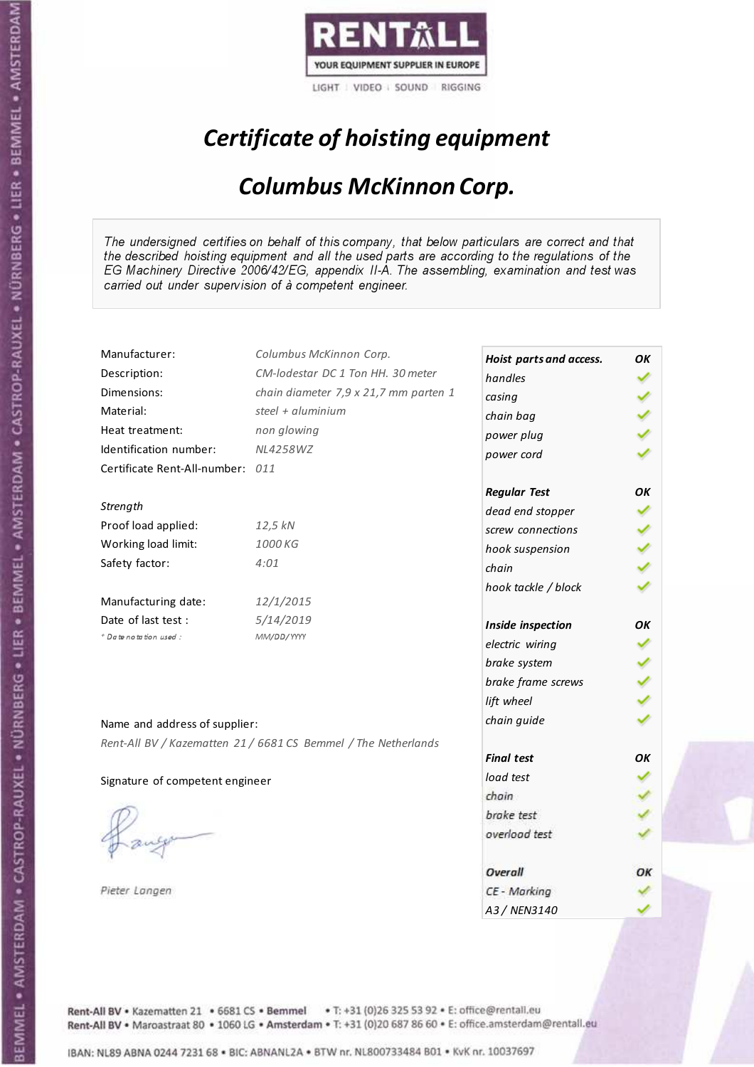

## Certificate of hoisting equipment

#### Columbus McKinnon Corp.

The undersigned certifies on behalf of this company, that below particulars are correct and that the described hoisting equipment and all the used parts are according to the regulations of the EG Machinery Directive 2006/42/EG, appendix II-A. The assembling, examination and test was carried out under supervision of à competent engineer.

| Manufacturer:                    | Columbus McKinnon Corp.                                        | Hoist parts and access. | ΟK |
|----------------------------------|----------------------------------------------------------------|-------------------------|----|
| Description:                     | CM-lodestar DC 1 Ton HH. 30 meter                              | handles                 |    |
| Dimensions:                      | chain diameter 7,9 x 21,7 mm parten 1                          | casing                  |    |
| Material:                        | steel + $aluminim$                                             | chain bag               |    |
| Heat treatment:                  | non glowing                                                    | power plug              |    |
| Identification number:           | <b>NL4258WZ</b>                                                | power cord              |    |
| Certificate Rent-All-number: 011 |                                                                |                         |    |
|                                  |                                                                | <b>Regular Test</b>     | ΟK |
| Strength                         |                                                                | dead end stopper        |    |
| Proof load applied:              | 12,5 kN                                                        | screw connections       |    |
| Working load limit:              | 1000 KG                                                        | hook suspension         |    |
| Safety factor:                   | 4:01                                                           | chain                   |    |
|                                  |                                                                | hook tackle / block     |    |
| Manufacturing date:              | 12/1/2015                                                      |                         |    |
| Date of last test :              | 5/14/2019                                                      | Inside inspection       | ОΚ |
| + Date notation used:            | MM/DD/YYYY                                                     | electric wiring         |    |
|                                  |                                                                | brake system            |    |
|                                  |                                                                | brake frame screws      |    |
|                                  |                                                                | lift wheel              |    |
| Name and address of supplier:    |                                                                | chain guide             |    |
|                                  | Rent-All BV / Kazematten 21 / 6681 CS Bemmel / The Netherlands |                         |    |
|                                  |                                                                | <b>Final test</b>       | OК |
| Signature of competent engineer  |                                                                | load test               |    |
|                                  |                                                                | chain                   |    |
|                                  |                                                                | brake test              |    |
|                                  |                                                                | overload test           |    |
|                                  |                                                                |                         |    |
|                                  |                                                                | Overall                 | ОК |
| Pieter Langen                    |                                                                | CE - Marking            |    |
|                                  |                                                                | A3 / NEN3140            |    |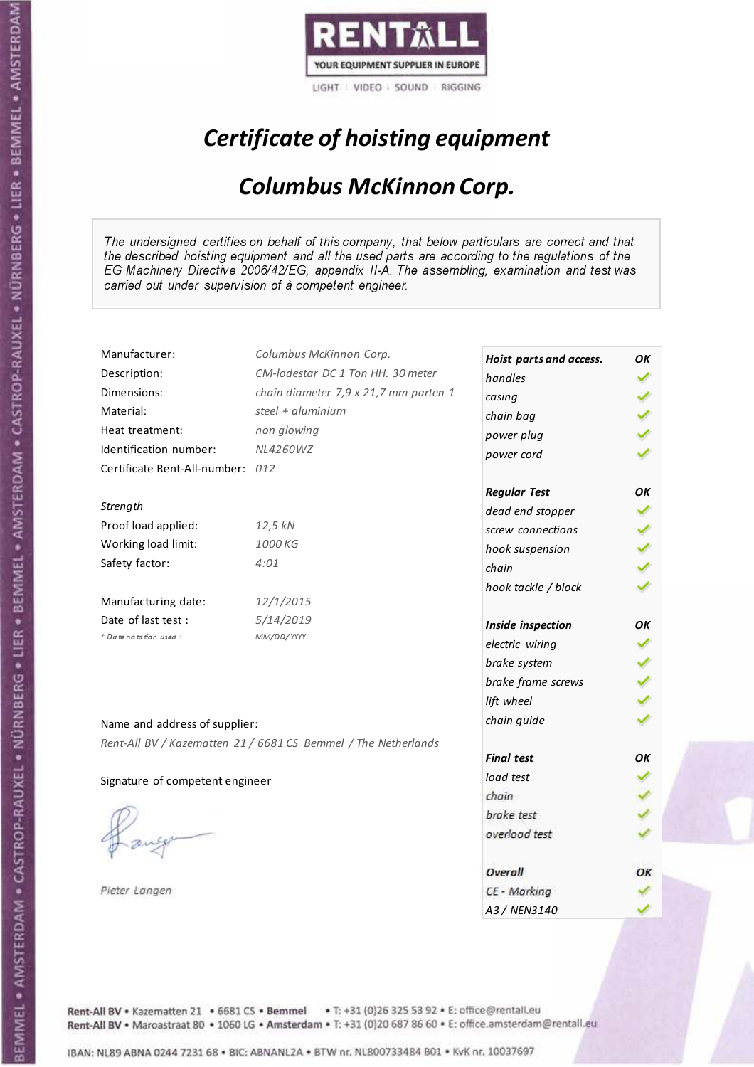

## Certificate of hoisting equipment

#### Columbus McKinnon Corp.

The undersigned certifies on behalf of this company, that below particulars are correct and that the described hoisting equipment and all the used parts are according to the regulations of the EG Machinery Directive 2006/42/EG, appendix II-A. The assembling, examination and test was carried out under supervision of à competent engineer.

| Manufacturer:                    | Columbus McKinnon Corp.                                        | Hoist parts and access. | ΟK |
|----------------------------------|----------------------------------------------------------------|-------------------------|----|
| Description:                     | CM-lodestar DC 1 Ton HH. 30 meter                              | handles                 |    |
| Dimensions:                      | chain diameter 7,9 x 21,7 mm parten 1                          | casing                  |    |
| Material:                        | steel + $aluminim$                                             | chain bag               |    |
| Heat treatment:                  | non glowing                                                    | power plug              |    |
| Identification number:           | NL4260WZ                                                       | power cord              |    |
| Certificate Rent-All-number: 012 |                                                                |                         |    |
|                                  |                                                                | <b>Regular Test</b>     | ОΚ |
| Strength                         |                                                                | dead end stopper        |    |
| Proof load applied:              | 12,5 kN                                                        | screw connections       |    |
| Working load limit:              | 1000 KG                                                        | hook suspension         |    |
| Safety factor:                   | 4:01                                                           | chain                   |    |
|                                  |                                                                | hook tackle / block     |    |
| Manufacturing date:              | 12/1/2015                                                      |                         |    |
| Date of last test :              | 5/14/2019                                                      | Inside inspection       | ОΚ |
| + Date notation used:            | MM/DD/YYYY                                                     | electric wiring         |    |
|                                  |                                                                | brake system            |    |
|                                  |                                                                | brake frame screws      |    |
|                                  |                                                                | lift wheel              |    |
|                                  |                                                                | chain guide             |    |
| Name and address of supplier:    |                                                                |                         |    |
|                                  | Rent-All BV / Kazematten 21 / 6681 CS Bemmel / The Netherlands | <b>Final test</b>       | OК |
| Signature of competent engineer  |                                                                | load test               |    |
|                                  |                                                                | chain                   |    |
|                                  |                                                                | brake test              |    |
|                                  |                                                                | overload test           |    |
|                                  |                                                                |                         |    |
|                                  |                                                                | Overall                 | ОК |
| Pieter Langen                    |                                                                | CE - Marking            |    |
|                                  |                                                                | A3 / NEN3140            |    |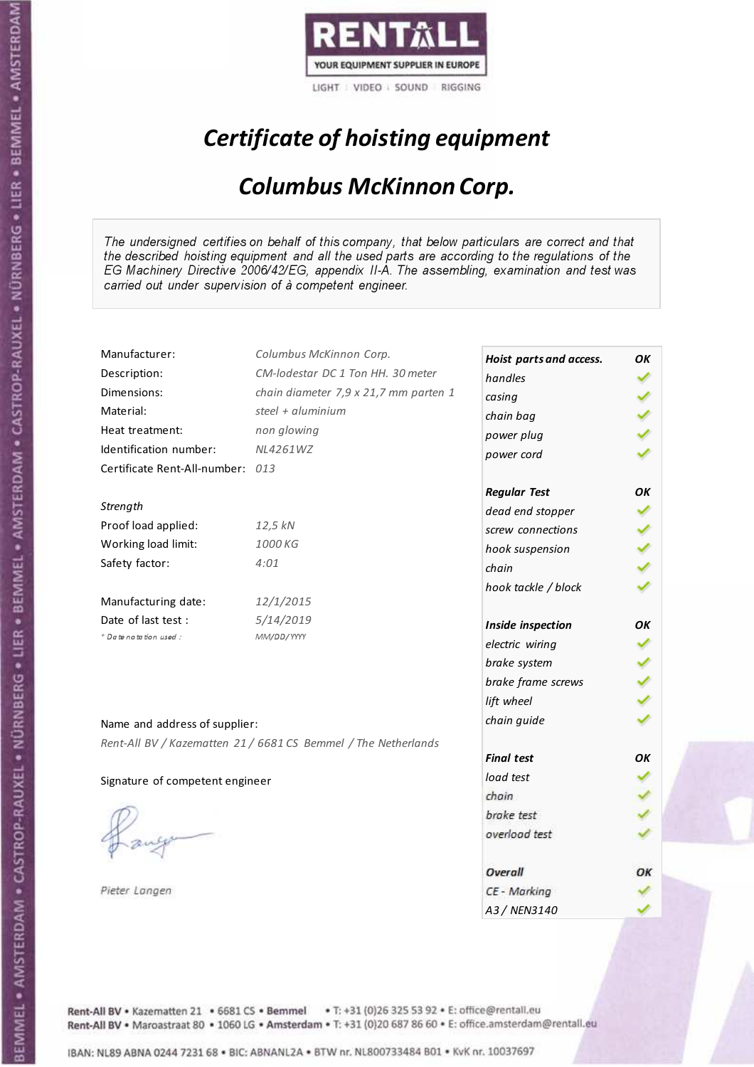

## Certificate of hoisting equipment

#### Columbus McKinnon Corp.

The undersigned certifies on behalf of this company, that below particulars are correct and that the described hoisting equipment and all the used parts are according to the regulations of the EG Machinery Directive 2006/42/EG, appendix II-A. The assembling, examination and test was carried out under supervision of à competent engineer.

| Manufacturer:                    | Columbus McKinnon Corp.                                        | Hoist parts and access. | ΟK |
|----------------------------------|----------------------------------------------------------------|-------------------------|----|
| Description:                     | CM-lodestar DC 1 Ton HH. 30 meter                              | handles                 |    |
| Dimensions:                      | chain diameter 7,9 x 21,7 mm parten 1                          | casing                  |    |
| Material:                        | steel + $aluminim$                                             | chain bag               |    |
| Heat treatment:                  | non glowing                                                    | power plug              |    |
| Identification number:           | NL4261WZ                                                       | power cord              |    |
| Certificate Rent-All-number: 013 |                                                                |                         |    |
|                                  |                                                                | <b>Regular Test</b>     | ΟK |
| Strength                         |                                                                | dead end stopper        |    |
| Proof load applied:              | 12,5 kN                                                        | screw connections       |    |
| Working load limit:              | 1000 KG                                                        | hook suspension         |    |
| Safety factor:                   | 4:01                                                           | chain                   |    |
|                                  |                                                                | hook tackle / block     |    |
| Manufacturing date:              | 12/1/2015                                                      |                         |    |
| Date of last test :              | 5/14/2019                                                      | Inside inspection       | ОΚ |
| + Date notation used:            | MM/DD/YYYY                                                     | electric wiring         |    |
|                                  |                                                                | brake system            |    |
|                                  |                                                                | brake frame screws      |    |
|                                  |                                                                | lift wheel              |    |
| Name and address of supplier:    |                                                                | chain guide             |    |
|                                  | Rent-All BV / Kazematten 21 / 6681 CS Bemmel / The Netherlands |                         |    |
|                                  |                                                                | <b>Final test</b>       | OК |
| Signature of competent engineer  |                                                                | load test               |    |
|                                  |                                                                | chain                   |    |
|                                  |                                                                | brake test              |    |
|                                  |                                                                | overload test           |    |
|                                  |                                                                |                         |    |
|                                  |                                                                | Overall                 | ОК |
| Pieter Langen                    |                                                                | CE - Marking            |    |
|                                  |                                                                | A3 / NEN3140            |    |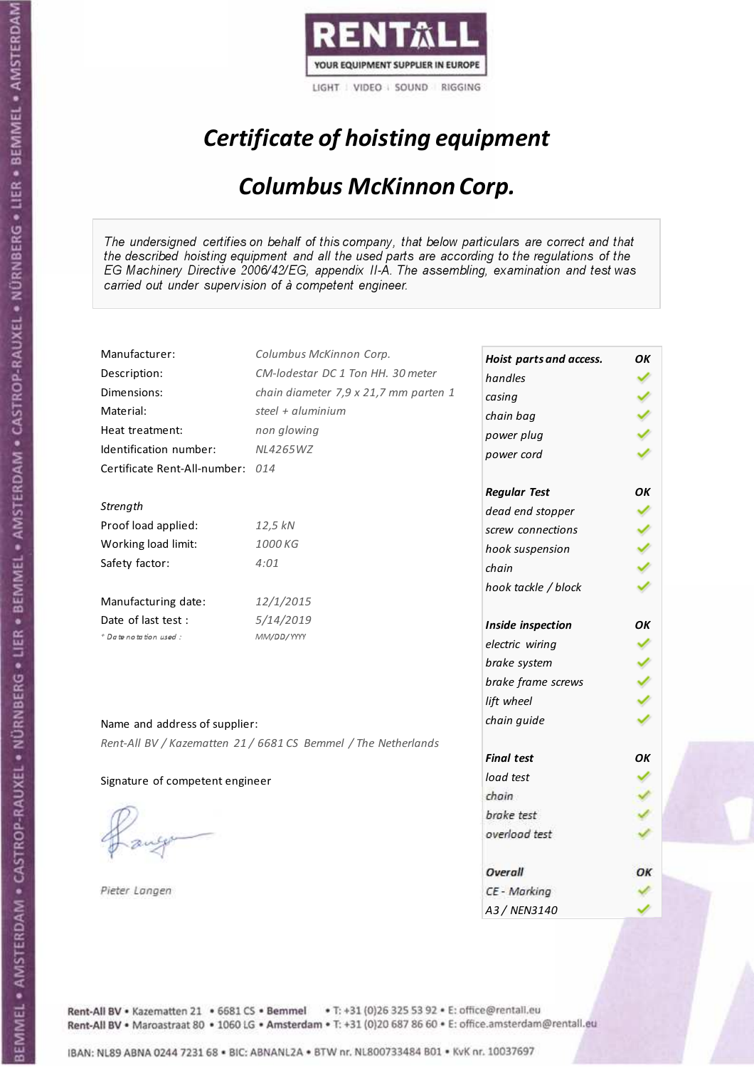

## Certificate of hoisting equipment

#### Columbus McKinnon Corp.

The undersigned certifies on behalf of this company, that below particulars are correct and that the described hoisting equipment and all the used parts are according to the regulations of the EG Machinery Directive 2006/42/EG, appendix II-A. The assembling, examination and test was carried out under supervision of à competent engineer.

| Manufacturer:                    | Columbus McKinnon Corp.                                        | Hoist parts and access. | ΟK |
|----------------------------------|----------------------------------------------------------------|-------------------------|----|
| Description:                     | CM-lodestar DC 1 Ton HH. 30 meter                              | handles                 |    |
| Dimensions:                      | chain diameter 7,9 x 21,7 mm parten 1                          | casing                  |    |
| Material:                        | steel + $aluminim$                                             | chain bag               |    |
| Heat treatment:                  | non glowing                                                    | power plug              |    |
| Identification number:           | NL4265WZ                                                       | power cord              |    |
| Certificate Rent-All-number: 014 |                                                                |                         |    |
|                                  |                                                                | <b>Regular Test</b>     | ОΚ |
| Strength                         |                                                                | dead end stopper        |    |
| Proof load applied:              | 12,5 kN                                                        | screw connections       |    |
| Working load limit:              | 1000 KG                                                        | hook suspension         |    |
| Safety factor:                   | 4:01                                                           | chain                   |    |
|                                  |                                                                | hook tackle / block     |    |
| Manufacturing date:              | 12/1/2015                                                      |                         |    |
| Date of last test :              | 5/14/2019                                                      | Inside inspection       | ОΚ |
| + Date notation used:            | MM/DD/YYYY                                                     | electric wiring         |    |
|                                  |                                                                | brake system            |    |
|                                  |                                                                | brake frame screws      |    |
|                                  |                                                                | lift wheel              |    |
| Name and address of supplier:    |                                                                | chain guide             |    |
|                                  | Rent-All BV / Kazematten 21 / 6681 CS Bemmel / The Netherlands |                         |    |
|                                  |                                                                | <b>Final test</b>       | OК |
| Signature of competent engineer  |                                                                | load test               |    |
|                                  |                                                                | chain                   |    |
|                                  |                                                                | brake test              |    |
|                                  |                                                                | overload test           |    |
|                                  |                                                                |                         |    |
|                                  |                                                                | Overall                 | ОК |
| Pieter Langen                    |                                                                | CE - Marking            |    |
|                                  |                                                                | A3 / NEN3140            |    |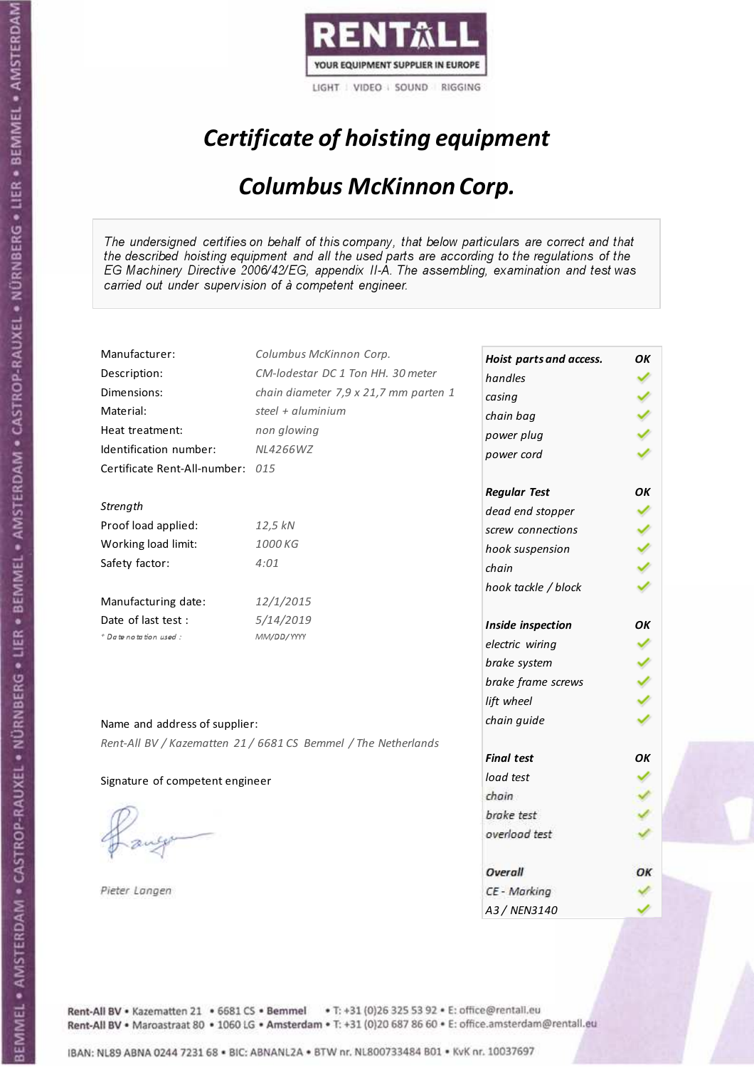

## Certificate of hoisting equipment

#### Columbus McKinnon Corp.

The undersigned certifies on behalf of this company, that below particulars are correct and that the described hoisting equipment and all the used parts are according to the regulations of the EG Machinery Directive 2006/42/EG, appendix II-A. The assembling, examination and test was carried out under supervision of à competent engineer.

| Manufacturer:                    | Columbus McKinnon Corp.                                        | Hoist parts and access. | OK |
|----------------------------------|----------------------------------------------------------------|-------------------------|----|
| Description:                     | CM-lodestar DC 1 Ton HH. 30 meter                              | handles                 |    |
| Dimensions:                      | chain diameter 7,9 x 21,7 mm parten 1                          | casing                  |    |
| Material:                        | steel + aluminium                                              | chain bag               |    |
| Heat treatment:                  | non glowing                                                    | power plug              |    |
| Identification number:           | NL4266WZ                                                       | power cord              |    |
| Certificate Rent-All-number: 015 |                                                                |                         |    |
|                                  |                                                                | <b>Regular Test</b>     | OK |
| Strength                         |                                                                | dead end stopper        |    |
| Proof load applied:              | 12,5 kN                                                        | screw connections       |    |
| Working load limit:              | 1000 KG                                                        | hook suspension         |    |
| Safety factor:                   | 4:01                                                           | chain                   |    |
|                                  |                                                                | hook tackle / block     |    |
| Manufacturing date:              | 12/1/2015                                                      |                         |    |
| Date of last test:               | 5/14/2019                                                      | Inside inspection       | OK |
| + Date notation used:            | MM/DD/YYYY                                                     | electric wiring         |    |
|                                  |                                                                | brake system            |    |
|                                  |                                                                | brake frame screws      |    |
|                                  |                                                                | lift wheel              |    |
| Name and address of supplier:    |                                                                | chain guide             |    |
|                                  | Rent-All BV / Kazematten 21 / 6681 CS Bemmel / The Netherlands |                         |    |
|                                  |                                                                | <b>Final test</b>       | OΚ |
| Signature of competent engineer  |                                                                | load test               |    |
|                                  |                                                                | chain                   |    |
|                                  |                                                                | brake test              |    |
|                                  |                                                                | overload test           |    |
|                                  |                                                                |                         |    |
|                                  |                                                                | Overall                 | ОΚ |
| Pieter Langen                    |                                                                | CE - Marking            |    |
|                                  |                                                                | A3 / NEN3140            |    |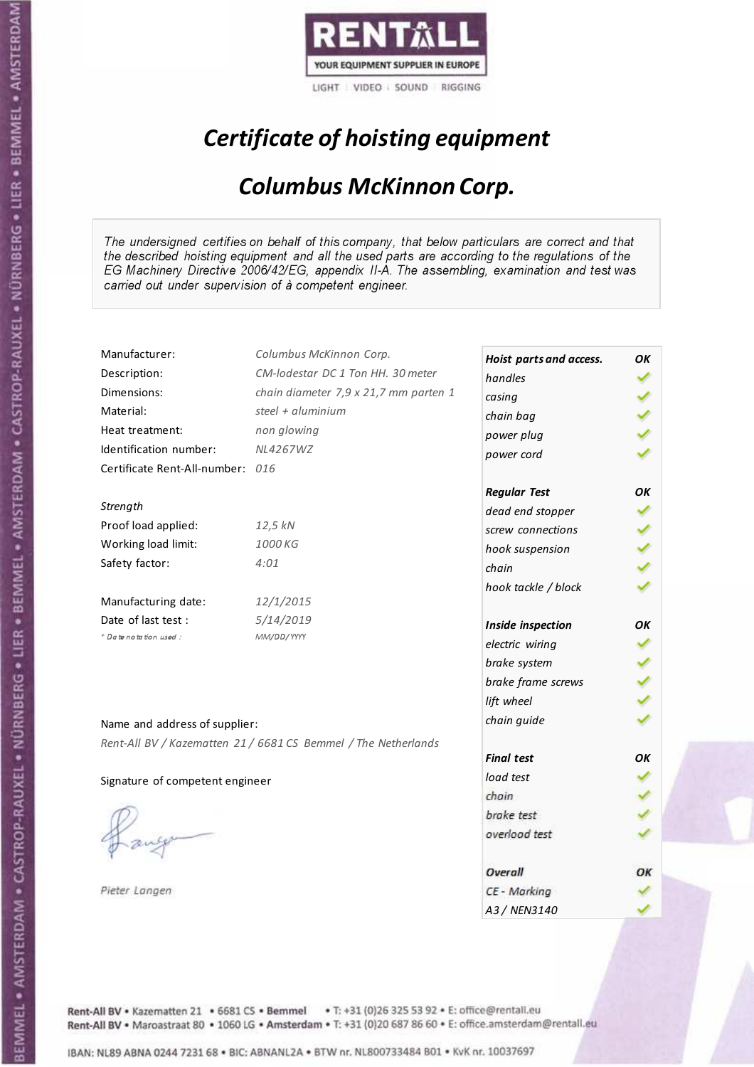

## Certificate of hoisting equipment

#### Columbus McKinnon Corp.

The undersigned certifies on behalf of this company, that below particulars are correct and that the described hoisting equipment and all the used parts are according to the regulations of the EG Machinery Directive 2006/42/EG, appendix II-A. The assembling, examination and test was carried out under supervision of à competent engineer.

| Manufacturer:                    | Columbus McKinnon Corp.                                        | Hoist parts and access. | OK |
|----------------------------------|----------------------------------------------------------------|-------------------------|----|
| Description:                     | CM-lodestar DC 1 Ton HH. 30 meter                              | handles                 |    |
| Dimensions:                      | chain diameter 7,9 x 21,7 mm parten 1                          | casing                  |    |
| Material:                        | steel + aluminium                                              | chain bag               |    |
| Heat treatment:                  | non glowing                                                    | power plug              |    |
| Identification number:           | <b>NL4267WZ</b>                                                | power cord              |    |
| Certificate Rent-All-number: 016 |                                                                |                         |    |
|                                  |                                                                | <b>Regular Test</b>     | OK |
| Strength                         |                                                                | dead end stopper        |    |
| Proof load applied:              | 12,5 kN                                                        | screw connections       |    |
| Working load limit:              | 1000 KG                                                        | hook suspension         |    |
| Safety factor:                   | 4:01                                                           | chain                   |    |
|                                  |                                                                | hook tackle / block     |    |
| Manufacturing date:              | 12/1/2015                                                      |                         |    |
| Date of last test :              | 5/14/2019                                                      | Inside inspection       | OK |
| + Date notation used:            | MM/DD/YYYY                                                     | electric wiring         |    |
|                                  |                                                                | brake system            |    |
|                                  |                                                                | brake frame screws      |    |
|                                  |                                                                | lift wheel              |    |
| Name and address of supplier:    |                                                                | chain guide             |    |
|                                  | Rent-All BV / Kazematten 21 / 6681 CS Bemmel / The Netherlands |                         |    |
|                                  |                                                                | <b>Final test</b>       | OK |
| Signature of competent engineer  |                                                                | load test               |    |
|                                  |                                                                | chain                   |    |
|                                  |                                                                | brake test              |    |
|                                  |                                                                | overload test           |    |
|                                  |                                                                |                         |    |
|                                  |                                                                | Overall                 | ОΚ |
| Pieter Langen                    |                                                                | CE - Marking            |    |
|                                  |                                                                | A3 / NEN3140            |    |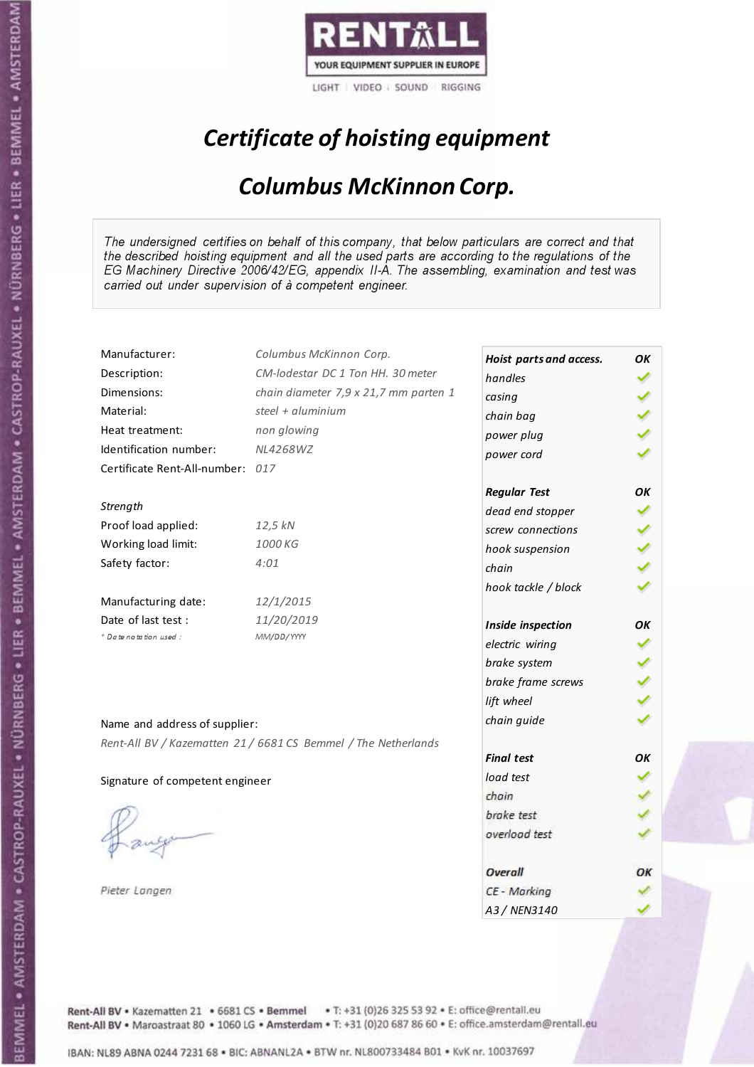

## Certificate of hoisting equipment

#### Columbus McKinnon Corp.

The undersigned certifies on behalf of this company, that below particulars are correct and that the described hoisting equipment and all the used parts are according to the regulations of the EG Machinery Directive 2006/42/EG, appendix II-A. The assembling, examination and test was carried out under supervision of à competent engineer.

| Manufacturer:                    | Columbus McKinnon Corp.                                        | Hoist parts and access. | ΟK  |
|----------------------------------|----------------------------------------------------------------|-------------------------|-----|
| Description:                     | CM-lodestar DC 1 Ton HH. 30 meter                              | handles                 |     |
| Dimensions:                      | chain diameter 7,9 x 21,7 mm parten 1                          | casing                  |     |
| Material:                        | steel + aluminium                                              | chain bag               |     |
| Heat treatment:                  | non glowing                                                    | power plug              |     |
| Identification number:           | NL4268WZ                                                       | power cord              |     |
| Certificate Rent-All-number: 017 |                                                                |                         |     |
|                                  |                                                                | <b>Regular Test</b>     | ОΚ  |
| Strength                         |                                                                | dead end stopper        |     |
| Proof load applied:              | 12,5 kN                                                        | screw connections       |     |
| Working load limit:              | 1000 KG                                                        | hook suspension         | くりょ |
| Safety factor:                   | 4:01                                                           | chain                   |     |
|                                  |                                                                | hook tackle / block     |     |
| Manufacturing date:              | 12/1/2015                                                      |                         |     |
| Date of last test :              | 11/20/2019                                                     | Inside inspection       | ОΚ  |
| + Date notation used:            | MM/DD/YYYY                                                     | electric wiring         |     |
|                                  |                                                                | brake system            |     |
|                                  |                                                                | brake frame screws      |     |
|                                  |                                                                | lift wheel              |     |
| Name and address of supplier:    |                                                                | chain guide             |     |
|                                  | Rent-All BV / Kazematten 21 / 6681 CS Bemmel / The Netherlands |                         |     |
|                                  |                                                                | <b>Final test</b>       | OK  |
| Signature of competent engineer  |                                                                | load test               |     |
|                                  |                                                                | chain                   |     |
|                                  |                                                                | brake test              |     |
|                                  |                                                                | overload test           |     |
|                                  |                                                                |                         |     |
|                                  |                                                                | Overall                 | ОК  |
| Pieter Langen                    |                                                                | CE - Marking            |     |
|                                  |                                                                | A3 / NEN3140            |     |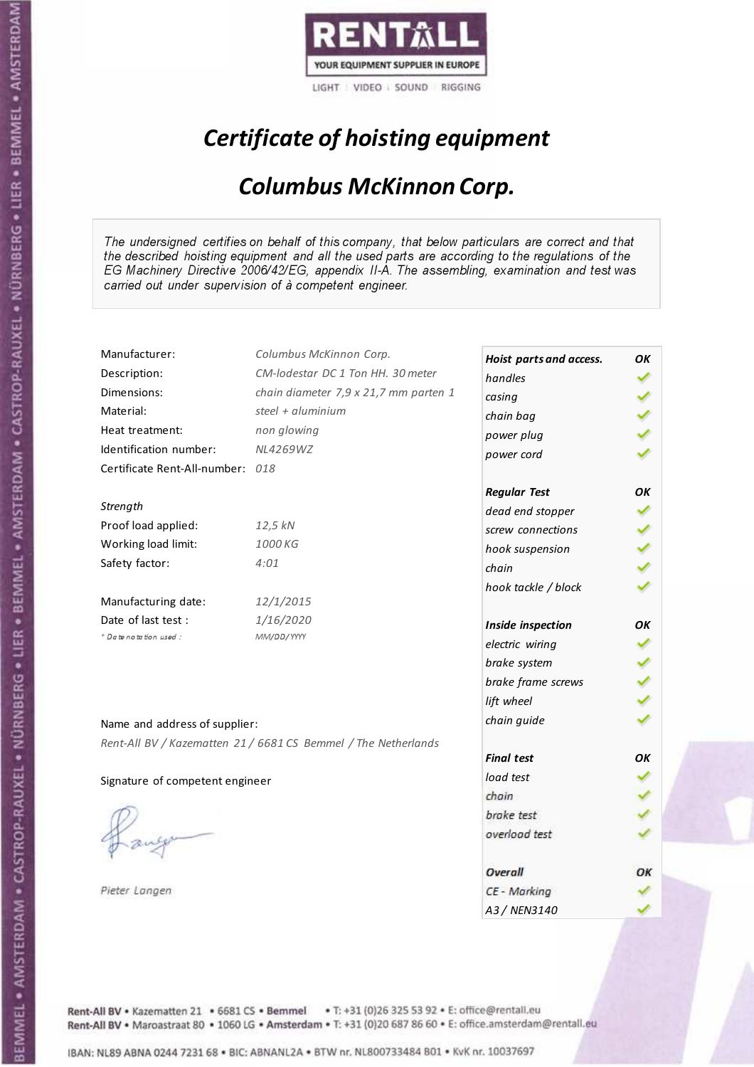

## Certificate of hoisting equipment

#### Columbus McKinnon Corp.

The undersigned certifies on behalf of this company, that below particulars are correct and that the described hoisting equipment and all the used parts are according to the regulations of the EG Machinery Directive 2006/42/EG, appendix II-A. The assembling, examination and test was carried out under supervision of à competent engineer.

| Manufacturer:                    | Columbus McKinnon Corp.                                        | Hoist parts and access. | OK |
|----------------------------------|----------------------------------------------------------------|-------------------------|----|
| Description:                     | CM-lodestar DC 1 Ton HH. 30 meter                              | handles                 |    |
| Dimensions:                      | chain diameter 7,9 x 21,7 mm parten 1                          | casing                  |    |
| Material:                        | steel + aluminium                                              | chain bag               |    |
| Heat treatment:                  | non glowing                                                    | power plug              |    |
| Identification number:           | NL4269WZ                                                       | power cord              |    |
| Certificate Rent-All-number: 018 |                                                                |                         |    |
|                                  |                                                                | <b>Regular Test</b>     | OK |
| Strength                         |                                                                | dead end stopper        |    |
| Proof load applied:              | 12,5 kN                                                        | screw connections       |    |
| Working load limit:              | 1000 KG                                                        | hook suspension         |    |
| Safety factor:                   | 4:01                                                           | chain                   |    |
|                                  |                                                                | hook tackle / block     |    |
| Manufacturing date:              | 12/1/2015                                                      |                         |    |
| Date of last test :              | 1/16/2020                                                      | Inside inspection       | OK |
| + Date notation used:            | MM/DD/YYYY                                                     | electric wiring         |    |
|                                  |                                                                | brake system            |    |
|                                  |                                                                | brake frame screws      |    |
|                                  |                                                                | lift wheel              |    |
| Name and address of supplier:    |                                                                | chain guide             |    |
|                                  | Rent-All BV / Kazematten 21 / 6681 CS Bemmel / The Netherlands |                         |    |
|                                  |                                                                | <b>Final test</b>       | OK |
| Signature of competent engineer  |                                                                | load test               |    |
|                                  |                                                                | chain                   |    |
|                                  |                                                                | brake test              |    |
|                                  |                                                                | overload test           |    |
|                                  |                                                                |                         |    |
|                                  |                                                                | Overall                 | ОΚ |
| Pieter Langen                    |                                                                | CE - Marking            |    |
|                                  |                                                                | A3 / NEN3140            |    |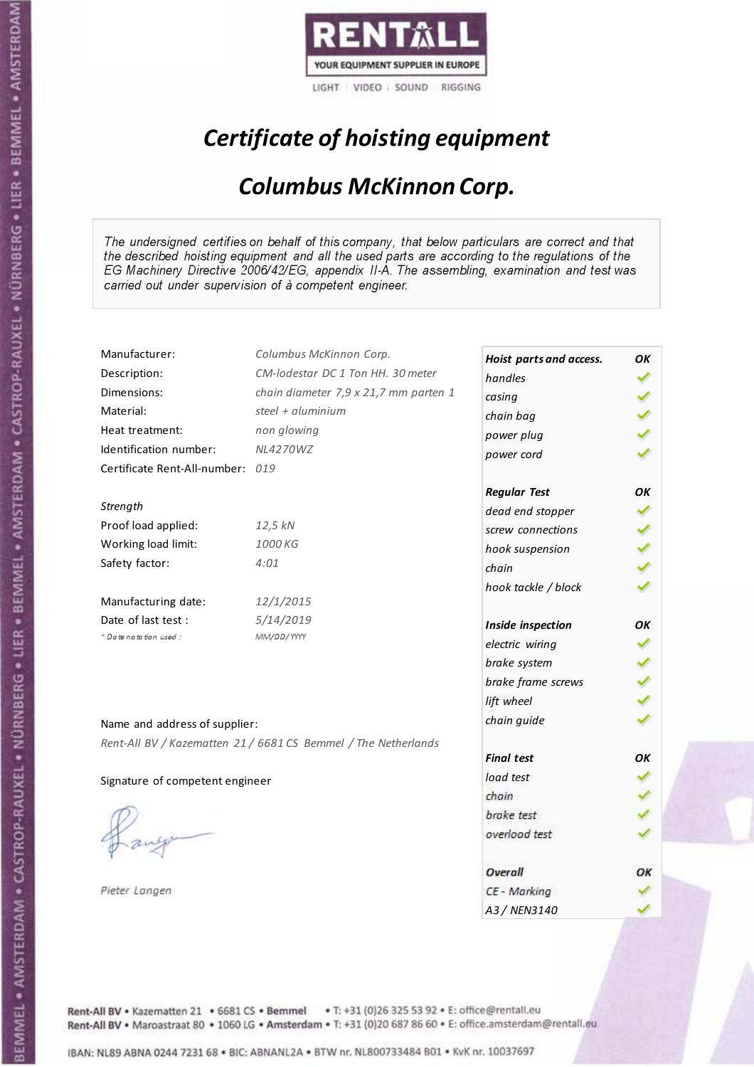

## Certificate of hoisting equipment

#### Columbus McKinnon Corp.

The undersigned certifies on behalf of this company, that below particulars are correct and that the described hoisting equipment and all the used parts are according to the regulations of the EG Machinery Directive 2006/42/EG, appendix II-A. The assembling, examination and test was carried out under supervision of à competent engineer.

| Manufacturer:                    | Columbus McKinnon Corp.                                        | Hoist parts and access. | OK |
|----------------------------------|----------------------------------------------------------------|-------------------------|----|
| Description:                     | CM-lodestar DC 1 Ton HH. 30 meter                              | handles                 |    |
| Dimensions:                      | chain diameter 7,9 x 21,7 mm parten 1                          | casing                  |    |
| Material:                        | steel + aluminium                                              | chain bag               |    |
| Heat treatment:                  | non glowing                                                    | power plug              |    |
| Identification number:           | <b>NL4270WZ</b>                                                | power cord              |    |
| Certificate Rent-All-number: 019 |                                                                |                         |    |
|                                  |                                                                | <b>Regular Test</b>     | OK |
| Strength                         |                                                                | dead end stopper        |    |
| Proof load applied:              | 12,5 kN                                                        | screw connections       |    |
| Working load limit:              | 1000 KG                                                        | hook suspension         |    |
| Safety factor:                   | 4:01                                                           | chain                   |    |
|                                  |                                                                | hook tackle / block     |    |
| Manufacturing date:              | 12/1/2015                                                      |                         |    |
| Date of last test:               | 5/14/2019                                                      | Inside inspection       | OK |
| + Date notation used:            | MM/DD/YYYY                                                     | electric wiring         |    |
|                                  |                                                                | brake system            |    |
|                                  |                                                                | brake frame screws      |    |
|                                  |                                                                | lift wheel              |    |
| Name and address of supplier:    |                                                                | chain guide             |    |
|                                  | Rent-All BV / Kazematten 21 / 6681 CS Bemmel / The Netherlands |                         |    |
|                                  |                                                                | <b>Final test</b>       | OΚ |
| Signature of competent engineer  |                                                                | load test               |    |
|                                  |                                                                | chain                   |    |
|                                  |                                                                | brake test              |    |
|                                  |                                                                | overload test           |    |
|                                  |                                                                |                         |    |
|                                  |                                                                | Overall                 | ОΚ |
| Pieter Langen                    |                                                                | CE - Marking            |    |
|                                  |                                                                | A3 / NEN3140            |    |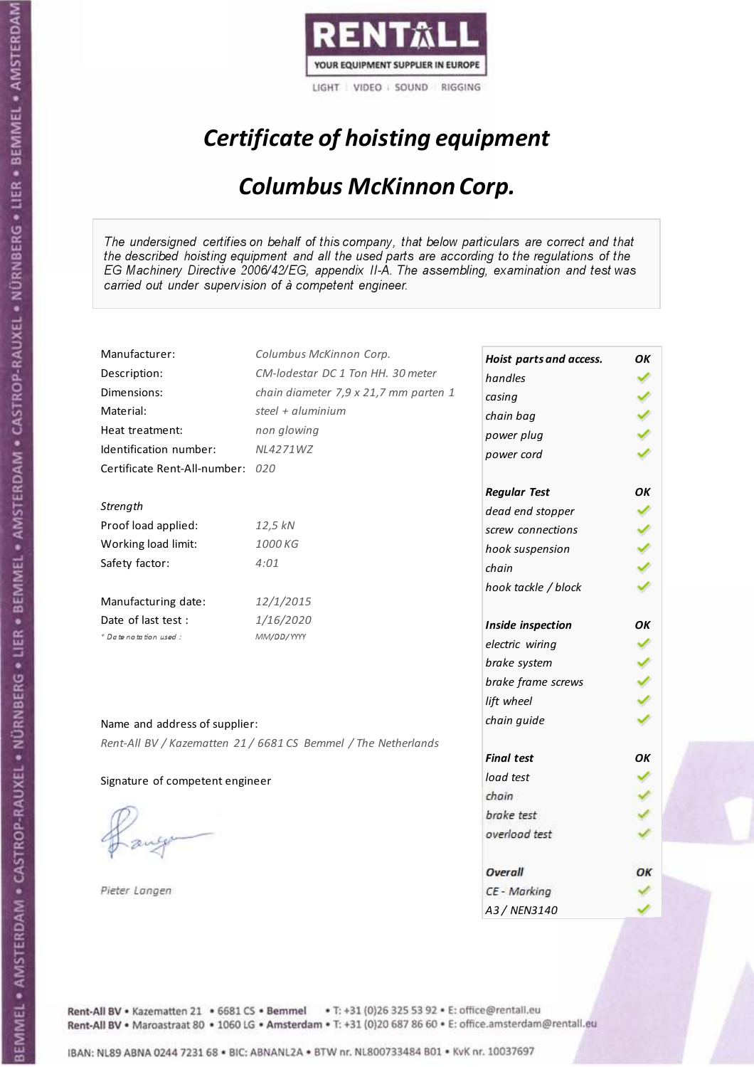

## Certificate of hoisting equipment

#### Columbus McKinnon Corp.

The undersigned certifies on behalf of this company, that below particulars are correct and that the described hoisting equipment and all the used parts are according to the regulations of the EG Machinery Directive 2006/42/EG, appendix II-A. The assembling, examination and test was carried out under supervision of à competent engineer.

| Manufacturer:                    | Columbus McKinnon Corp.                                        | Hoist parts and access. | OK |
|----------------------------------|----------------------------------------------------------------|-------------------------|----|
| Description:                     | CM-lodestar DC 1 Ton HH. 30 meter                              | handles                 |    |
| Dimensions:                      | chain diameter 7,9 x 21,7 mm parten 1                          | casing                  |    |
| Material:                        | steel + aluminium                                              | chain bag               |    |
| Heat treatment:                  | non glowing                                                    | power plug              |    |
| Identification number:           | NL4271WZ                                                       | power cord              |    |
| Certificate Rent-All-number: 020 |                                                                |                         |    |
|                                  |                                                                | <b>Regular Test</b>     | OK |
| Strength                         |                                                                | dead end stopper        |    |
| Proof load applied:              | 12,5 kN                                                        | screw connections       |    |
| Working load limit:              | 1000 KG                                                        | hook suspension         |    |
| Safety factor:                   | 4:01                                                           | chain                   |    |
|                                  |                                                                | hook tackle / block     |    |
| Manufacturing date:              | 12/1/2015                                                      |                         |    |
| Date of last test :              | 1/16/2020                                                      | Inside inspection       | OK |
| + Date notation used:            | MM/DD/YYYY                                                     | electric wiring         |    |
|                                  |                                                                | brake system            |    |
|                                  |                                                                | brake frame screws      |    |
|                                  |                                                                | lift wheel              |    |
| Name and address of supplier:    |                                                                | chain guide             |    |
|                                  | Rent-All BV / Kazematten 21 / 6681 CS Bemmel / The Netherlands |                         |    |
|                                  |                                                                | <b>Final test</b>       | OK |
| Signature of competent engineer  |                                                                | load test               |    |
|                                  |                                                                | chain                   |    |
|                                  |                                                                | brake test              |    |
|                                  |                                                                | overload test           |    |
|                                  |                                                                |                         |    |
|                                  |                                                                | Overall                 | ОΚ |
| Pieter Langen                    |                                                                | CE - Marking            |    |
|                                  |                                                                | A3 / NEN3140            |    |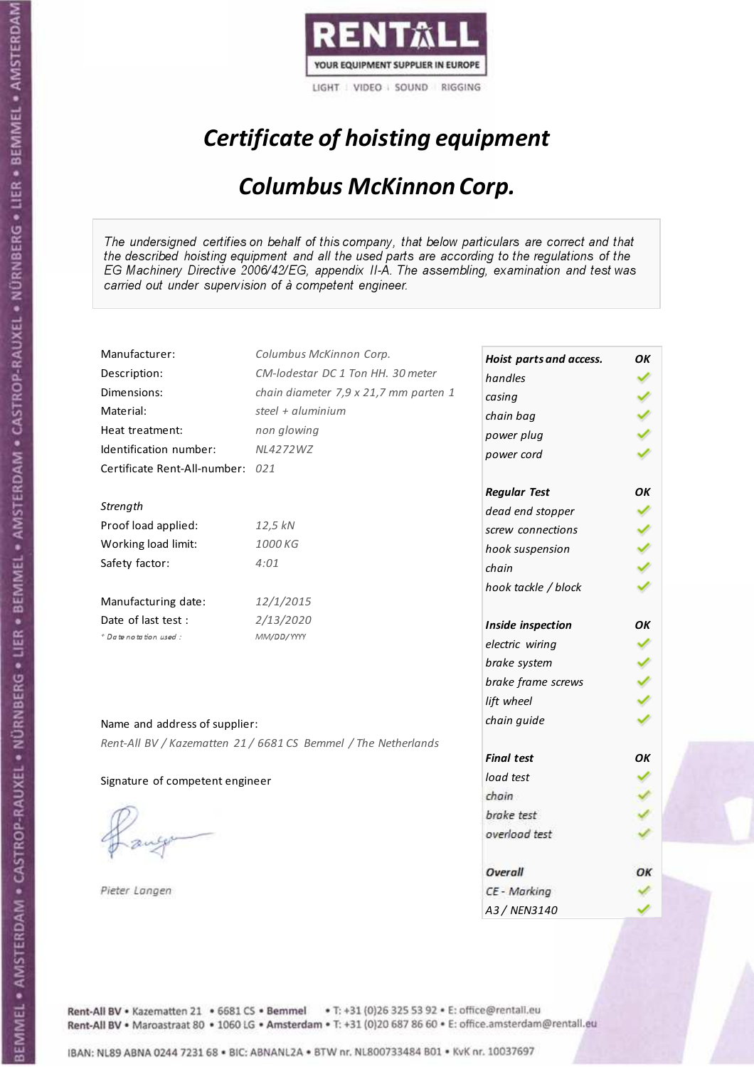

## Certificate of hoisting equipment

#### Columbus McKinnon Corp.

The undersigned certifies on behalf of this company, that below particulars are correct and that the described hoisting equipment and all the used parts are according to the regulations of the EG Machinery Directive 2006/42/EG, appendix II-A. The assembling, examination and test was carried out under supervision of à competent engineer.

| Manufacturer:                    | Columbus McKinnon Corp.                                        | Hoist parts and access. | OK |
|----------------------------------|----------------------------------------------------------------|-------------------------|----|
| Description:                     | CM-lodestar DC 1 Ton HH. 30 meter                              | handles                 |    |
| Dimensions:                      | chain diameter 7,9 x 21,7 mm parten 1                          | casing                  |    |
| Material:                        | steel + aluminium                                              | chain bag               |    |
| Heat treatment:                  | non glowing                                                    | power plug              |    |
| Identification number:           | <b>NL4272WZ</b>                                                | power cord              |    |
| Certificate Rent-All-number: 021 |                                                                |                         |    |
|                                  |                                                                | <b>Regular Test</b>     | OK |
| Strength                         |                                                                | dead end stopper        |    |
| Proof load applied:              | 12,5 kN                                                        | screw connections       |    |
| Working load limit:              | 1000 KG                                                        | hook suspension         |    |
| Safety factor:                   | 4:01                                                           | chain                   |    |
|                                  |                                                                | hook tackle / block     |    |
| Manufacturing date:              | 12/1/2015                                                      |                         |    |
| Date of last test :              | 2/13/2020                                                      | Inside inspection       | OK |
| + Date notation used:            | MM/DD/YYYY                                                     | electric wiring         |    |
|                                  |                                                                | brake system            |    |
|                                  |                                                                | brake frame screws      |    |
|                                  |                                                                | lift wheel              |    |
| Name and address of supplier:    |                                                                | chain guide             |    |
|                                  | Rent-All BV / Kazematten 21 / 6681 CS Bemmel / The Netherlands |                         |    |
|                                  |                                                                | <b>Final test</b>       | OK |
| Signature of competent engineer  |                                                                | load test               |    |
|                                  |                                                                | chain                   |    |
|                                  |                                                                | brake test              |    |
|                                  |                                                                | overload test           |    |
|                                  |                                                                |                         |    |
|                                  |                                                                | Overall                 | ОΚ |
| Pieter Langen                    |                                                                | CE - Marking            |    |
|                                  |                                                                | A3 / NEN3140            |    |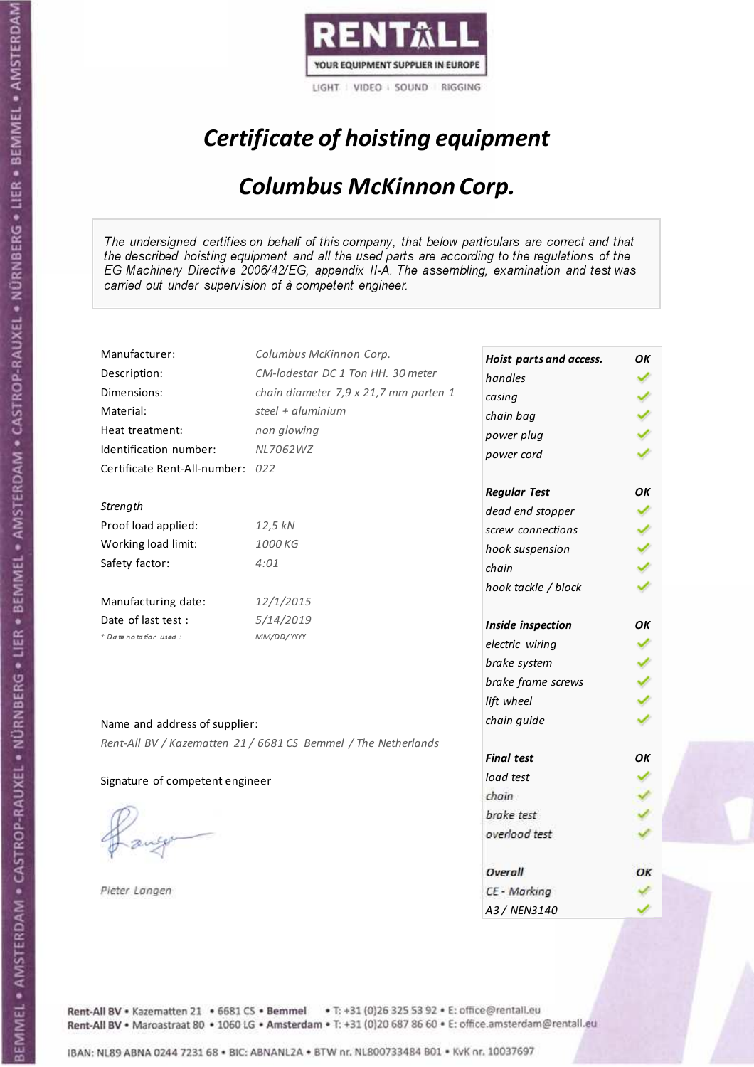

## Certificate of hoisting equipment

#### Columbus McKinnon Corp.

The undersigned certifies on behalf of this company, that below particulars are correct and that the described hoisting equipment and all the used parts are according to the regulations of the EG Machinery Directive 2006/42/EG, appendix II-A. The assembling, examination and test was carried out under supervision of à competent engineer.

| Manufacturer:                    | Columbus McKinnon Corp.                                        | Hoist parts and access. | OK |
|----------------------------------|----------------------------------------------------------------|-------------------------|----|
| Description:                     | CM-lodestar DC 1 Ton HH. 30 meter                              | handles                 |    |
| Dimensions:                      | chain diameter 7,9 x 21,7 mm parten 1                          | casing                  |    |
| Material:                        | steel + aluminium                                              | chain bag               |    |
| Heat treatment:                  | non glowing                                                    | power plug              |    |
| Identification number:           | NL7062WZ                                                       | power cord              |    |
| Certificate Rent-All-number: 022 |                                                                |                         |    |
|                                  |                                                                | <b>Regular Test</b>     | OK |
| Strength                         |                                                                | dead end stopper        |    |
| Proof load applied:              | 12,5 kN                                                        | screw connections       |    |
| Working load limit:              | 1000 KG                                                        | hook suspension         |    |
| Safety factor:                   | 4:01                                                           | chain                   |    |
|                                  |                                                                | hook tackle / block     |    |
| Manufacturing date:              | 12/1/2015                                                      |                         |    |
| Date of last test :              | 5/14/2019                                                      | Inside inspection       | OK |
| + Date notation used:            | MM/DD/YYYY                                                     | electric wiring         |    |
|                                  |                                                                | brake system            |    |
|                                  |                                                                | brake frame screws      |    |
|                                  |                                                                | lift wheel              |    |
| Name and address of supplier:    |                                                                | chain guide             |    |
|                                  | Rent-All BV / Kazematten 21 / 6681 CS Bemmel / The Netherlands |                         |    |
|                                  |                                                                | <b>Final test</b>       | OK |
| Signature of competent engineer  |                                                                | load test               |    |
|                                  |                                                                | chain                   |    |
|                                  |                                                                | brake test              |    |
|                                  |                                                                | overload test           |    |
|                                  |                                                                |                         |    |
|                                  |                                                                | Overall                 | ОΚ |
| Pieter Langen                    |                                                                | CE - Marking            |    |
|                                  |                                                                | A3 / NEN3140            |    |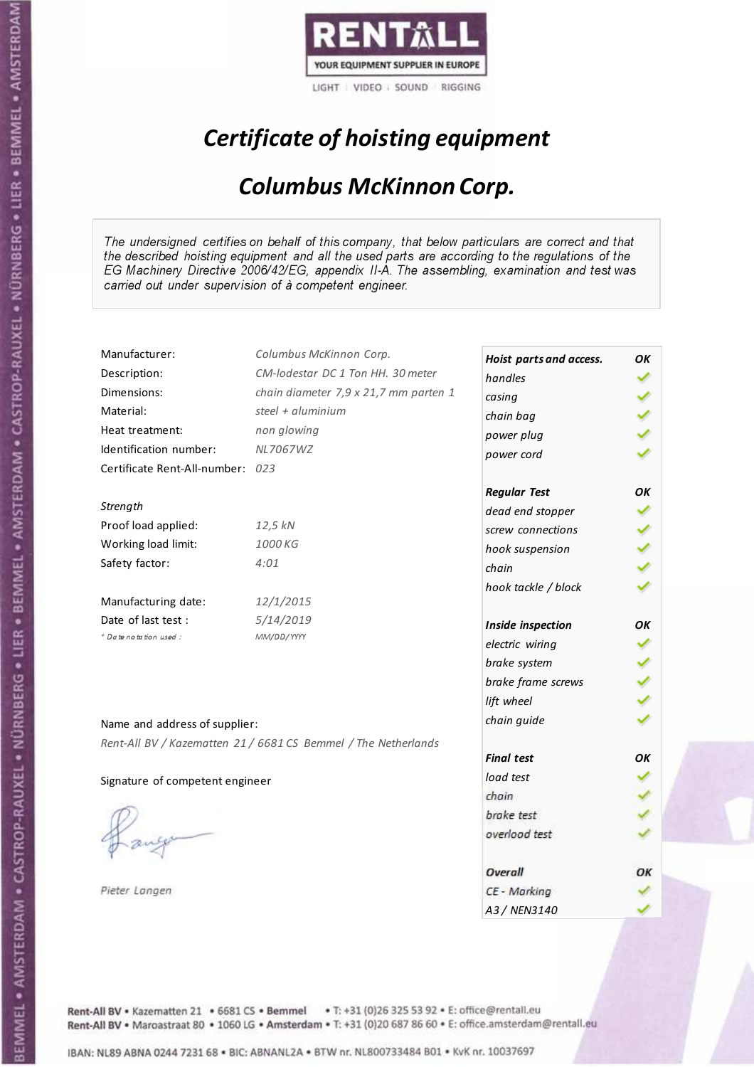

## Certificate of hoisting equipment

#### Columbus McKinnon Corp.

The undersigned certifies on behalf of this company, that below particulars are correct and that the described hoisting equipment and all the used parts are according to the regulations of the EG Machinery Directive 2006/42/EG, appendix II-A. The assembling, examination and test was carried out under supervision of à competent engineer.

| Manufacturer:                    | Columbus McKinnon Corp.                                        | Hoist parts and access. | OK |
|----------------------------------|----------------------------------------------------------------|-------------------------|----|
| Description:                     | CM-lodestar DC 1 Ton HH. 30 meter                              | handles                 |    |
| Dimensions:                      | chain diameter 7,9 x 21,7 mm parten 1                          | casing                  |    |
| Material:                        | steel + $\alpha$ luminium                                      | chain bag               |    |
| Heat treatment:                  | non glowing                                                    | power plug              |    |
| Identification number:           | NL7067WZ                                                       | power cord              |    |
| Certificate Rent-All-number: 023 |                                                                |                         |    |
|                                  |                                                                | <b>Regular Test</b>     | ОΚ |
| Strength                         |                                                                | dead end stopper        |    |
| Proof load applied:              | 12,5 kN                                                        | screw connections       |    |
| Working load limit:              | 1000 KG                                                        | hook suspension         |    |
| Safety factor:                   | 4:01                                                           | chain                   |    |
|                                  |                                                                | hook tackle / block     |    |
| Manufacturing date:              | 12/1/2015                                                      |                         |    |
| Date of last test :              | 5/14/2019                                                      | Inside inspection       | ОΚ |
| + Date notation used:            | MM/DD/YYYY                                                     | electric wiring         |    |
|                                  |                                                                | brake system            |    |
|                                  |                                                                | brake frame screws      |    |
|                                  |                                                                | lift wheel              |    |
| Name and address of supplier:    |                                                                | chain guide             |    |
|                                  | Rent-All BV / Kazematten 21 / 6681 CS Bemmel / The Netherlands |                         |    |
|                                  |                                                                | <b>Final test</b>       | OK |
| Signature of competent engineer  |                                                                | load test               |    |
|                                  |                                                                | chain                   |    |
|                                  |                                                                | brake test              |    |
|                                  |                                                                | overload test           |    |
|                                  |                                                                |                         |    |
|                                  |                                                                | Overall                 | OК |
| Pieter Langen                    |                                                                | CE - Marking            |    |
|                                  |                                                                | A3 / NEN3140            |    |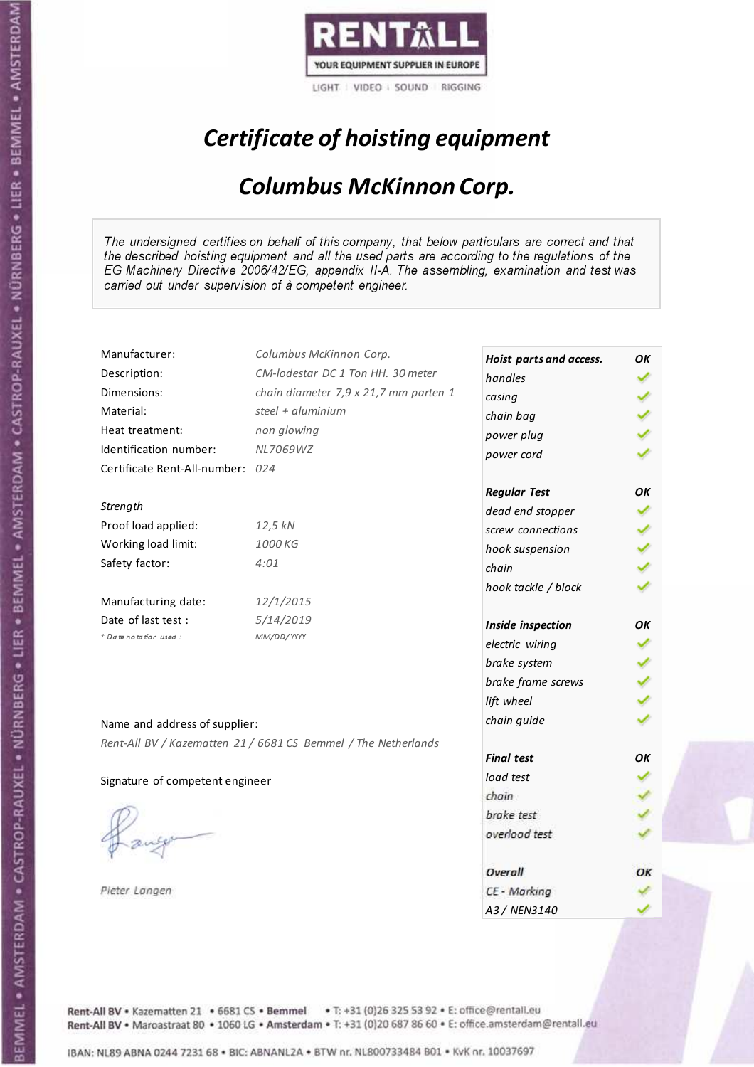

## Certificate of hoisting equipment

#### Columbus McKinnon Corp.

The undersigned certifies on behalf of this company, that below particulars are correct and that the described hoisting equipment and all the used parts are according to the regulations of the EG Machinery Directive 2006/42/EG, appendix II-A. The assembling, examination and test was carried out under supervision of à competent engineer.

| Manufacturer:                    | Columbus McKinnon Corp.                                        | Hoist parts and access. | OK |
|----------------------------------|----------------------------------------------------------------|-------------------------|----|
| Description:                     | CM-lodestar DC 1 Ton HH. 30 meter                              | handles                 |    |
| Dimensions:                      | chain diameter 7,9 x 21,7 mm parten 1                          | casing                  |    |
| Material:                        | steel + aluminium                                              | chain bag               |    |
| Heat treatment:                  | non glowing                                                    | power plug              |    |
| Identification number:           | NL7069WZ                                                       | power cord              |    |
| Certificate Rent-All-number: 024 |                                                                |                         |    |
|                                  |                                                                | <b>Regular Test</b>     | OK |
| Strength                         |                                                                | dead end stopper        |    |
| Proof load applied:              | 12,5 kN                                                        | screw connections       |    |
| Working load limit:              | 1000 KG                                                        | hook suspension         |    |
| Safety factor:                   | 4:01                                                           | chain                   |    |
|                                  |                                                                | hook tackle / block     |    |
| Manufacturing date:              | 12/1/2015                                                      |                         |    |
| Date of last test :              | 5/14/2019                                                      | Inside inspection       | OK |
| + Date notation used:            | MM/DD/YYYY                                                     | electric wiring         |    |
|                                  |                                                                | brake system            |    |
|                                  |                                                                | brake frame screws      |    |
|                                  |                                                                | lift wheel              |    |
| Name and address of supplier:    |                                                                | chain guide             |    |
|                                  | Rent-All BV / Kazematten 21 / 6681 CS Bemmel / The Netherlands |                         |    |
|                                  |                                                                | <b>Final test</b>       | OK |
| Signature of competent engineer  |                                                                | load test               |    |
|                                  |                                                                | chain                   |    |
|                                  |                                                                | brake test              |    |
|                                  |                                                                | overload test           |    |
|                                  |                                                                |                         |    |
|                                  |                                                                | Overall                 | ОΚ |
| Pieter Langen                    |                                                                | CE - Marking            |    |
|                                  |                                                                | A3 / NEN3140            |    |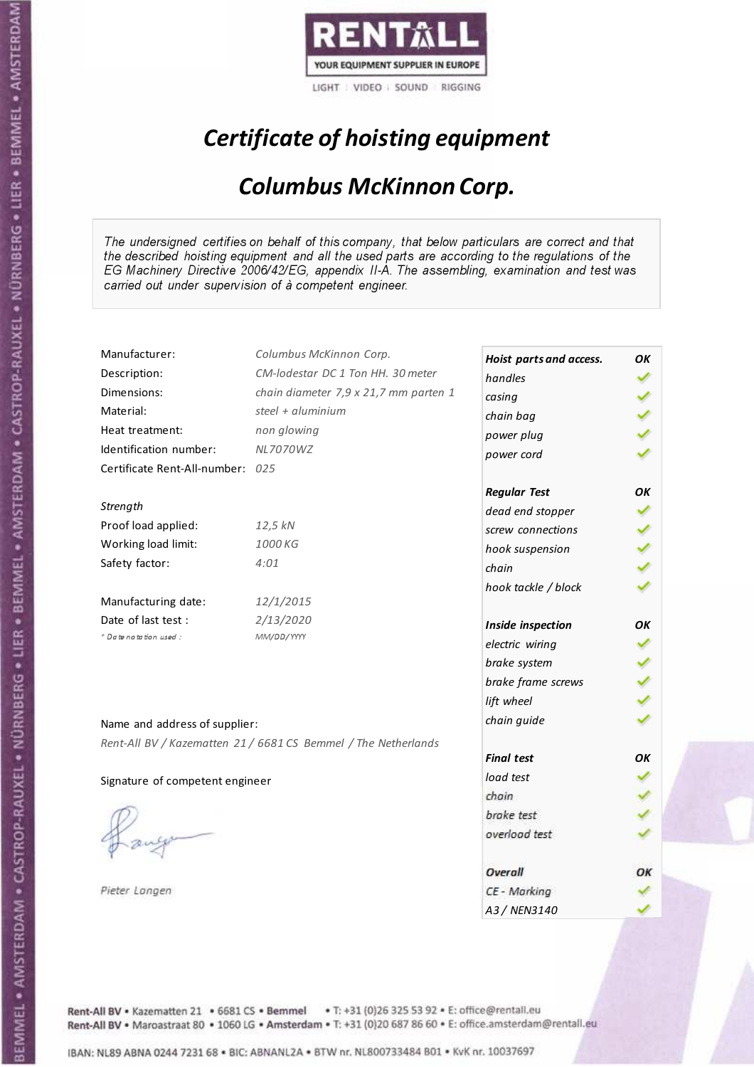

## Certificate of hoisting equipment

#### Columbus McKinnon Corp.

The undersigned certifies on behalf of this company, that below particulars are correct and that the described hoisting equipment and all the used parts are according to the regulations of the EG Machinery Directive 2006/42/EG, appendix II-A. The assembling, examination and test was carried out under supervision of à competent engineer.

| Manufacturer:                    | Columbus McKinnon Corp.                                        | Hoist parts and access. | OK |
|----------------------------------|----------------------------------------------------------------|-------------------------|----|
| Description:                     | CM-lodestar DC 1 Ton HH. 30 meter                              | handles                 |    |
| Dimensions:                      | chain diameter 7,9 x 21,7 mm parten 1                          | casing                  |    |
| Material:                        | steel + aluminium                                              | chain bag               |    |
| Heat treatment:                  | non glowing                                                    | power plug              |    |
| Identification number:           | <b>NL7070WZ</b>                                                | power cord              |    |
| Certificate Rent-All-number: 025 |                                                                |                         |    |
|                                  |                                                                | <b>Regular Test</b>     | OK |
| Strength                         |                                                                | dead end stopper        |    |
| Proof load applied:              | 12,5 kN                                                        | screw connections       |    |
| Working load limit:              | 1000 KG                                                        | hook suspension         |    |
| Safety factor:                   | 4:01                                                           | chain                   |    |
|                                  |                                                                | hook tackle / block     |    |
| Manufacturing date:              | 12/1/2015                                                      |                         |    |
| Date of last test :              | 2/13/2020                                                      | Inside inspection       | OK |
| + Date notation used:            | MM/DD/YYYY                                                     | electric wiring         |    |
|                                  |                                                                | brake system            |    |
|                                  |                                                                | brake frame screws      |    |
|                                  |                                                                | lift wheel              |    |
| Name and address of supplier:    |                                                                | chain guide             |    |
|                                  | Rent-All BV / Kazematten 21 / 6681 CS Bemmel / The Netherlands |                         |    |
|                                  |                                                                | <b>Final test</b>       | OK |
| Signature of competent engineer  |                                                                | load test               |    |
|                                  |                                                                | chain                   |    |
|                                  |                                                                | brake test              |    |
|                                  |                                                                | overload test           |    |
|                                  |                                                                |                         |    |
|                                  |                                                                | Overall                 | ОΚ |
| Pieter Langen                    |                                                                | CE - Marking            |    |
|                                  |                                                                | A3 / NEN3140            |    |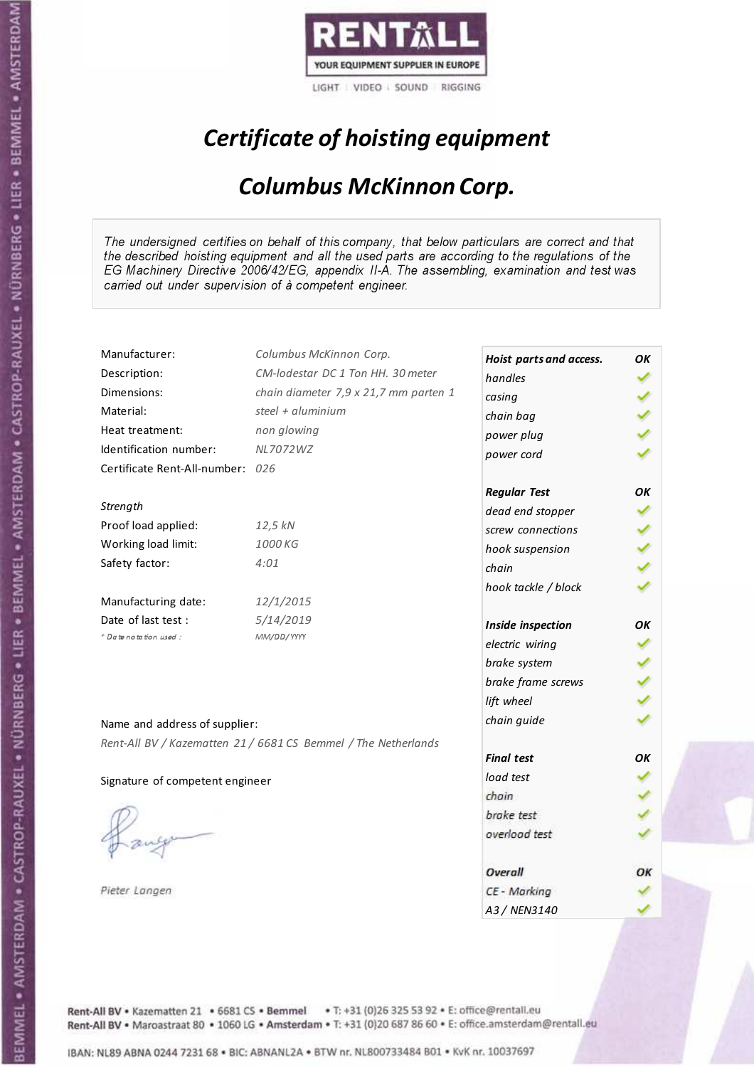

## Certificate of hoisting equipment

#### Columbus McKinnon Corp.

The undersigned certifies on behalf of this company, that below particulars are correct and that the described hoisting equipment and all the used parts are according to the regulations of the EG Machinery Directive 2006/42/EG, appendix II-A. The assembling, examination and test was carried out under supervision of à competent engineer.

| Manufacturer:                    | Columbus McKinnon Corp.                                        | Hoist parts and access. | OK |
|----------------------------------|----------------------------------------------------------------|-------------------------|----|
| Description:                     | CM-lodestar DC 1 Ton HH. 30 meter                              | handles                 |    |
| Dimensions:                      | chain diameter 7,9 x 21,7 mm parten 1                          | casing                  |    |
| Material:                        | steel + aluminium                                              | chain bag               |    |
| Heat treatment:                  | non glowing                                                    | power plug              |    |
| Identification number:           | NL7072WZ                                                       | power cord              |    |
| Certificate Rent-All-number: 026 |                                                                |                         |    |
|                                  |                                                                | <b>Regular Test</b>     | OK |
| Strength                         |                                                                | dead end stopper        |    |
| Proof load applied:              | 12,5 kN                                                        | screw connections       |    |
| Working load limit:              | 1000 KG                                                        | hook suspension         |    |
| Safety factor:                   | 4:01                                                           | chain                   |    |
|                                  |                                                                | hook tackle / block     |    |
| Manufacturing date:              | 12/1/2015                                                      |                         |    |
| Date of last test :              | 5/14/2019                                                      | Inside inspection       | OK |
| + Date notation used:            | MM/DD/YYYY                                                     | electric wiring         |    |
|                                  |                                                                | brake system            |    |
|                                  |                                                                | brake frame screws      |    |
|                                  |                                                                | lift wheel              |    |
| Name and address of supplier:    |                                                                | chain guide             |    |
|                                  | Rent-All BV / Kazematten 21 / 6681 CS Bemmel / The Netherlands |                         |    |
|                                  |                                                                | <b>Final test</b>       | OK |
| Signature of competent engineer  |                                                                | load test               |    |
|                                  |                                                                | chain                   |    |
|                                  |                                                                | brake test              |    |
|                                  |                                                                | overload test           |    |
|                                  |                                                                |                         |    |
|                                  |                                                                | Overall                 | ОΚ |
| Pieter Langen                    |                                                                | CE - Marking            |    |
|                                  |                                                                | A3 / NEN3140            |    |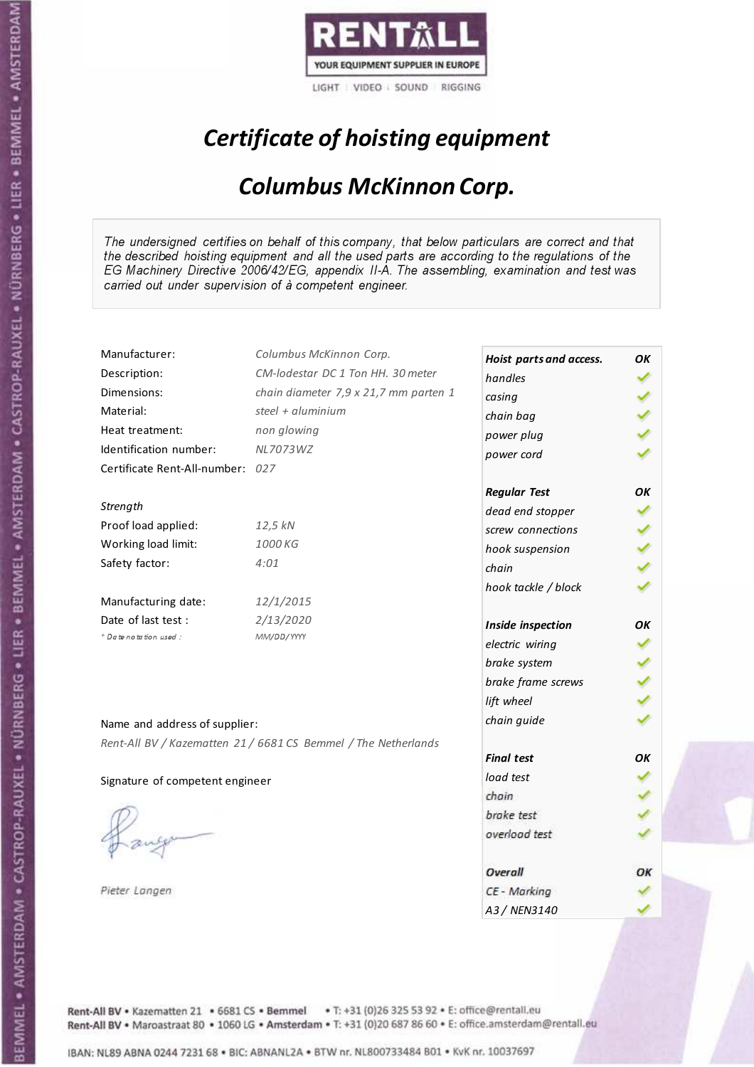

## Certificate of hoisting equipment

#### Columbus McKinnon Corp.

The undersigned certifies on behalf of this company, that below particulars are correct and that the described hoisting equipment and all the used parts are according to the regulations of the EG Machinery Directive 2006/42/EG, appendix II-A. The assembling, examination and test was carried out under supervision of à competent engineer.

| Manufacturer:                    | Columbus McKinnon Corp.                                        | Hoist parts and access. | OK |
|----------------------------------|----------------------------------------------------------------|-------------------------|----|
| Description:                     | CM-lodestar DC 1 Ton HH. 30 meter                              | handles                 |    |
| Dimensions:                      | chain diameter 7,9 x 21,7 mm parten 1                          | casing                  |    |
| Material:                        | steel + aluminium                                              | chain bag               |    |
| Heat treatment:                  | non glowing                                                    | power plug              |    |
| Identification number:           | NL7073WZ                                                       | power cord              |    |
| Certificate Rent-All-number: 027 |                                                                |                         |    |
|                                  |                                                                | <b>Regular Test</b>     | OK |
| Strength                         |                                                                | dead end stopper        |    |
| Proof load applied:              | 12,5 kN                                                        | screw connections       |    |
| Working load limit:              | 1000 KG                                                        | hook suspension         |    |
| Safety factor:                   | 4:01                                                           | chain                   |    |
|                                  |                                                                | hook tackle / block     |    |
| Manufacturing date:              | 12/1/2015                                                      |                         |    |
| Date of last test:               | 2/13/2020                                                      | Inside inspection       | OΚ |
| * Date notation used :           | MM/DD/YYYY                                                     | electric wiring         |    |
|                                  |                                                                | brake system            |    |
|                                  |                                                                | brake frame screws      |    |
|                                  |                                                                | lift wheel              |    |
| Name and address of supplier:    |                                                                | chain guide             |    |
|                                  | Rent-All BV / Kazematten 21 / 6681 CS Bemmel / The Netherlands |                         |    |
|                                  |                                                                | <b>Final test</b>       | OK |
| Signature of competent engineer  |                                                                | load test               |    |
|                                  |                                                                | chain                   |    |
|                                  |                                                                | brake test              |    |
|                                  |                                                                | overload test           |    |
|                                  |                                                                |                         |    |
|                                  |                                                                | Overall                 | ОΚ |
| Pieter Langen                    |                                                                | CE - Marking            |    |
|                                  |                                                                | A3/NFN3140              |    |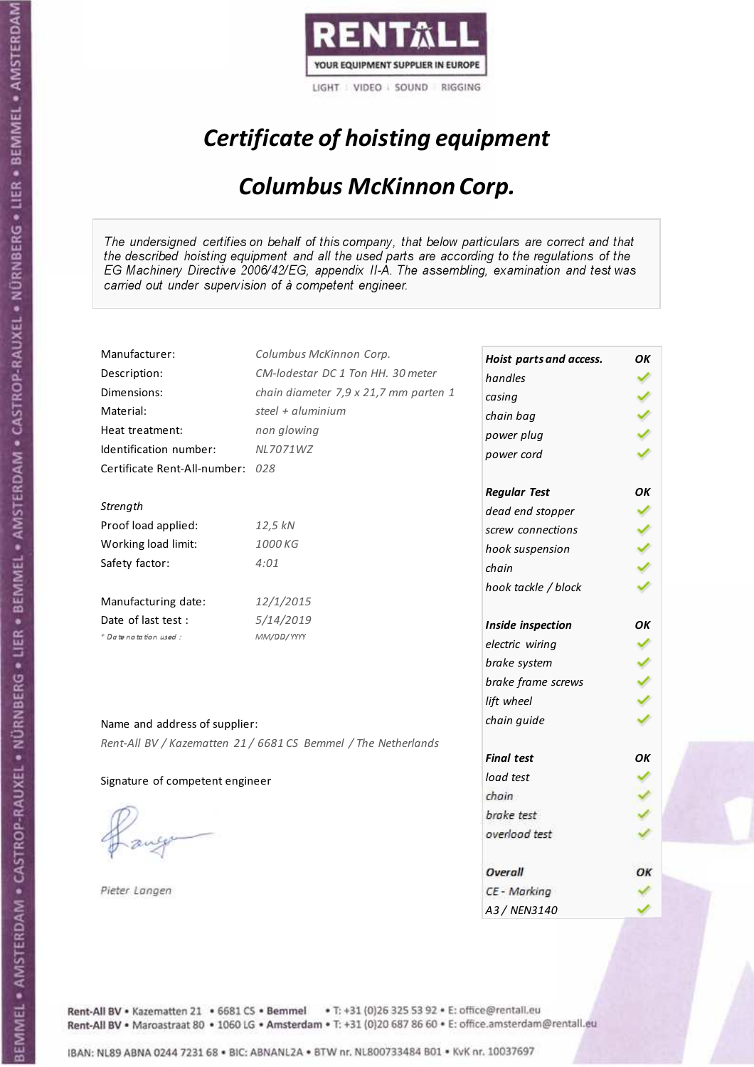

## Certificate of hoisting equipment

#### Columbus McKinnon Corp.

The undersigned certifies on behalf of this company, that below particulars are correct and that the described hoisting equipment and all the used parts are according to the regulations of the EG Machinery Directive 2006/42/EG, appendix II-A. The assembling, examination and test was carried out under supervision of à competent engineer.

| Manufacturer:                    | Columbus McKinnon Corp.                                        | Hoist parts and access. | OK |
|----------------------------------|----------------------------------------------------------------|-------------------------|----|
| Description:                     | CM-lodestar DC 1 Ton HH. 30 meter                              | handles                 |    |
| Dimensions:                      | chain diameter 7,9 x 21,7 mm parten 1                          | casing                  |    |
| Material:                        | steel + aluminium                                              | chain bag               |    |
| Heat treatment:                  | non glowing                                                    | power plug              |    |
| Identification number:           | NL7071WZ                                                       | power cord              |    |
| Certificate Rent-All-number: 028 |                                                                |                         |    |
|                                  |                                                                | <b>Regular Test</b>     | OK |
| Strength                         |                                                                | dead end stopper        |    |
| Proof load applied:              | 12,5 kN                                                        | screw connections       |    |
| Working load limit:              | 1000 KG                                                        | hook suspension         |    |
| Safety factor:                   | 4:01                                                           | chain                   |    |
|                                  |                                                                | hook tackle / block     |    |
| Manufacturing date:              | 12/1/2015                                                      |                         |    |
| Date of last test :              | 5/14/2019                                                      | Inside inspection       | OK |
| + Date notation used:            | MM/DD/YYYY                                                     | electric wiring         |    |
|                                  |                                                                | brake system            |    |
|                                  |                                                                | brake frame screws      |    |
|                                  |                                                                | lift wheel              |    |
| Name and address of supplier:    |                                                                | chain guide             |    |
|                                  | Rent-All BV / Kazematten 21 / 6681 CS Bemmel / The Netherlands |                         |    |
|                                  |                                                                | <b>Final test</b>       | OK |
| Signature of competent engineer  |                                                                | load test               |    |
|                                  |                                                                | chain                   |    |
|                                  |                                                                | brake test              |    |
|                                  |                                                                | overload test           |    |
|                                  |                                                                |                         |    |
|                                  |                                                                | Overall                 | ОΚ |
| Pieter Langen                    |                                                                | CE - Marking            |    |
|                                  |                                                                | A3 / NEN3140            |    |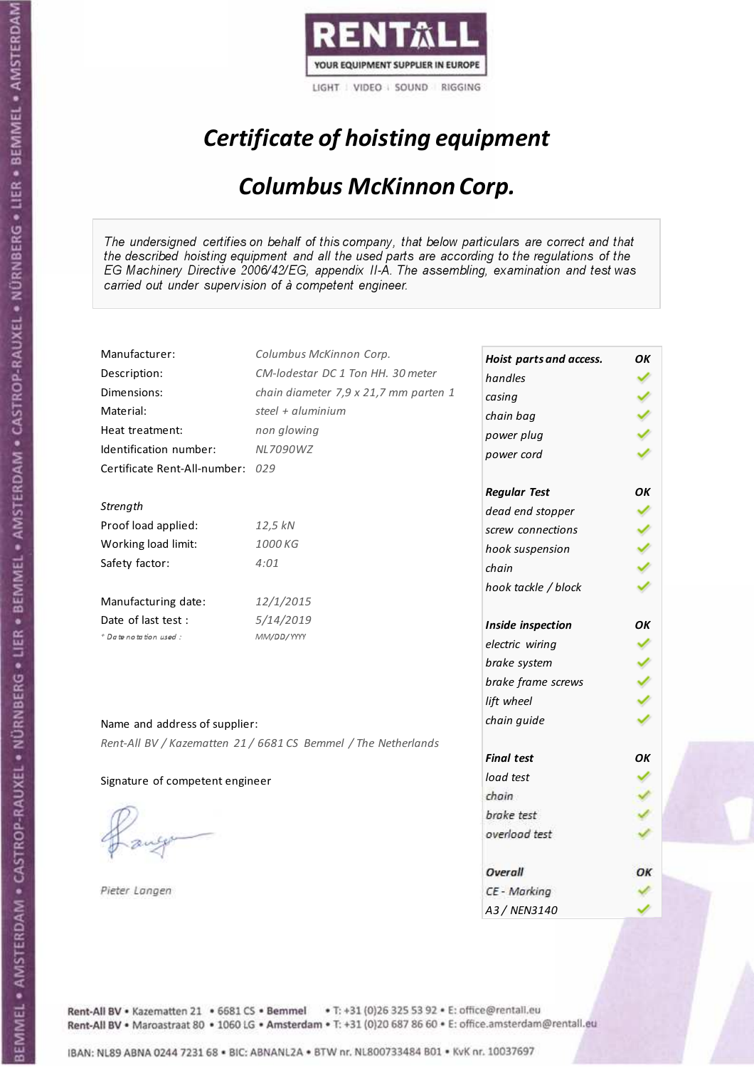

## Certificate of hoisting equipment

#### Columbus McKinnon Corp.

The undersigned certifies on behalf of this company, that below particulars are correct and that the described hoisting equipment and all the used parts are according to the regulations of the EG Machinery Directive 2006/42/EG, appendix II-A. The assembling, examination and test was carried out under supervision of à competent engineer.

| Manufacturer:                    | Columbus McKinnon Corp.                                        | Hoist parts and access. | OK |
|----------------------------------|----------------------------------------------------------------|-------------------------|----|
| Description:                     | CM-lodestar DC 1 Ton HH. 30 meter                              | handles                 |    |
| Dimensions:                      | chain diameter 7,9 x 21,7 mm parten 1                          | casing                  |    |
| Material:                        | steel + $\alpha$ luminium                                      | chain bag               |    |
| Heat treatment:                  | non glowing                                                    | power plug              |    |
| Identification number:           | <b>NL7090WZ</b>                                                | power cord              |    |
| Certificate Rent-All-number: 029 |                                                                |                         |    |
|                                  |                                                                | <b>Regular Test</b>     | ОΚ |
| Strength                         |                                                                | dead end stopper        |    |
| Proof load applied:              | 12,5 kN                                                        | screw connections       |    |
| Working load limit:              | 1000 KG                                                        | hook suspension         |    |
| Safety factor:                   | 4:01                                                           | chain                   |    |
|                                  |                                                                | hook tackle / block     |    |
| Manufacturing date:              | 12/1/2015                                                      |                         |    |
| Date of last test :              | 5/14/2019                                                      | Inside inspection       | ОΚ |
| + Date notation used:            | MM/DD/YYYY                                                     | electric wiring         |    |
|                                  |                                                                | brake system            |    |
|                                  |                                                                | brake frame screws      |    |
|                                  |                                                                | lift wheel              |    |
| Name and address of supplier:    |                                                                | chain guide             |    |
|                                  | Rent-All BV / Kazematten 21 / 6681 CS Bemmel / The Netherlands |                         |    |
|                                  |                                                                | <b>Final test</b>       | OK |
| Signature of competent engineer  |                                                                | load test               |    |
|                                  |                                                                | chain                   |    |
|                                  |                                                                | brake test              |    |
|                                  |                                                                | overload test           |    |
|                                  |                                                                |                         |    |
|                                  |                                                                | Overall                 | OК |
| Pieter Langen                    |                                                                | CE - Marking            |    |
|                                  |                                                                | A3 / NEN3140            |    |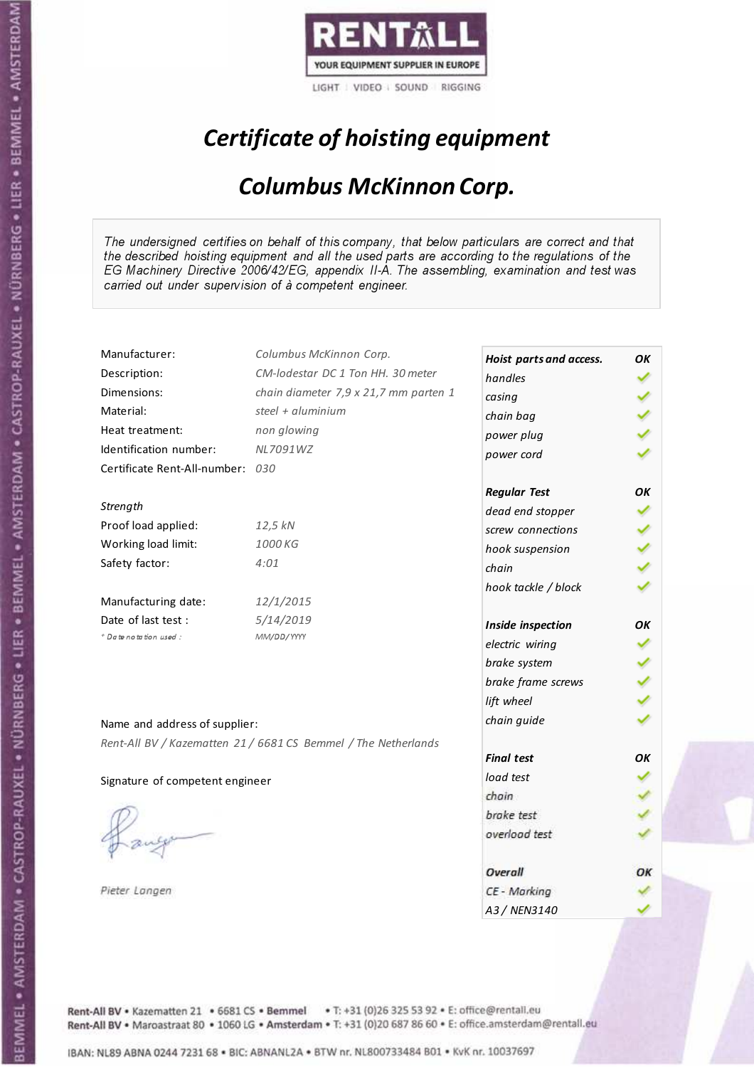

## Certificate of hoisting equipment

#### Columbus McKinnon Corp.

The undersigned certifies on behalf of this company, that below particulars are correct and that the described hoisting equipment and all the used parts are according to the regulations of the EG Machinery Directive 2006/42/EG, appendix II-A. The assembling, examination and test was carried out under supervision of à competent engineer.

| Manufacturer:                    | Columbus McKinnon Corp.                                        | Hoist parts and access. | OK |
|----------------------------------|----------------------------------------------------------------|-------------------------|----|
| Description:                     | CM-lodestar DC 1 Ton HH. 30 meter                              | handles                 |    |
| Dimensions:                      | chain diameter 7,9 x 21,7 mm parten 1                          | casing                  |    |
| Material:                        | steel + aluminium                                              | chain bag               |    |
| Heat treatment:                  | non glowing                                                    | power plug              |    |
| Identification number:           | NL7091WZ                                                       | power cord              |    |
| Certificate Rent-All-number: 030 |                                                                |                         |    |
|                                  |                                                                | <b>Regular Test</b>     | OK |
| Strength                         |                                                                | dead end stopper        |    |
| Proof load applied:              | 12,5 kN                                                        | screw connections       |    |
| Working load limit:              | 1000 KG                                                        | hook suspension         |    |
| Safety factor:                   | 4:01                                                           | chain                   |    |
|                                  |                                                                | hook tackle / block     |    |
| Manufacturing date:              | 12/1/2015                                                      |                         |    |
| Date of last test :              | 5/14/2019                                                      | Inside inspection       | OK |
| + Date notation used:            | MM/DD/YYYY                                                     | electric wiring         |    |
|                                  |                                                                | brake system            |    |
|                                  |                                                                | brake frame screws      |    |
|                                  |                                                                | lift wheel              |    |
| Name and address of supplier:    |                                                                | chain guide             |    |
|                                  | Rent-All BV / Kazematten 21 / 6681 CS Bemmel / The Netherlands |                         |    |
|                                  |                                                                | <b>Final test</b>       | OK |
| Signature of competent engineer  |                                                                | load test               |    |
|                                  |                                                                | chain                   |    |
|                                  |                                                                | brake test              |    |
|                                  |                                                                | overload test           |    |
|                                  |                                                                |                         |    |
|                                  |                                                                | Overall                 | ОΚ |
| Pieter Langen                    |                                                                | CE - Marking            |    |
|                                  |                                                                | A3 / NEN3140            |    |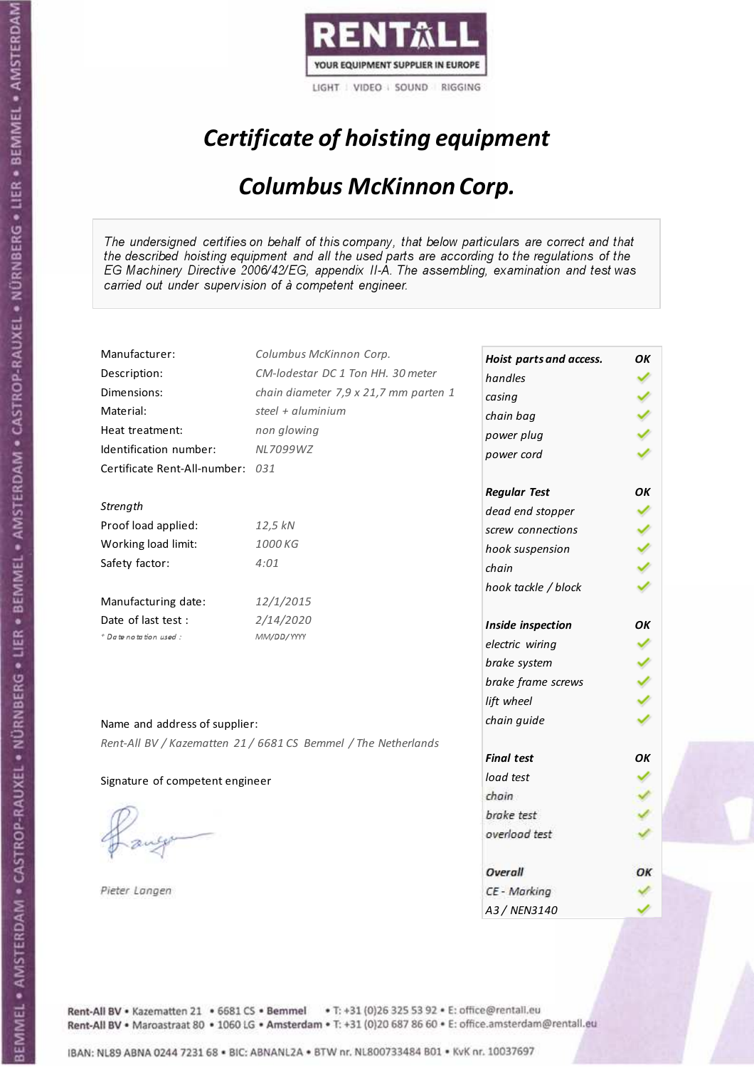

## Certificate of hoisting equipment

#### Columbus McKinnon Corp.

The undersigned certifies on behalf of this company, that below particulars are correct and that the described hoisting equipment and all the used parts are according to the regulations of the EG Machinery Directive 2006/42/EG, appendix II-A. The assembling, examination and test was carried out under supervision of à competent engineer.

| Manufacturer:                    | Columbus McKinnon Corp.                                        | Hoist parts and access. | OK |
|----------------------------------|----------------------------------------------------------------|-------------------------|----|
| Description:                     | CM-lodestar DC 1 Ton HH. 30 meter                              | handles                 |    |
| Dimensions:                      | chain diameter 7,9 x 21,7 mm parten 1                          | casing                  |    |
| Material:                        | steel + $\alpha$ luminium                                      | chain bag               |    |
| Heat treatment:                  | non glowing                                                    | power plug              |    |
| Identification number:           | NL7099WZ                                                       | power cord              |    |
| Certificate Rent-All-number: 031 |                                                                |                         |    |
|                                  |                                                                | <b>Regular Test</b>     | ОΚ |
| Strength                         |                                                                | dead end stopper        |    |
| Proof load applied:              | 12,5 kN                                                        | screw connections       |    |
| Working load limit:              | 1000 KG                                                        | hook suspension         |    |
| Safety factor:                   | 4:01                                                           | chain                   |    |
|                                  |                                                                | hook tackle / block     |    |
| Manufacturing date:              | 12/1/2015                                                      |                         |    |
| Date of last test :              | 2/14/2020                                                      | Inside inspection       | ОΚ |
| + Date notation used:            | MM/DD/YYYY                                                     | electric wiring         |    |
|                                  |                                                                | brake system            |    |
|                                  |                                                                | brake frame screws      |    |
|                                  |                                                                | lift wheel              |    |
| Name and address of supplier:    |                                                                | chain guide             |    |
|                                  | Rent-All BV / Kazematten 21 / 6681 CS Bemmel / The Netherlands |                         |    |
|                                  |                                                                | <b>Final test</b>       | OK |
| Signature of competent engineer  |                                                                | load test               |    |
|                                  |                                                                | chain                   |    |
|                                  |                                                                | brake test              |    |
|                                  |                                                                | overload test           |    |
|                                  |                                                                |                         |    |
|                                  |                                                                | Overall                 | OК |
| Pieter Langen                    |                                                                | CE - Marking            |    |
|                                  |                                                                | A3 / NEN3140            |    |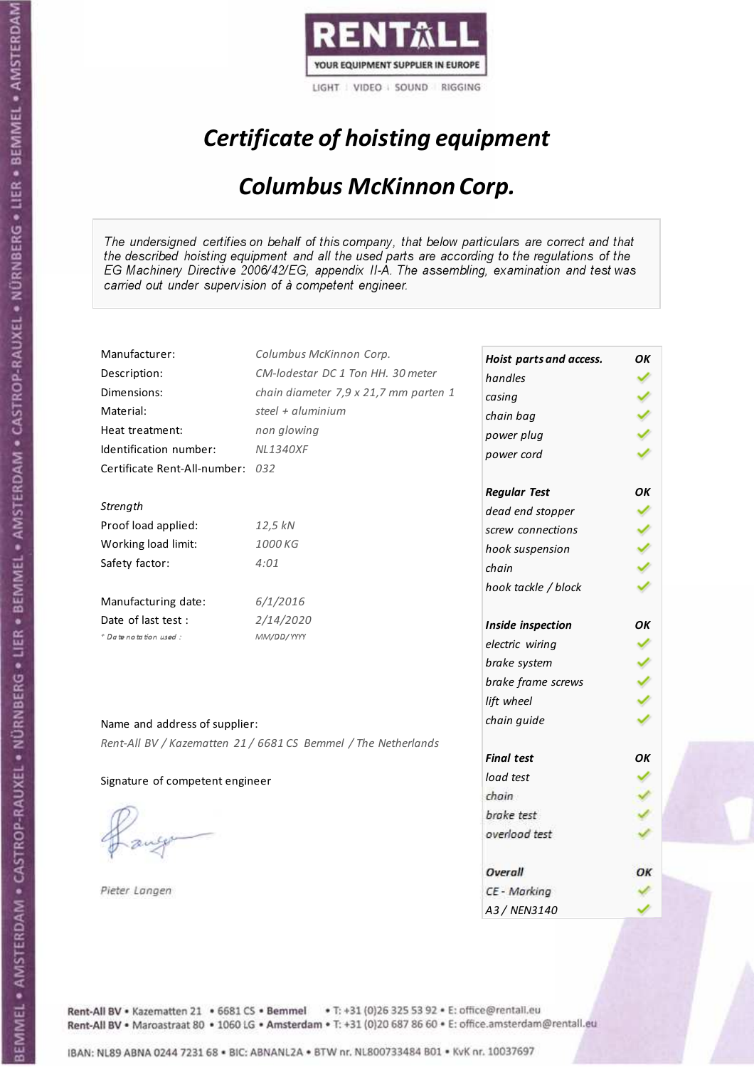

## Certificate of hoisting equipment

#### Columbus McKinnon Corp.

The undersigned certifies on behalf of this company, that below particulars are correct and that the described hoisting equipment and all the used parts are according to the regulations of the EG Machinery Directive 2006/42/EG, appendix II-A. The assembling, examination and test was carried out under supervision of à competent engineer.

| Manufacturer:                    | Columbus McKinnon Corp.                                        | Hoist parts and access. | OK |
|----------------------------------|----------------------------------------------------------------|-------------------------|----|
| Description:                     | CM-lodestar DC 1 Ton HH. 30 meter                              | handles                 |    |
| Dimensions:                      | chain diameter 7,9 x 21,7 mm parten 1                          | casing                  |    |
| Material:                        | steel + $\alpha$ luminium                                      | chain bag               |    |
| Heat treatment:                  | non glowing                                                    | power plug              |    |
| Identification number:           | <b>NL1340XF</b>                                                | power cord              |    |
| Certificate Rent-All-number: 032 |                                                                |                         |    |
|                                  |                                                                | <b>Regular Test</b>     | ОΚ |
| Strength                         |                                                                | dead end stopper        |    |
| Proof load applied:              | 12,5 kN                                                        | screw connections       |    |
| Working load limit:              | 1000 KG                                                        | hook suspension         |    |
| Safety factor:                   | 4:01                                                           | chain                   |    |
|                                  |                                                                | hook tackle / block     |    |
| Manufacturing date:              | 6/1/2016                                                       |                         |    |
| Date of last test :              | 2/14/2020                                                      | Inside inspection       | ОΚ |
| + Date notation used:            | MM/DD/YYYY                                                     | electric wiring         |    |
|                                  |                                                                | brake system            |    |
|                                  |                                                                | brake frame screws      |    |
|                                  |                                                                | lift wheel              |    |
| Name and address of supplier:    |                                                                | chain guide             |    |
|                                  |                                                                |                         |    |
|                                  | Rent-All BV / Kazematten 21 / 6681 CS Bemmel / The Netherlands | <b>Final test</b>       | OK |
| Signature of competent engineer  |                                                                | load test               |    |
|                                  |                                                                | chain                   |    |
|                                  |                                                                | brake test              |    |
|                                  |                                                                | overload test           |    |
|                                  |                                                                |                         |    |
|                                  |                                                                | Overall                 | OК |
| Pieter Langen                    |                                                                | CE - Marking            |    |
|                                  |                                                                | A3 / NEN3140            |    |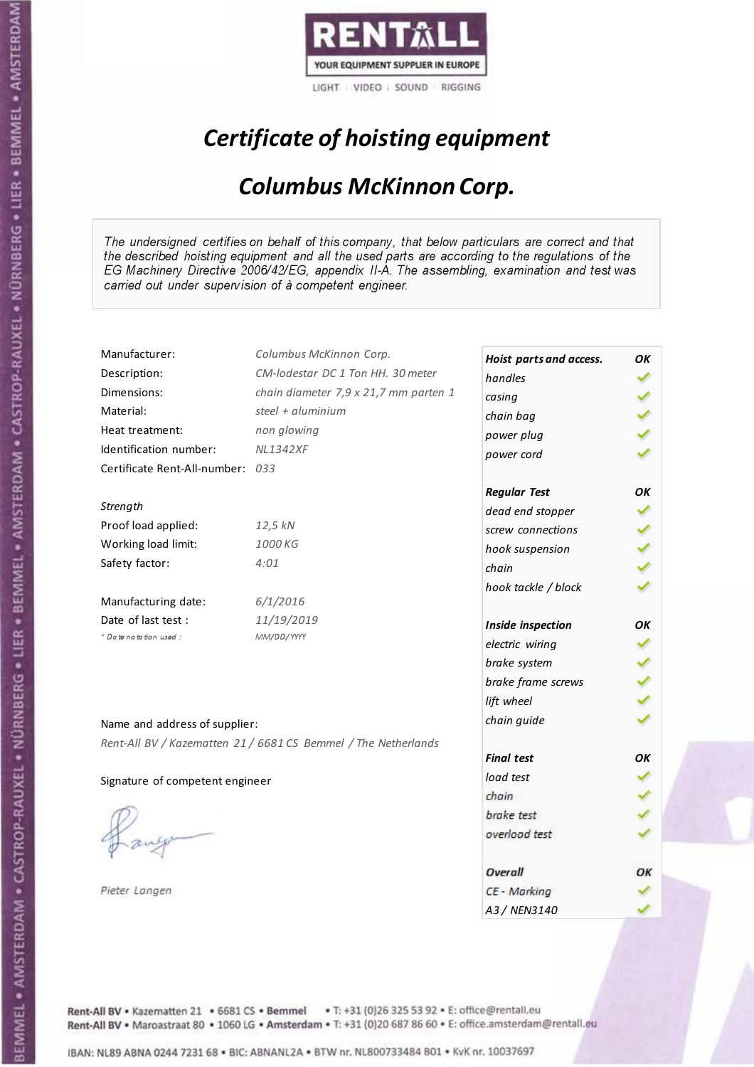

## Certificate of hoisting equipment

#### Columbus McKinnon Corp.

The undersigned certifies on behalf of this company, that below particulars are correct and that the described hoisting equipment and all the used parts are according to the regulations of the EG Machinery Directive 2006/42/EG, appendix II-A. The assembling, examination and test was carried out under supervision of à competent engineer.

| Manufacturer:                    | Columbus McKinnon Corp.                                        | Hoist parts and access. | OK |
|----------------------------------|----------------------------------------------------------------|-------------------------|----|
| Description:                     | CM-lodestar DC 1 Ton HH. 30 meter                              | handles                 |    |
| Dimensions:                      | chain diameter 7,9 x 21,7 mm parten 1                          | casing                  |    |
| Material:                        | steel + aluminium                                              | chain bag               |    |
| Heat treatment:                  | non glowing                                                    | power plug              |    |
| Identification number:           | <b>NL1342XF</b>                                                | power cord              |    |
| Certificate Rent-All-number: 033 |                                                                |                         |    |
|                                  |                                                                | <b>Regular Test</b>     | OK |
| Strength                         |                                                                | dead end stopper        |    |
| Proof load applied:              | 12,5 kN                                                        | screw connections       |    |
| Working load limit:              | 1000 KG                                                        | hook suspension         |    |
| Safety factor:                   | 4:01                                                           | chain                   |    |
|                                  |                                                                | hook tackle / block     |    |
| Manufacturing date:              | 6/1/2016                                                       |                         |    |
| Date of last test :              | 11/19/2019                                                     | Inside inspection       | OΚ |
| * Date notation used :           | MM/DD/YYYY                                                     | electric wiring         |    |
|                                  |                                                                | brake system            |    |
|                                  |                                                                | brake frame screws      |    |
|                                  |                                                                | lift wheel              |    |
|                                  |                                                                | chain guide             |    |
| Name and address of supplier:    |                                                                |                         |    |
|                                  | Rent-All BV / Kazematten 21 / 6681 CS Bemmel / The Netherlands | <b>Final test</b>       | OK |
|                                  |                                                                | load test               |    |
| Signature of competent engineer  |                                                                | chain                   |    |
|                                  |                                                                | brake test              |    |
|                                  |                                                                | overload test           |    |
|                                  |                                                                |                         |    |
|                                  |                                                                | Overall                 | ОК |
| Pieter Langen                    |                                                                | CE - Marking            |    |
|                                  |                                                                | A3 / NEN3140            |    |

Rent-All BV . Kazematten 21 . 6681 CS . Bemmel . T: +31 (0)26 325 53 92 . E: office@rentall.eu Rent-All BV · Maroastraat 80 · 1060 LG · Amsterdam · T: +31 (0)20 687 86 60 · E: office.amsterdam@rentall.eu

IBAN: NL89 ABNA 0244 7231 68 . BIC: ABNANL2A . BTW nr. NL800733484 B01 . KvK nr. 10037697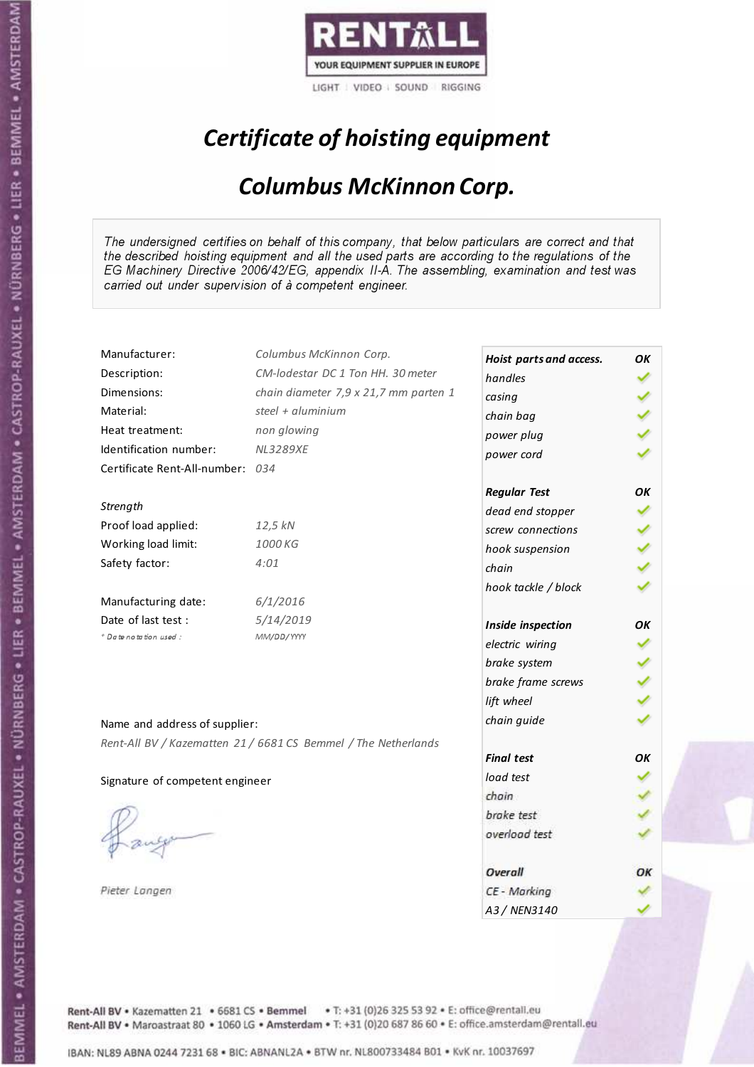

## Certificate of hoisting equipment

#### Columbus McKinnon Corp.

The undersigned certifies on behalf of this company, that below particulars are correct and that the described hoisting equipment and all the used parts are according to the regulations of the EG Machinery Directive 2006/42/EG, appendix II-A. The assembling, examination and test was carried out under supervision of à competent engineer.

| Manufacturer:                    | Columbus McKinnon Corp.                                        | Hoist parts and access. | ΟK |
|----------------------------------|----------------------------------------------------------------|-------------------------|----|
| Description:                     | CM-lodestar DC 1 Ton HH. 30 meter                              | handles                 |    |
| Dimensions:                      | chain diameter 7,9 x 21,7 mm parten 1                          | casing                  |    |
| Material:                        | steel + aluminium                                              | chain bag               |    |
| Heat treatment:                  | non glowing                                                    | power plug              |    |
| Identification number:           | <b>NL3289XE</b>                                                | power cord              |    |
| Certificate Rent-All-number: 034 |                                                                |                         |    |
|                                  |                                                                | <b>Regular Test</b>     | OK |
| Strength                         |                                                                | dead end stopper        |    |
| Proof load applied:              | 12,5 kN                                                        | screw connections       |    |
| Working load limit:              | 1000 KG                                                        | hook suspension         |    |
| Safety factor:                   | 4:01                                                           | chain                   |    |
|                                  |                                                                | hook tackle / block     |    |
| Manufacturing date:              | 6/1/2016                                                       |                         |    |
| Date of last test:               | 5/14/2019                                                      | Inside inspection       | OК |
| * Date notation used :           | MM/DD/YYYY                                                     | electric wiring         |    |
|                                  |                                                                | brake system            |    |
|                                  |                                                                | brake frame screws      |    |
|                                  |                                                                | lift wheel              |    |
| Name and address of supplier:    |                                                                | chain guide             |    |
|                                  | Rent-All BV / Kazematten 21 / 6681 CS Bemmel / The Netherlands |                         |    |
|                                  |                                                                | <b>Final test</b>       | OK |
| Signature of competent engineer  |                                                                | load test               |    |
|                                  |                                                                | chain                   |    |
|                                  |                                                                | brake test              |    |
|                                  |                                                                | overload test           |    |
|                                  |                                                                |                         |    |
|                                  |                                                                | Overall                 | OК |
| Pieter Langen                    |                                                                | CE - Marking            |    |
|                                  |                                                                | A3 / NEN3140            |    |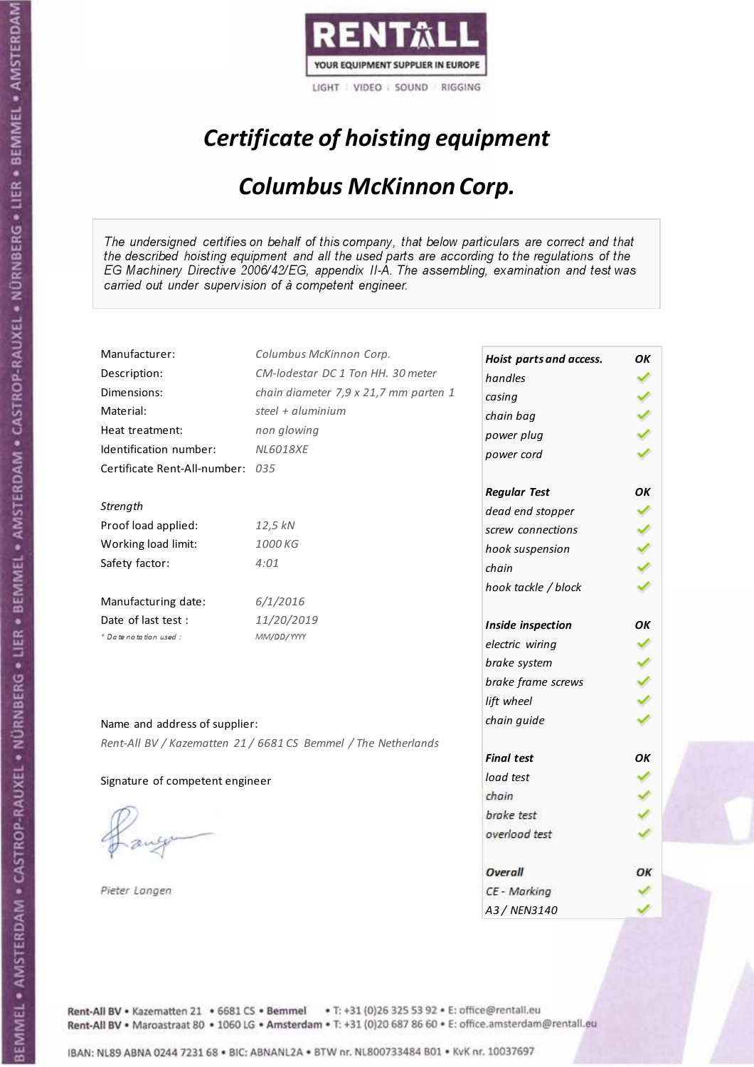

# Certificate of hoisting equipment

#### Columbus McKinnon Corp.

The undersigned certifies on behalf of this company, that below particulars are correct and that the described hoisting equipment and all the used parts are according to the regulations of the EG Machinery Directive 2006/42/EG, appendix II-A. The assembling, examination and test was carried out under supervision of à competent engineer.

| Manufacturer:                    | Columbus McKinnon Corp.                                        | Hoist parts and access. | ΟK |
|----------------------------------|----------------------------------------------------------------|-------------------------|----|
| Description:                     | CM-lodestar DC 1 Ton HH. 30 meter                              | handles                 |    |
| Dimensions:                      | chain diameter 7,9 x 21,7 mm parten 1                          | casing                  |    |
| Material:                        | steel + aluminium                                              | chain bag               |    |
| Heat treatment:                  | non glowing                                                    | power plug              |    |
| Identification number:           | <b>NL6018XE</b>                                                | power cord              |    |
| Certificate Rent-All-number: 035 |                                                                |                         |    |
|                                  |                                                                | <b>Regular Test</b>     | ΟK |
| Strength                         |                                                                | dead end stopper        |    |
| Proof load applied:              | 12,5 kN                                                        | screw connections       |    |
| Working load limit:              | 1000 KG                                                        | hook suspension         |    |
| Safety factor:                   | 4:01                                                           | chain                   |    |
|                                  |                                                                | hook tackle / block     |    |
| Manufacturing date:              | 6/1/2016                                                       |                         |    |
| Date of last test :              | 11/20/2019                                                     | Inside inspection       | ОΚ |
| + Date notation used:            | MM/DD/YYYY                                                     | electric wiring         |    |
|                                  |                                                                | brake system            |    |
|                                  |                                                                | brake frame screws      |    |
|                                  |                                                                | lift wheel              |    |
| Name and address of supplier:    |                                                                | chain guide             |    |
|                                  | Rent-All BV / Kazematten 21 / 6681 CS Bemmel / The Netherlands |                         |    |
|                                  |                                                                | <b>Final test</b>       | OK |
| Signature of competent engineer  |                                                                | load test               |    |
|                                  |                                                                | chain                   |    |
|                                  |                                                                | brake test              |    |
|                                  |                                                                | overload test           |    |
|                                  |                                                                |                         |    |
|                                  |                                                                | Overall                 | ОК |
| Pieter Langen                    |                                                                | CE - Marking            |    |
|                                  |                                                                | A3 / NEN3140            |    |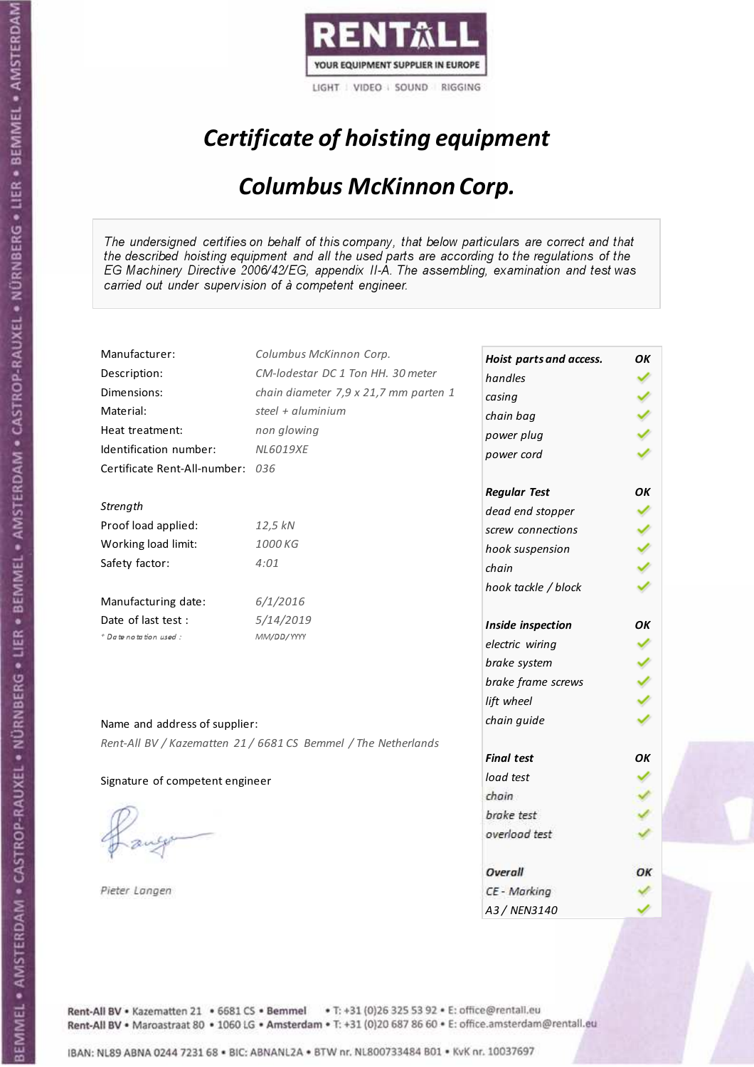

## Certificate of hoisting equipment

#### Columbus McKinnon Corp.

The undersigned certifies on behalf of this company, that below particulars are correct and that the described hoisting equipment and all the used parts are according to the regulations of the EG Machinery Directive 2006/42/EG, appendix II-A. The assembling, examination and test was carried out under supervision of à competent engineer.

| Manufacturer:                    | Columbus McKinnon Corp.                                        | Hoist parts and access. | OK |
|----------------------------------|----------------------------------------------------------------|-------------------------|----|
| Description:                     | CM-lodestar DC 1 Ton HH, 30 meter                              | handles                 |    |
| Dimensions:                      | chain diameter 7,9 x 21,7 mm parten 1                          | casing                  |    |
| Material:                        | steel + $aluminim$                                             | chain bag               |    |
| Heat treatment:                  | non glowing                                                    | power plug              |    |
| Identification number:           | <b>NL6019XE</b>                                                | power cord              |    |
| Certificate Rent-All-number: 036 |                                                                |                         |    |
|                                  |                                                                | <b>Regular Test</b>     | OK |
| Strength                         |                                                                | dead end stopper        |    |
| Proof load applied:              | 12,5 kN                                                        | screw connections       |    |
| Working load limit:              | 1000 KG                                                        | hook suspension         |    |
| Safety factor:                   | 4:01                                                           | chain                   |    |
|                                  |                                                                | hook tackle / block     |    |
| Manufacturing date:              | 6/1/2016                                                       |                         |    |
| Date of last test:               | 5/14/2019                                                      | Inside inspection       | ОК |
| * Date notation used :           | MM/DD/YYYY                                                     | electric wiring         |    |
|                                  |                                                                | brake system            |    |
|                                  |                                                                | brake frame screws      |    |
|                                  |                                                                | lift wheel              |    |
|                                  |                                                                | chain guide             |    |
| Name and address of supplier:    |                                                                |                         |    |
|                                  | Rent-All BV / Kazematten 21 / 6681 CS Bemmel / The Netherlands | <b>Final test</b>       | OK |
|                                  |                                                                | load test               |    |
| Signature of competent engineer  |                                                                | chain                   |    |
|                                  |                                                                | brake test              |    |
|                                  |                                                                | overload test           |    |
|                                  |                                                                |                         |    |
|                                  |                                                                | Overall                 | ОΚ |
| Pieter Langen                    |                                                                | CE - Marking            |    |
|                                  |                                                                | A3 / NEN3140            |    |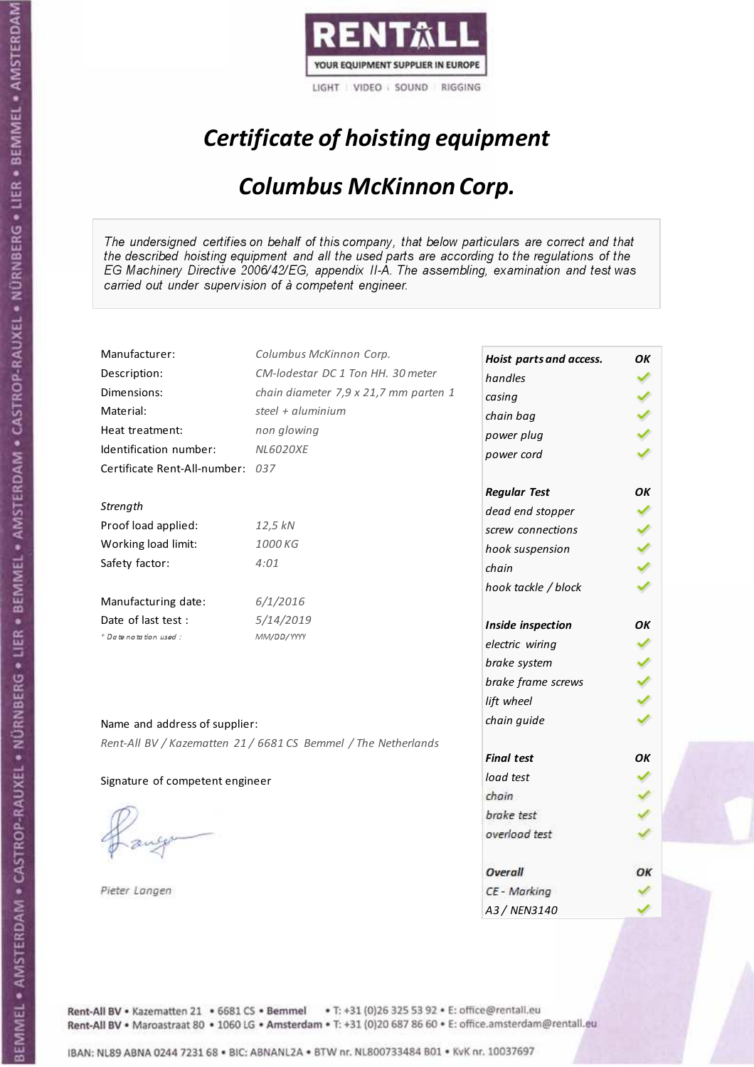

## Certificate of hoisting equipment

### Columbus McKinnon Corp.

The undersigned certifies on behalf of this company, that below particulars are correct and that the described hoisting equipment and all the used parts are according to the regulations of the EG Machinery Directive 2006/42/EG, appendix II-A. The assembling, examination and test was carried out under supervision of à competent engineer.

| Manufacturer:                    | Columbus McKinnon Corp.                                        | Hoist parts and access. | ΟK |
|----------------------------------|----------------------------------------------------------------|-------------------------|----|
| Description:                     | CM-lodestar DC 1 Ton HH, 30 meter                              | handles                 |    |
| Dimensions:                      | chain diameter 7,9 x 21,7 mm parten 1                          | casing                  |    |
| Material:                        | steel + $\alpha$ luminium                                      | chain bag               |    |
| Heat treatment:                  | non glowing                                                    | power plug              |    |
| Identification number:           | <b>NL6020XE</b>                                                | power cord              |    |
| Certificate Rent-All-number: 037 |                                                                |                         |    |
|                                  |                                                                | <b>Regular Test</b>     | OK |
| Strength                         |                                                                | dead end stopper        |    |
| Proof load applied:              | 12,5 kN                                                        | screw connections       |    |
| Working load limit:              | 1000 KG                                                        | hook suspension         |    |
| Safety factor:                   | 4:01                                                           | chain                   |    |
|                                  |                                                                | hook tackle / block     |    |
| Manufacturing date:              | 6/1/2016                                                       |                         |    |
| Date of last test :              | 5/14/2019                                                      | Inside inspection       | OK |
| + Date notation used:            | MM/DD/YYYY                                                     | electric wiring         |    |
|                                  |                                                                | brake system            |    |
|                                  |                                                                | brake frame screws      |    |
|                                  |                                                                | lift wheel              |    |
| Name and address of supplier:    |                                                                | chain guide             |    |
|                                  | Rent-All BV / Kazematten 21 / 6681 CS Bemmel / The Netherlands |                         |    |
|                                  |                                                                | <b>Final test</b>       | OK |
| Signature of competent engineer  |                                                                | load test               |    |
|                                  |                                                                | chain                   |    |
|                                  |                                                                | brake test              |    |
|                                  |                                                                | overload test           |    |
|                                  |                                                                |                         |    |
|                                  |                                                                | Overall                 | ОΚ |
| Pieter Langen                    |                                                                | CE - Marking            |    |
|                                  |                                                                | A3 / NEN3140            |    |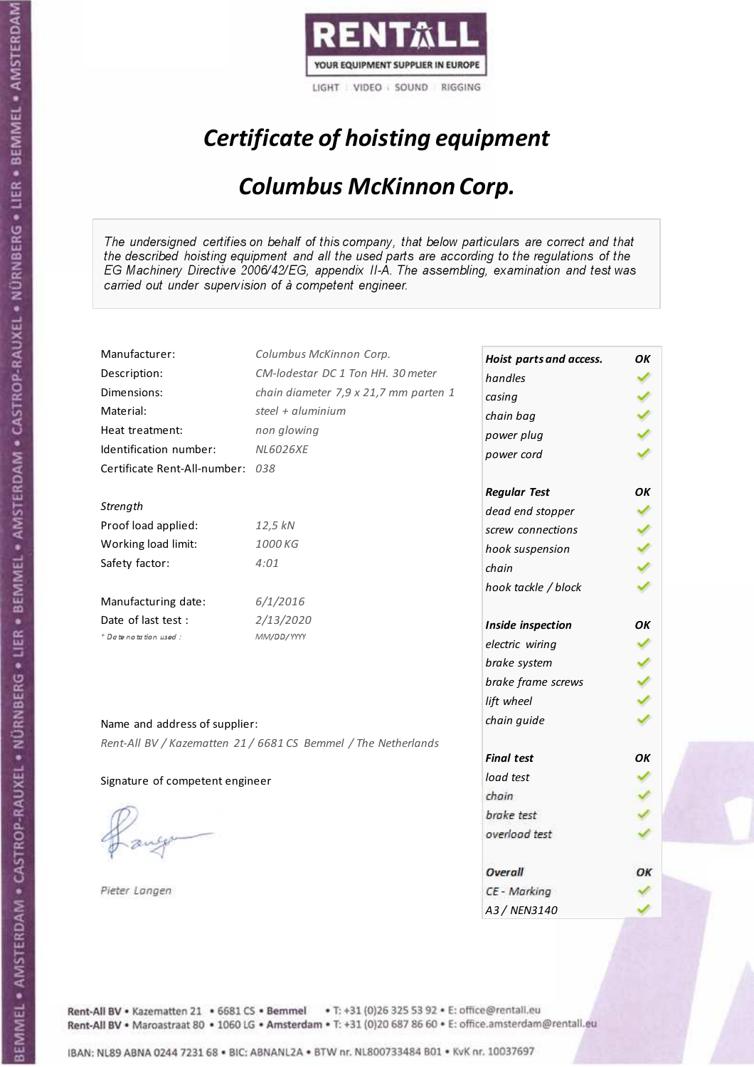

## Certificate of hoisting equipment

### Columbus McKinnon Corp.

The undersigned certifies on behalf of this company, that below particulars are correct and that the described hoisting equipment and all the used parts are according to the regulations of the EG Machinery Directive 2006/42/EG, appendix II-A. The assembling, examination and test was carried out under supervision of à competent engineer.

| Manufacturer:                    | Columbus McKinnon Corp.                                        | Hoist parts and access. | OK |
|----------------------------------|----------------------------------------------------------------|-------------------------|----|
| Description:                     | CM-lodestar DC 1 Ton HH. 30 meter                              | handles                 |    |
| Dimensions:                      | chain diameter 7,9 x 21,7 mm parten 1                          | casing                  |    |
| Material:                        | steel + $\alpha$ luminium                                      | chain bag               |    |
| Heat treatment:                  | non glowing                                                    | power plug              |    |
| Identification number:           | <b>NL6026XE</b>                                                | power cord              |    |
| Certificate Rent-All-number: 038 |                                                                |                         |    |
|                                  |                                                                | <b>Regular Test</b>     | OK |
| Strength                         |                                                                | dead end stopper        |    |
| Proof load applied:              | 12,5 kN                                                        | screw connections       |    |
| Working load limit:              | 1000 KG                                                        | hook suspension         |    |
| Safety factor:                   | 4:01                                                           | chain                   |    |
|                                  |                                                                | hook tackle / block     |    |
| Manufacturing date:              | 6/1/2016                                                       |                         |    |
| Date of last test:               | 2/13/2020                                                      | Inside inspection       | OK |
| * Date notation used :           | MM/DD/YYYY                                                     | electric wiring         |    |
|                                  |                                                                | brake system            |    |
|                                  |                                                                | brake frame screws      |    |
|                                  |                                                                | lift wheel              |    |
|                                  |                                                                | chain guide             |    |
| Name and address of supplier:    |                                                                |                         |    |
|                                  | Rent-All BV / Kazematten 21 / 6681 CS Bemmel / The Netherlands | <b>Final test</b>       | OK |
|                                  |                                                                | load test               |    |
| Signature of competent engineer  |                                                                | chain                   |    |
|                                  |                                                                | brake test              |    |
|                                  |                                                                | overload test           |    |
|                                  |                                                                |                         |    |
|                                  |                                                                | Overall                 | ОΚ |
| Pieter Langen                    |                                                                | CE - Marking            |    |
|                                  |                                                                | A3 / NEN3140            |    |

Rent-All BV . Kazematten 21 . 6681 CS . Bemmel . T: +31 (0)26 325 53 92 . E: office@rentall.eu Rent-All BV · Maroastraat 80 · 1060 LG · Amsterdam · T: +31 (0)20 687 86 60 · E: office.amsterdam@rentall.eu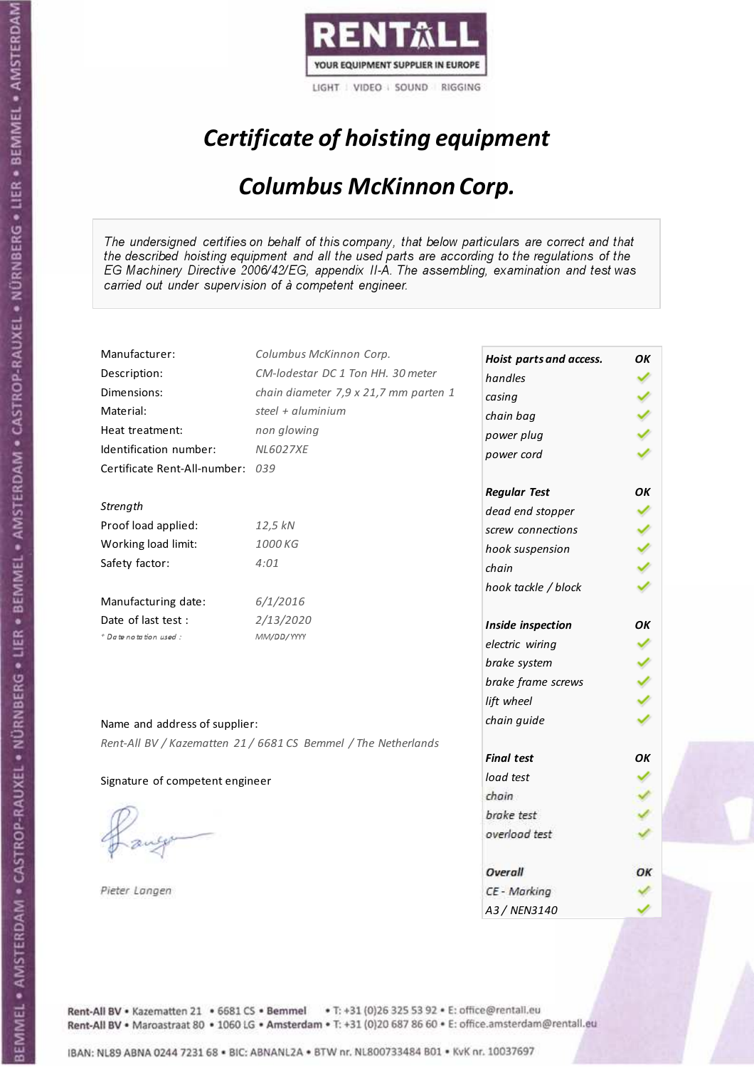

## Certificate of hoisting equipment

### Columbus McKinnon Corp.

The undersigned certifies on behalf of this company, that below particulars are correct and that the described hoisting equipment and all the used parts are according to the regulations of the EG Machinery Directive 2006/42/EG, appendix II-A. The assembling, examination and test was carried out under supervision of à competent engineer.

| Manufacturer:                    | Columbus McKinnon Corp.                                        | Hoist parts and access. | OK |
|----------------------------------|----------------------------------------------------------------|-------------------------|----|
| Description:                     | CM-lodestar DC 1 Ton HH. 30 meter                              | handles                 |    |
| Dimensions:                      | chain diameter 7,9 x 21,7 mm parten 1                          | casing                  |    |
| Material:                        | steel + aluminium                                              | chain bag               |    |
| Heat treatment:                  | non glowing                                                    | power plug              |    |
| Identification number:           | <b>NL6027XE</b>                                                | power cord              |    |
| Certificate Rent-All-number: 039 |                                                                |                         |    |
|                                  |                                                                | <b>Regular Test</b>     | OK |
| Strength                         |                                                                | dead end stopper        |    |
| Proof load applied:              | 12,5 kN                                                        | screw connections       |    |
| Working load limit:              | 1000 KG                                                        | hook suspension         |    |
| Safety factor:                   | 4:01                                                           | chain                   |    |
|                                  |                                                                | hook tackle / block     |    |
| Manufacturing date:              | 6/1/2016                                                       |                         |    |
| Date of last test :              | 2/13/2020                                                      | Inside inspection       | OK |
| + Date notation used:            | MM/DD/YYYY                                                     | electric wiring         |    |
|                                  |                                                                | brake system            |    |
|                                  |                                                                | brake frame screws      |    |
|                                  |                                                                | lift wheel              |    |
| Name and address of supplier:    |                                                                | chain guide             |    |
|                                  | Rent-All BV / Kazematten 21 / 6681 CS Bemmel / The Netherlands |                         |    |
|                                  |                                                                | <b>Final test</b>       | OΚ |
| Signature of competent engineer  |                                                                | load test               |    |
|                                  |                                                                | chain                   |    |
|                                  |                                                                | brake test              |    |
|                                  |                                                                | overload test           |    |
|                                  |                                                                |                         |    |
|                                  |                                                                | Overall                 | ОΚ |
| Pieter Langen                    |                                                                | CE - Marking            |    |
|                                  |                                                                | A3 / NEN3140            |    |

Rent-All BV . Kazematten 21 . 6681 CS . Bemmel . T: +31 (0)26 325 53 92 . E: office@rentall.eu Rent-All BV · Maroastraat 80 · 1060 LG · Amsterdam · T: +31 (0)20 687 86 60 · E: office.amsterdam@rentall.eu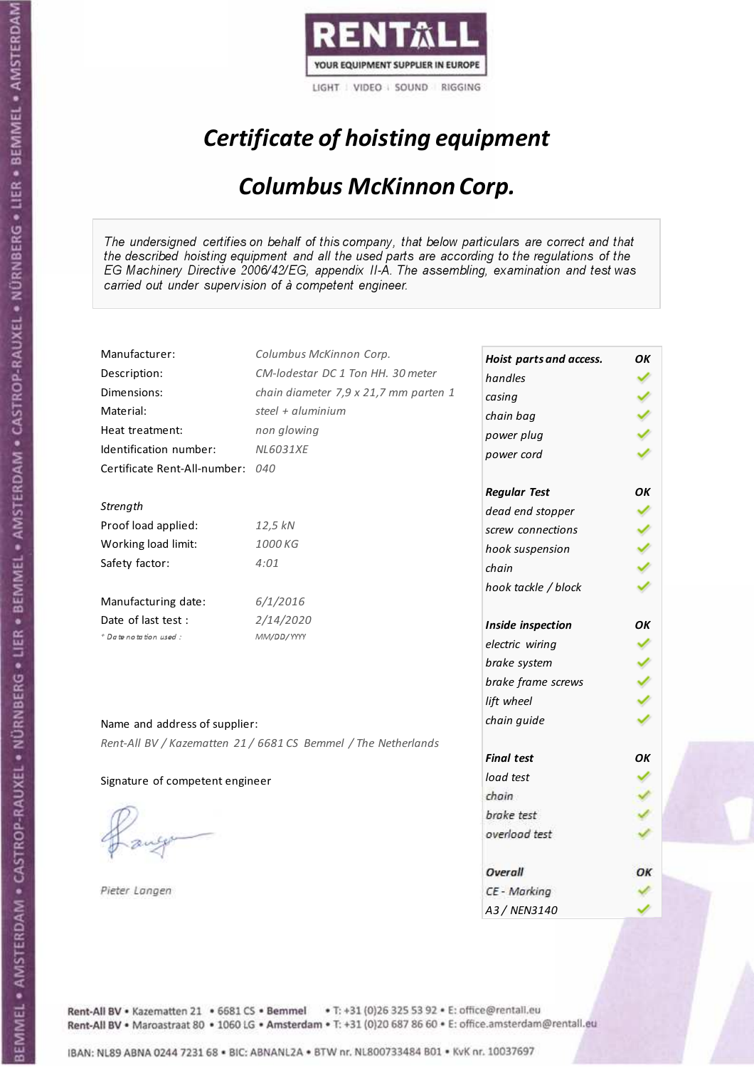

## Certificate of hoisting equipment

### Columbus McKinnon Corp.

The undersigned certifies on behalf of this company, that below particulars are correct and that the described hoisting equipment and all the used parts are according to the regulations of the EG Machinery Directive 2006/42/EG, appendix II-A. The assembling, examination and test was carried out under supervision of à competent engineer.

| Manufacturer:                   | Columbus McKinnon Corp.                                        | Hoist parts and access. | ΟK |
|---------------------------------|----------------------------------------------------------------|-------------------------|----|
| Description:                    | CM-lodestar DC 1 Ton HH. 30 meter                              | handles                 |    |
| Dimensions:                     | chain diameter 7,9 x 21,7 mm parten 1                          | casing                  |    |
| Material:                       | steel + $aluminim$                                             | chain bag               |    |
| Heat treatment:                 | non glowing                                                    | power plug              |    |
| Identification number:          | <b>NL6031XE</b>                                                | power cord              |    |
| Certificate Rent-All-number:    | 040                                                            |                         |    |
|                                 |                                                                | <b>Regular Test</b>     | ОΚ |
| Strength                        |                                                                | dead end stopper        |    |
| Proof load applied:             | 12,5 kN                                                        | screw connections       |    |
| Working load limit:             | 1000 KG                                                        | hook suspension         |    |
| Safety factor:                  | 4:01                                                           | chain                   |    |
|                                 |                                                                | hook tackle / block     |    |
| Manufacturing date:             | 6/1/2016                                                       |                         |    |
| Date of last test :             | 2/14/2020                                                      | Inside inspection       | ОΚ |
| + Date notation used:           | MM/DD/YYYY                                                     | electric wiring         |    |
|                                 |                                                                | brake system            |    |
|                                 |                                                                | brake frame screws      |    |
|                                 |                                                                | lift wheel              |    |
| Name and address of supplier:   |                                                                | chain guide             |    |
|                                 | Rent-All BV / Kazematten 21 / 6681 CS Bemmel / The Netherlands |                         |    |
|                                 |                                                                | <b>Final test</b>       | OK |
| Signature of competent engineer |                                                                | load test               |    |
|                                 |                                                                | chain                   |    |
|                                 |                                                                | brake test              |    |
|                                 |                                                                | overload test           |    |
|                                 |                                                                |                         |    |
|                                 |                                                                | Overall                 | OК |
| Pieter Langen                   |                                                                | CE - Marking            |    |
|                                 |                                                                | A3 / NEN3140            |    |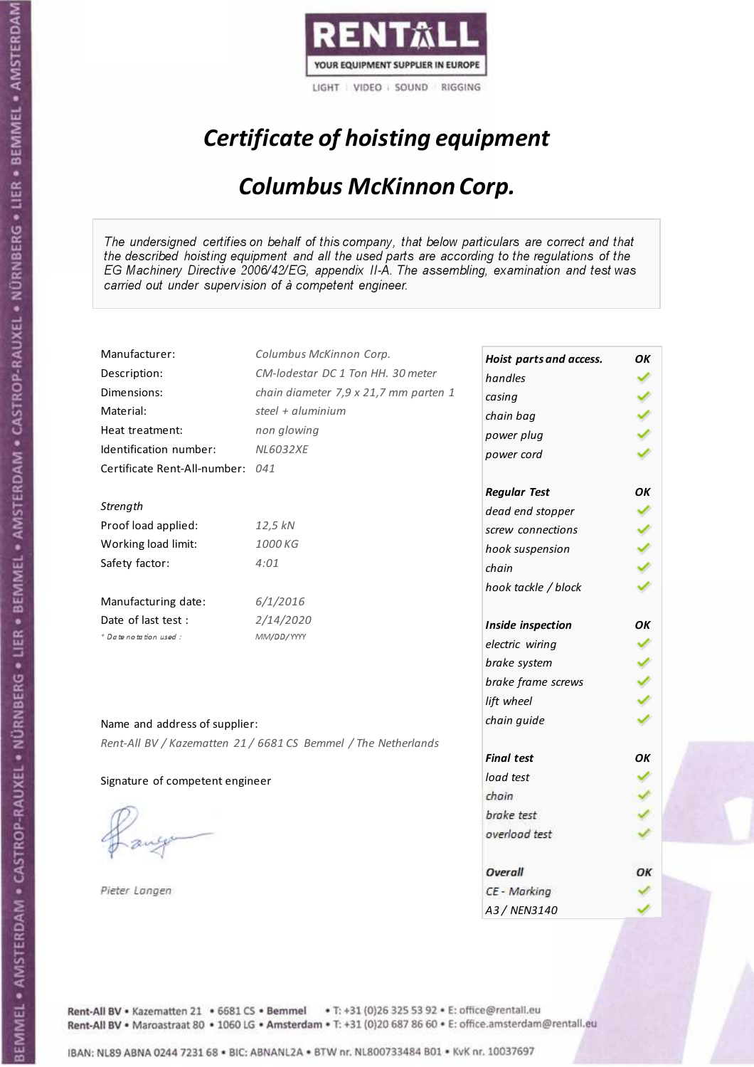

## Certificate of hoisting equipment

### Columbus McKinnon Corp.

The undersigned certifies on behalf of this company, that below particulars are correct and that the described hoisting equipment and all the used parts are according to the regulations of the EG Machinery Directive 2006/42/EG, appendix II-A. The assembling, examination and test was carried out under supervision of à competent engineer.

| Manufacturer:                    | Columbus McKinnon Corp.                                        | Hoist parts and access. | ΟK |
|----------------------------------|----------------------------------------------------------------|-------------------------|----|
| Description:                     | CM-lodestar DC 1 Ton HH, 30 meter                              | handles                 |    |
| Dimensions:                      | chain diameter 7,9 x 21,7 mm parten 1                          | casing                  |    |
| Material:                        | steel + $\alpha$ luminium                                      | chain bag               |    |
| Heat treatment:                  | non glowing                                                    | power plug              |    |
| Identification number:           | <b>NL6032XE</b>                                                | power cord              |    |
| Certificate Rent-All-number: 041 |                                                                |                         |    |
|                                  |                                                                | <b>Regular Test</b>     | OK |
| Strength                         |                                                                | dead end stopper        |    |
| Proof load applied:              | 12,5 kN                                                        | screw connections       |    |
| Working load limit:              | 1000 KG                                                        | hook suspension         |    |
| Safety factor:                   | 4:01                                                           | chain                   |    |
|                                  |                                                                | hook tackle / block     |    |
| Manufacturing date:              | 6/1/2016                                                       |                         |    |
| Date of last test :              | 2/14/2020                                                      | Inside inspection       | OK |
| + Date notation used:            | MM/DD/YYYY                                                     | electric wiring         |    |
|                                  |                                                                | brake system            |    |
|                                  |                                                                | brake frame screws      |    |
|                                  |                                                                | lift wheel              |    |
| Name and address of supplier:    |                                                                | chain guide             |    |
|                                  | Rent-All BV / Kazematten 21 / 6681 CS Bemmel / The Netherlands |                         |    |
|                                  |                                                                | <b>Final test</b>       | OK |
| Signature of competent engineer  |                                                                | load test               |    |
|                                  |                                                                | chain                   |    |
|                                  |                                                                | brake test              |    |
|                                  |                                                                | overload test           |    |
|                                  |                                                                |                         |    |
|                                  |                                                                | Overall                 | ОΚ |
| Pieter Langen                    |                                                                | CE - Marking            |    |
|                                  |                                                                | A3 / NEN3140            |    |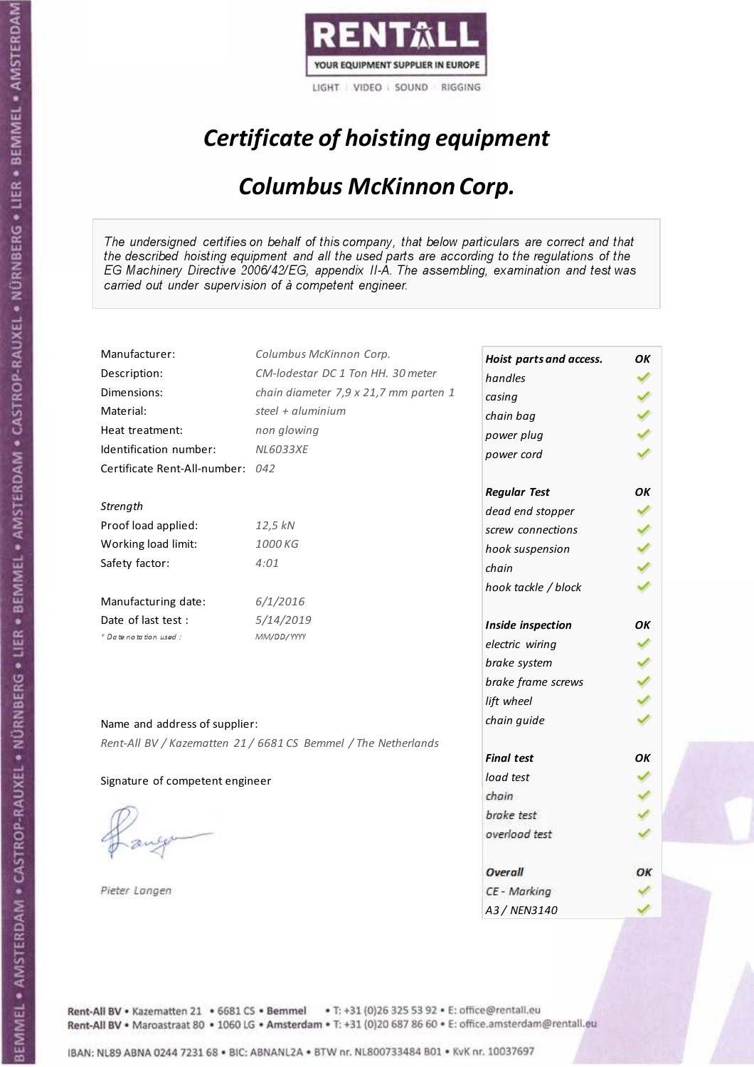

## Certificate of hoisting equipment

### Columbus McKinnon Corp.

The undersigned certifies on behalf of this company, that below particulars are correct and that the described hoisting equipment and all the used parts are according to the regulations of the EG Machinery Directive 2006/42/EG, appendix II-A. The assembling, examination and test was carried out under supervision of à competent engineer.

| Manufacturer:                    | Columbus McKinnon Corp.                                        | Hoist parts and access. | OK |
|----------------------------------|----------------------------------------------------------------|-------------------------|----|
| Description:                     | CM-lodestar DC 1 Ton HH, 30 meter                              | handles                 |    |
| Dimensions:                      | chain diameter 7,9 x 21,7 mm parten 1                          | casing                  |    |
| Material:                        | steel + $\alpha$ luminium                                      | chain bag               |    |
| Heat treatment:                  | non glowing                                                    | power plug              |    |
| Identification number:           | <b>NL6033XE</b>                                                | power cord              |    |
| Certificate Rent-All-number: 042 |                                                                |                         |    |
|                                  |                                                                | <b>Regular Test</b>     | OK |
| Strength                         |                                                                | dead end stopper        |    |
| Proof load applied:              | 12,5 kN                                                        | screw connections       |    |
| Working load limit:              | 1000 KG                                                        | hook suspension         |    |
| Safety factor:                   | 4:01                                                           | chain                   |    |
|                                  |                                                                | hook tackle / block     |    |
| Manufacturing date:              | 6/1/2016                                                       |                         |    |
| Date of last test:               | 5/14/2019                                                      | Inside inspection       | ΟK |
| * Date notation used :           | MM/DD/YYYY                                                     | electric wiring         |    |
|                                  |                                                                | brake system            |    |
|                                  |                                                                | brake frame screws      |    |
|                                  |                                                                | lift wheel              |    |
| Name and address of supplier:    |                                                                | chain guide             |    |
|                                  | Rent-All BV / Kazematten 21 / 6681 CS Bemmel / The Netherlands |                         |    |
|                                  |                                                                | <b>Final test</b>       | OK |
| Signature of competent engineer  |                                                                | load test               |    |
|                                  |                                                                | chain                   |    |
|                                  |                                                                | brake test              |    |
|                                  |                                                                | overload test           |    |
|                                  |                                                                |                         |    |
|                                  |                                                                | Overall                 | ОΚ |
| Pieter Langen                    |                                                                | CE - Marking            |    |
|                                  |                                                                | A3 / NEN3140            |    |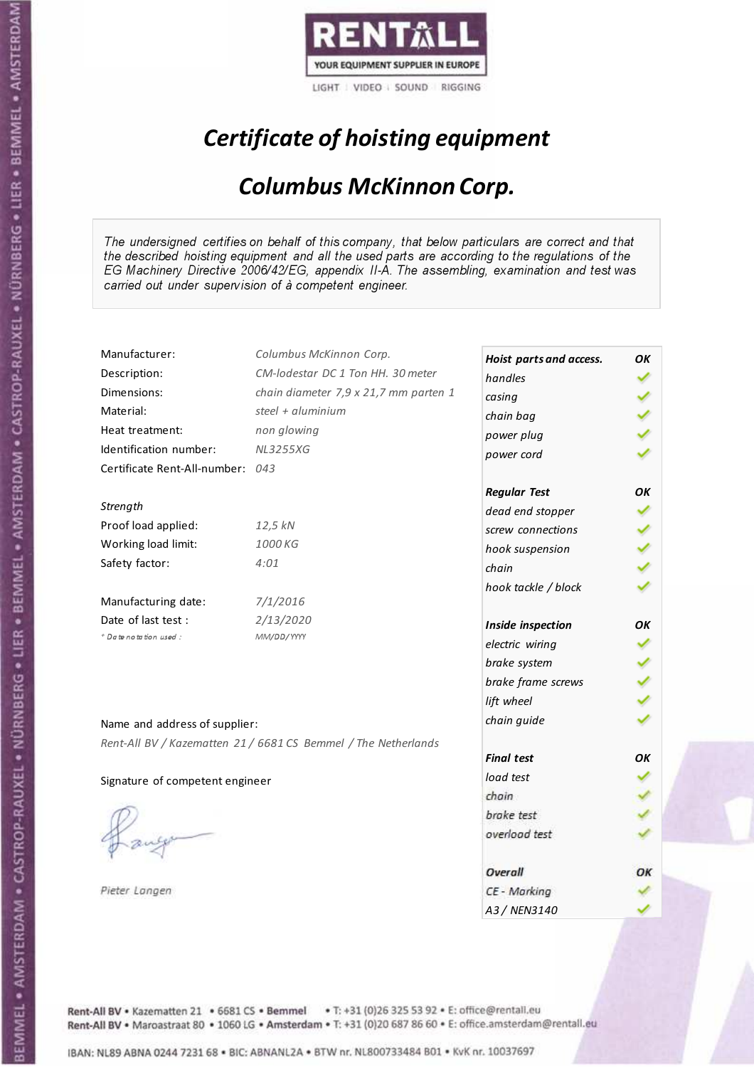

## Certificate of hoisting equipment

### Columbus McKinnon Corp.

The undersigned certifies on behalf of this company, that below particulars are correct and that the described hoisting equipment and all the used parts are according to the regulations of the EG Machinery Directive 2006/42/EG, appendix II-A. The assembling, examination and test was carried out under supervision of à competent engineer.

| Manufacturer:                    | Columbus McKinnon Corp.                                        | Hoist parts and access. | OK |
|----------------------------------|----------------------------------------------------------------|-------------------------|----|
| Description:                     | CM-lodestar DC 1 Ton HH. 30 meter                              | handles                 |    |
| Dimensions:                      | chain diameter 7,9 x 21,7 mm parten 1                          | casing                  |    |
| Material:                        | steel + aluminium                                              | chain bag               |    |
| Heat treatment:                  | non glowing                                                    | power plug              |    |
| Identification number:           | <b>NL3255XG</b>                                                | power cord              |    |
| Certificate Rent-All-number: 043 |                                                                |                         |    |
|                                  |                                                                | <b>Regular Test</b>     | OK |
| Strength                         |                                                                | dead end stopper        |    |
| Proof load applied:              | 12,5 kN                                                        | screw connections       |    |
| Working load limit:              | 1000 KG                                                        | hook suspension         |    |
| Safety factor:                   | 4:01                                                           | chain                   |    |
|                                  |                                                                | hook tackle / block     |    |
| Manufacturing date:              | 7/1/2016                                                       |                         |    |
| Date of last test :              | 2/13/2020                                                      | Inside inspection       | OK |
| + Date notation used:            | MM/DD/YYYY                                                     | electric wiring         |    |
|                                  |                                                                | brake system            |    |
|                                  |                                                                | brake frame screws      |    |
|                                  |                                                                | lift wheel              |    |
| Name and address of supplier:    |                                                                | chain guide             |    |
|                                  | Rent-All BV / Kazematten 21 / 6681 CS Bemmel / The Netherlands |                         |    |
|                                  |                                                                | <b>Final test</b>       | OK |
| Signature of competent engineer  |                                                                | load test               |    |
|                                  |                                                                | chain                   |    |
|                                  |                                                                | brake test              |    |
|                                  |                                                                | overload test           |    |
|                                  |                                                                |                         |    |
|                                  |                                                                | Overall                 | ОΚ |
| Pieter Langen                    |                                                                | CE - Marking            |    |
|                                  |                                                                | A3 / NEN3140            |    |

Rent-All BV . Kazematten 21 . 6681 CS . Bemmel . T: +31 (0)26 325 53 92 . E: office@rentall.eu Rent-All BV · Maroastraat 80 · 1060 LG · Amsterdam · T: +31 (0)20 687 86 60 · E: office.amsterdam@rentall.eu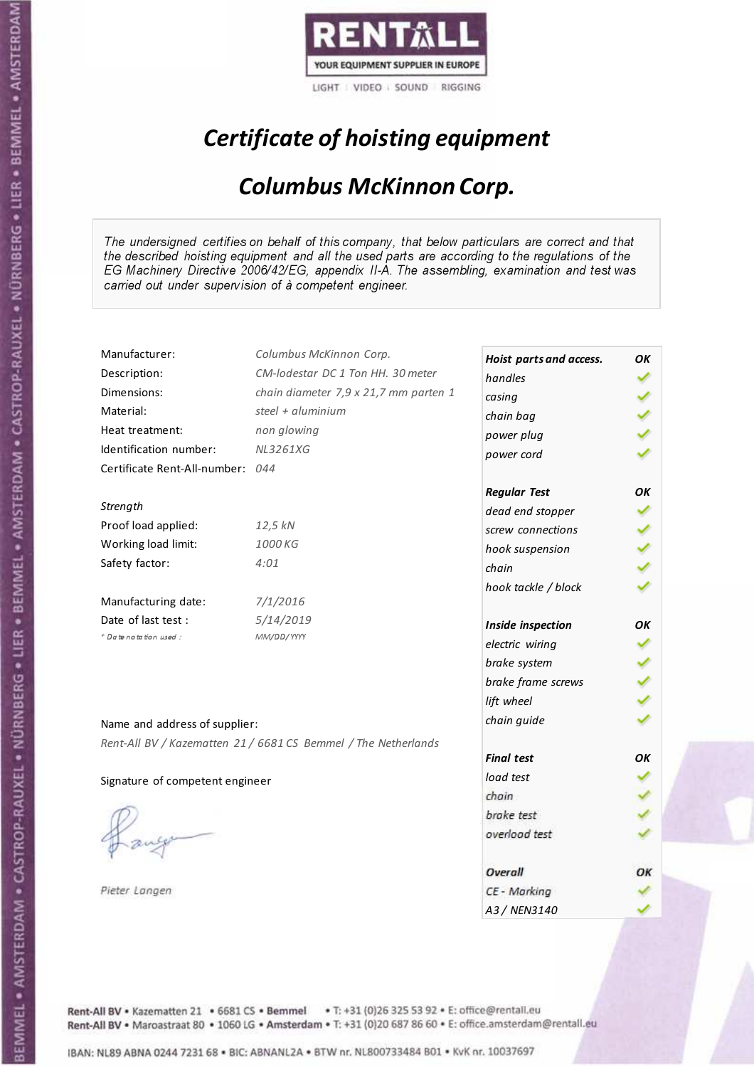

## Certificate of hoisting equipment

### Columbus McKinnon Corp.

The undersigned certifies on behalf of this company, that below particulars are correct and that the described hoisting equipment and all the used parts are according to the regulations of the EG Machinery Directive 2006/42/EG, appendix II-A. The assembling, examination and test was carried out under supervision of à competent engineer.

| Manufacturer:                   | Columbus McKinnon Corp.                                        | Hoist parts and access. | OK |
|---------------------------------|----------------------------------------------------------------|-------------------------|----|
| Description:                    | CM-lodestar DC 1 Ton HH. 30 meter                              | handles                 |    |
| Dimensions:                     | chain diameter 7,9 x 21,7 mm parten 1                          | casing                  |    |
| Material:                       | steel + $\alpha$ luminium                                      | chain bag               |    |
| Heat treatment:                 | non glowing                                                    | power plug              |    |
| Identification number:          | <b>NL3261XG</b>                                                | power cord              |    |
| Certificate Rent-All-number:    | 044                                                            |                         |    |
|                                 |                                                                | <b>Regular Test</b>     | ΟK |
| Strength                        |                                                                | dead end stopper        |    |
| Proof load applied:             | 12,5 kN                                                        | screw connections       |    |
| Working load limit:             | 1000 KG                                                        | hook suspension         |    |
| Safety factor:                  | 4:01                                                           | chain                   |    |
|                                 |                                                                | hook tackle / block     |    |
| Manufacturing date:             | 7/1/2016                                                       |                         |    |
| Date of last test :             | 5/14/2019                                                      | Inside inspection       | ОΚ |
| + Date notation used:           | MM/DD/YYYY                                                     | electric wiring         |    |
|                                 |                                                                | brake system            |    |
|                                 |                                                                | brake frame screws      |    |
|                                 |                                                                | lift wheel              |    |
| Name and address of supplier:   |                                                                | chain guide             |    |
|                                 | Rent-All BV / Kazematten 21 / 6681 CS Bemmel / The Netherlands |                         |    |
|                                 |                                                                | <b>Final test</b>       | OK |
| Signature of competent engineer |                                                                | load test               |    |
|                                 |                                                                | chain                   |    |
|                                 |                                                                | brake test              |    |
|                                 |                                                                | overload test           |    |
|                                 |                                                                |                         |    |
|                                 |                                                                | Overall                 | OК |
| Pieter Langen                   |                                                                | CE - Marking            |    |
|                                 |                                                                | A3 / NEN3140            |    |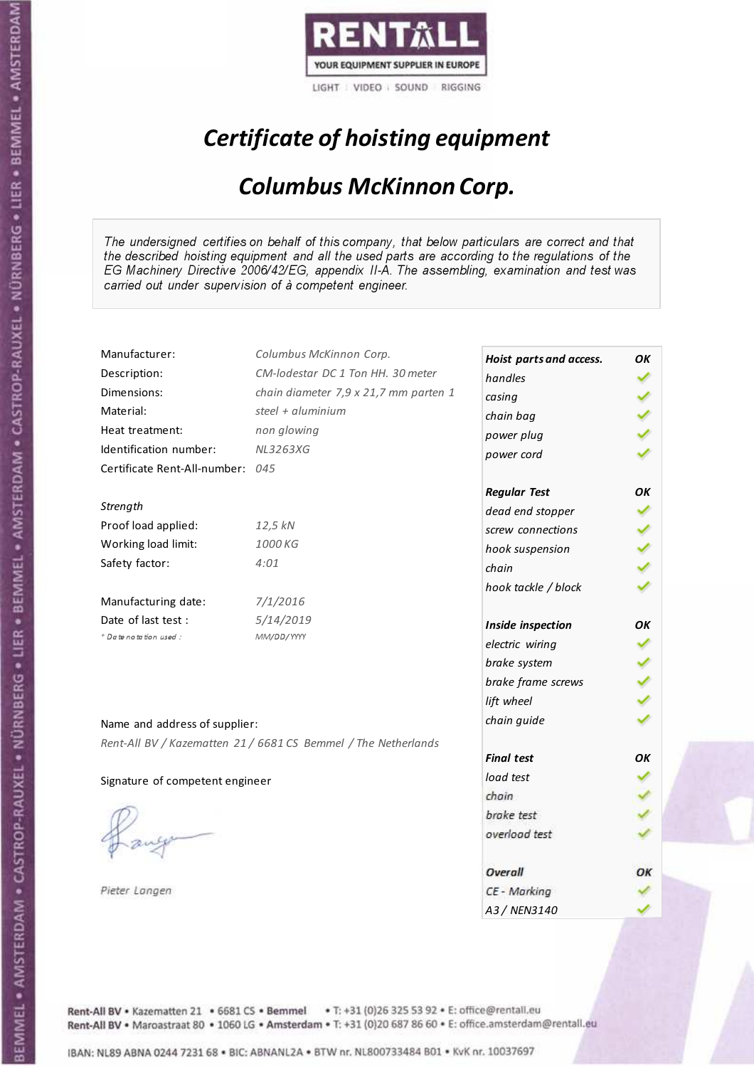

## Certificate of hoisting equipment

### Columbus McKinnon Corp.

The undersigned certifies on behalf of this company, that below particulars are correct and that the described hoisting equipment and all the used parts are according to the regulations of the EG Machinery Directive 2006/42/EG, appendix II-A. The assembling, examination and test was carried out under supervision of à competent engineer.

| Manufacturer:                    | Columbus McKinnon Corp.                                        | Hoist parts and access. | ΟK |
|----------------------------------|----------------------------------------------------------------|-------------------------|----|
| Description:                     | CM-lodestar DC 1 Ton HH. 30 meter                              | handles                 |    |
| Dimensions:                      | chain diameter 7,9 x 21,7 mm parten 1                          | casing                  |    |
| Material:                        | steel + aluminium                                              | chain bag               |    |
| Heat treatment:                  | non glowing                                                    | power plug              |    |
| Identification number:           | <b>NL3263XG</b>                                                | power cord              |    |
| Certificate Rent-All-number: 045 |                                                                |                         |    |
|                                  |                                                                | <b>Regular Test</b>     | OK |
| Strength                         |                                                                | dead end stopper        |    |
| Proof load applied:              | 12,5 kN                                                        | screw connections       |    |
| Working load limit:              | 1000 KG                                                        | hook suspension         |    |
| Safety factor:                   | 4:01                                                           | chain                   |    |
|                                  |                                                                | hook tackle / block     |    |
| Manufacturing date:              | 7/1/2016                                                       |                         |    |
| Date of last test:               | 5/14/2019                                                      | Inside inspection       | OК |
| * Date notation used :           | MM/DD/YYYY                                                     | electric wiring         |    |
|                                  |                                                                | brake system            |    |
|                                  |                                                                | brake frame screws      |    |
|                                  |                                                                | lift wheel              |    |
| Name and address of supplier:    |                                                                | chain guide             |    |
|                                  | Rent-All BV / Kazematten 21 / 6681 CS Bemmel / The Netherlands |                         |    |
|                                  |                                                                | <b>Final test</b>       | OK |
| Signature of competent engineer  |                                                                | load test               |    |
|                                  |                                                                | chain                   |    |
|                                  |                                                                | brake test              |    |
|                                  |                                                                | overload test           |    |
|                                  |                                                                |                         |    |
|                                  |                                                                | Overall                 | OК |
| Pieter Langen                    |                                                                | CE - Marking            |    |
|                                  |                                                                | A3 / NEN3140            |    |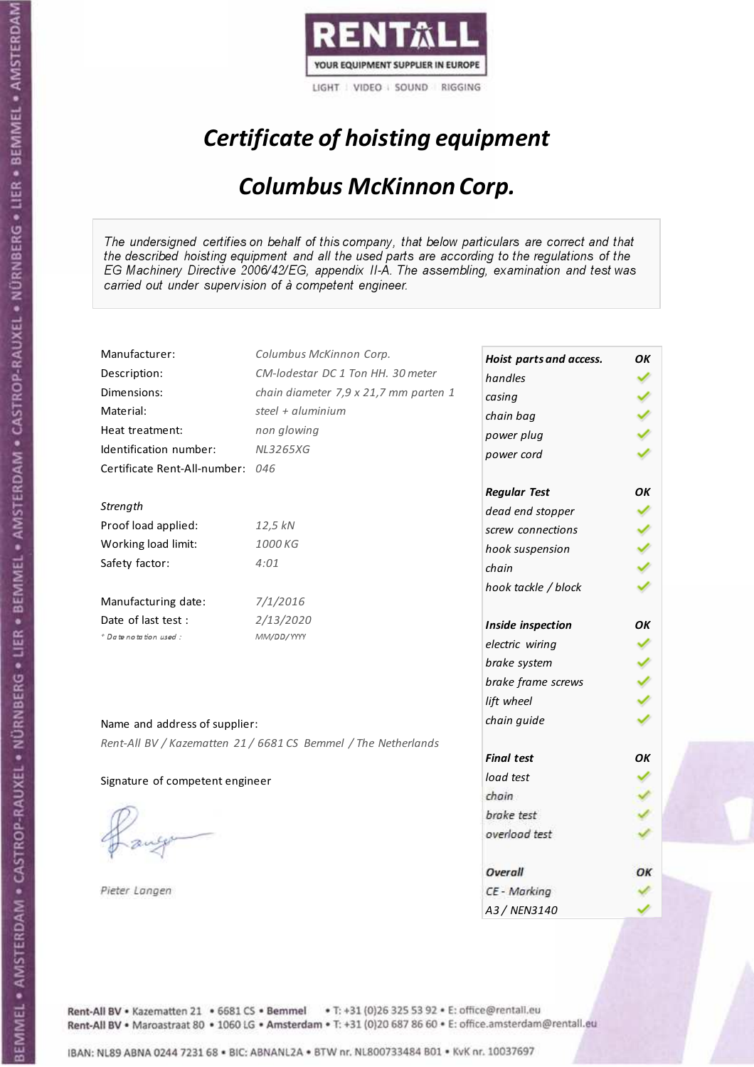

## Certificate of hoisting equipment

### Columbus McKinnon Corp.

The undersigned certifies on behalf of this company, that below particulars are correct and that the described hoisting equipment and all the used parts are according to the regulations of the EG Machinery Directive 2006/42/EG, appendix II-A. The assembling, examination and test was carried out under supervision of à competent engineer.

| Manufacturer:                    | Columbus McKinnon Corp.                                        | Hoist parts and access. | OK |
|----------------------------------|----------------------------------------------------------------|-------------------------|----|
| Description:                     | CM-lodestar DC 1 Ton HH. 30 meter                              | handles                 |    |
| Dimensions:                      | chain diameter 7,9 x 21,7 mm parten 1                          | casing                  |    |
| Material:                        | steel + aluminium                                              | chain bag               |    |
| Heat treatment:                  | non glowing                                                    | power plug              |    |
| Identification number:           | <b>NL3265XG</b>                                                | power cord              |    |
| Certificate Rent-All-number: 046 |                                                                |                         |    |
|                                  |                                                                | <b>Regular Test</b>     | OK |
| Strength                         |                                                                | dead end stopper        |    |
| Proof load applied:              | 12,5 kN                                                        | screw connections       |    |
| Working load limit:              | 1000 KG                                                        | hook suspension         |    |
| Safety factor:                   | 4:01                                                           | chain                   |    |
|                                  |                                                                | hook tackle / block     |    |
| Manufacturing date:              | 7/1/2016                                                       |                         |    |
| Date of last test:               | 2/13/2020                                                      | Inside inspection       | OK |
| + Date notation used:            | MM/DD/YYYY                                                     | electric wiring         |    |
|                                  |                                                                | brake system            |    |
|                                  |                                                                | brake frame screws      |    |
|                                  |                                                                | lift wheel              |    |
| Name and address of supplier:    |                                                                | chain guide             |    |
|                                  | Rent-All BV / Kazematten 21 / 6681 CS Bemmel / The Netherlands |                         |    |
|                                  |                                                                | <b>Final test</b>       | OK |
| Signature of competent engineer  |                                                                | load test               |    |
|                                  |                                                                | chain                   |    |
|                                  |                                                                | brake test              |    |
|                                  |                                                                | overload test           |    |
|                                  |                                                                |                         |    |
|                                  |                                                                | Overall                 | ОΚ |
| Pieter Langen                    |                                                                | CE - Marking            |    |
|                                  |                                                                | A3/NFN3140              |    |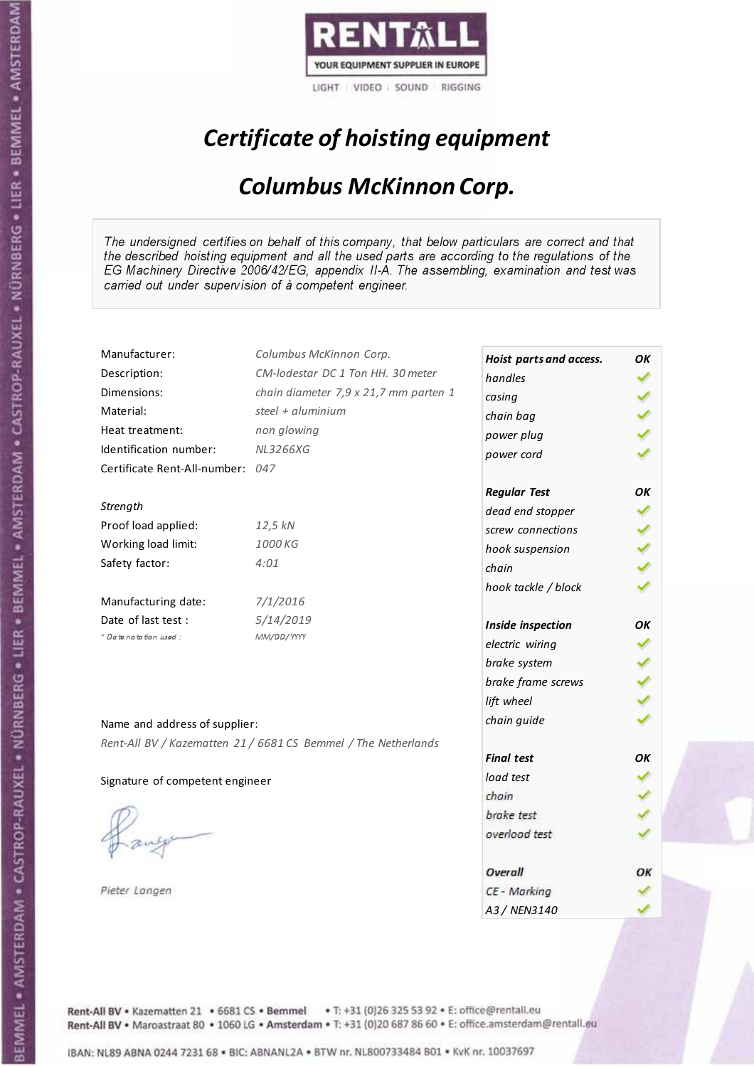

## Certificate of hoisting equipment

### Columbus McKinnon Corp.

The undersigned certifies on behalf of this company, that below particulars are correct and that the described hoisting equipment and all the used parts are according to the regulations of the EG Machinery Directive 2006/42/EG, appendix II-A. The assembling, examination and test was carried out under supervision of à competent engineer.

| Manufacturer:                    | Columbus McKinnon Corp.                                        | Hoist parts and access. | OK |
|----------------------------------|----------------------------------------------------------------|-------------------------|----|
| Description:                     | CM-lodestar DC 1 Ton HH. 30 meter                              | handles                 |    |
| Dimensions:                      | chain diameter 7,9 x 21,7 mm parten 1                          | casing                  |    |
| Material:                        | steel + $\alpha$ luminium                                      | chain bag               |    |
| Heat treatment:                  | non glowing                                                    | power plug              |    |
| Identification number:           | <b>NL3266XG</b>                                                | power cord              |    |
| Certificate Rent-All-number: 047 |                                                                |                         |    |
|                                  |                                                                | <b>Regular Test</b>     | ΟK |
| Strength                         |                                                                | dead end stopper        |    |
| Proof load applied:              | 12,5 kN                                                        | screw connections       |    |
| Working load limit:              | 1000 KG                                                        | hook suspension         |    |
| Safety factor:                   | 4:01                                                           | chain                   |    |
|                                  |                                                                | hook tackle / block     |    |
| Manufacturing date:              | 7/1/2016                                                       |                         |    |
| Date of last test :              | 5/14/2019                                                      | Inside inspection       | ОΚ |
| + Date notation used:            | MM/DD/YYYY                                                     | electric wiring         |    |
|                                  |                                                                | brake system            |    |
|                                  |                                                                | brake frame screws      |    |
|                                  |                                                                | lift wheel              |    |
| Name and address of supplier:    |                                                                | chain guide             |    |
|                                  | Rent-All BV / Kazematten 21 / 6681 CS Bemmel / The Netherlands |                         |    |
|                                  |                                                                | <b>Final test</b>       | OK |
| Signature of competent engineer  |                                                                | load test               |    |
|                                  |                                                                | chain                   |    |
|                                  |                                                                | brake test              |    |
|                                  |                                                                | overload test           |    |
|                                  |                                                                |                         |    |
|                                  |                                                                | Overall                 | OК |
| Pieter Langen                    |                                                                | CE - Marking            |    |
|                                  |                                                                | A3 / NEN3140            |    |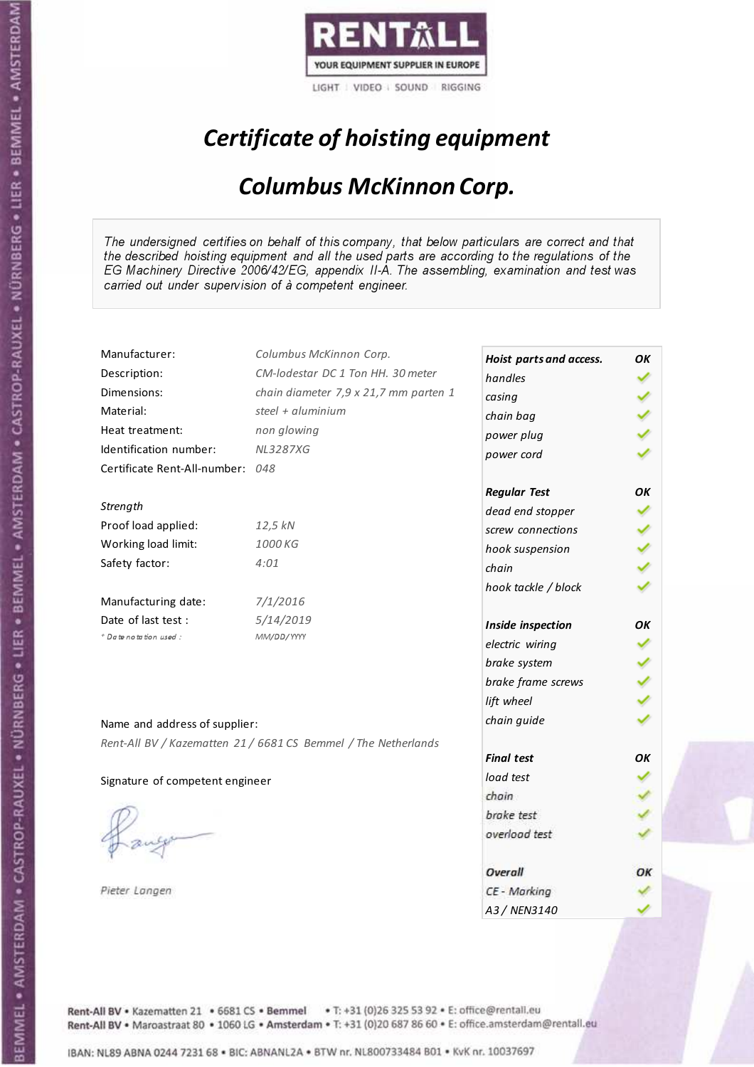

## Certificate of hoisting equipment

### Columbus McKinnon Corp.

The undersigned certifies on behalf of this company, that below particulars are correct and that the described hoisting equipment and all the used parts are according to the regulations of the EG Machinery Directive 2006/42/EG, appendix II-A. The assembling, examination and test was carried out under supervision of à competent engineer.

| Manufacturer:                    | Columbus McKinnon Corp.                                        | Hoist parts and access. | ΟK |
|----------------------------------|----------------------------------------------------------------|-------------------------|----|
| Description:                     | CM-lodestar DC 1 Ton HH. 30 meter                              | handles                 |    |
| Dimensions:                      | chain diameter 7,9 x 21,7 mm parten 1                          | casing                  |    |
| Material:                        | steel + $\alpha$ luminium                                      | chain bag               |    |
| Heat treatment:                  | non glowing                                                    | power plug              |    |
| Identification number:           | <b>NL3287XG</b>                                                | power cord              |    |
| Certificate Rent-All-number: 048 |                                                                |                         |    |
|                                  |                                                                | <b>Regular Test</b>     | ОΚ |
| Strength                         |                                                                | dead end stopper        |    |
| Proof load applied:              | 12,5 kN                                                        | screw connections       |    |
| Working load limit:              | 1000 KG                                                        | hook suspension         |    |
| Safety factor:                   | 4:01                                                           | chain                   |    |
|                                  |                                                                | hook tackle / block     |    |
| Manufacturing date:              | 7/1/2016                                                       |                         |    |
| Date of last test :              | 5/14/2019                                                      | Inside inspection       | ОΚ |
| + Date notation used:            | MM/DD/YYYY                                                     | electric wiring         |    |
|                                  |                                                                | brake system            |    |
|                                  |                                                                | brake frame screws      |    |
|                                  |                                                                | lift wheel              |    |
| Name and address of supplier:    |                                                                | chain guide             |    |
|                                  | Rent-All BV / Kazematten 21 / 6681 CS Bemmel / The Netherlands |                         |    |
|                                  |                                                                | <b>Final test</b>       | OK |
| Signature of competent engineer  |                                                                | load test               |    |
|                                  |                                                                | chain                   |    |
|                                  |                                                                | brake test              |    |
|                                  |                                                                | overload test           |    |
|                                  |                                                                |                         |    |
|                                  |                                                                | Overall                 | OК |
| Pieter Langen                    |                                                                | CE - Marking            |    |
|                                  |                                                                | A3 / NEN3140            |    |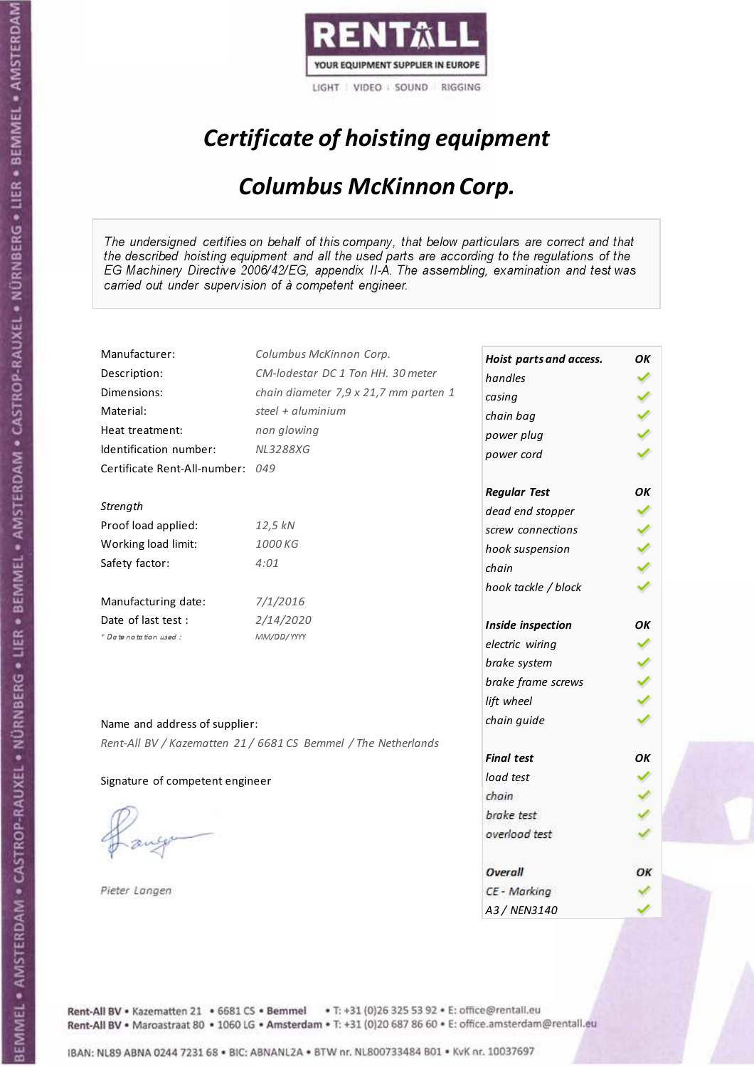

## Certificate of hoisting equipment

### Columbus McKinnon Corp.

The undersigned certifies on behalf of this company, that below particulars are correct and that the described hoisting equipment and all the used parts are according to the regulations of the EG Machinery Directive 2006/42/EG, appendix II-A. The assembling, examination and test was carried out under supervision of à competent engineer.

| Manufacturer:                   | Columbus McKinnon Corp.                                        | Hoist parts and access. | ΟK |
|---------------------------------|----------------------------------------------------------------|-------------------------|----|
| Description:                    | CM-lodestar DC 1 Ton HH. 30 meter                              | handles                 |    |
| Dimensions:                     | chain diameter 7,9 x 21,7 mm parten 1                          |                         |    |
| Material:                       | steel + aluminium                                              | casing                  |    |
| Heat treatment:                 | non glowing                                                    | chain bag               |    |
| Identification number:          | <b>NL3288XG</b>                                                | power plug              |    |
| Certificate Rent-All-number:    | 049                                                            | power cord              |    |
|                                 |                                                                |                         |    |
|                                 |                                                                | <b>Regular Test</b>     | ОΚ |
| Strength                        |                                                                | dead end stopper        |    |
| Proof load applied:             | 12,5 kN                                                        | screw connections       |    |
| Working load limit:             | 1000 KG                                                        | hook suspension         |    |
| Safety factor:                  | 4:01                                                           | chain                   |    |
|                                 |                                                                | hook tackle / block     |    |
| Manufacturing date:             | 7/1/2016                                                       |                         |    |
| Date of last test:              | 2/14/2020                                                      | Inside inspection       | OK |
| + Date notation used:           | MM/DD/YYYY                                                     | electric wiring         |    |
|                                 |                                                                | brake system            |    |
|                                 |                                                                | brake frame screws      |    |
|                                 |                                                                | lift wheel              |    |
|                                 |                                                                | chain guide             |    |
| Name and address of supplier:   |                                                                |                         |    |
|                                 | Rent-All BV / Kazematten 21 / 6681 CS Bemmel / The Netherlands | <b>Final test</b>       | OK |
| Signature of competent engineer |                                                                | load test               |    |
|                                 |                                                                | chain                   |    |
|                                 |                                                                | brake test              |    |
|                                 |                                                                | overload test           |    |
|                                 |                                                                |                         |    |
|                                 |                                                                | Overall                 | OК |
| Pieter Langen                   |                                                                | CE - Marking            |    |
|                                 |                                                                | A3 / NEN3140            |    |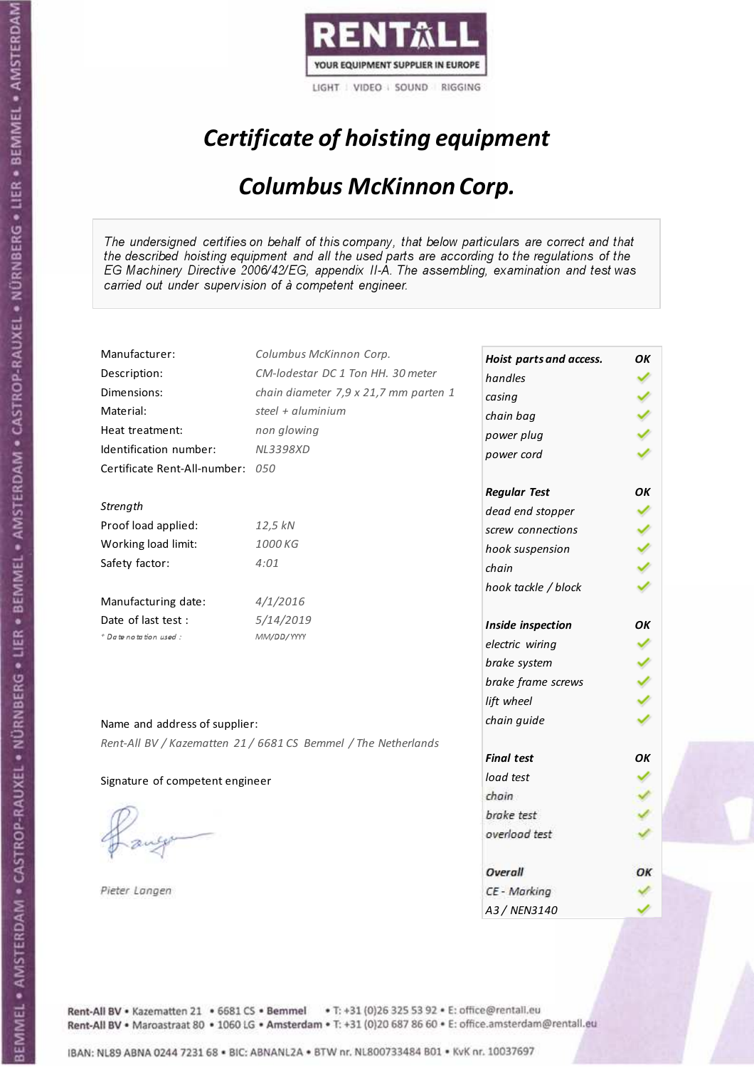

## Certificate of hoisting equipment

### Columbus McKinnon Corp.

The undersigned certifies on behalf of this company, that below particulars are correct and that the described hoisting equipment and all the used parts are according to the regulations of the EG Machinery Directive 2006/42/EG, appendix II-A. The assembling, examination and test was carried out under supervision of à competent engineer.

| Manufacturer:                    | Columbus McKinnon Corp.                                        | Hoist parts and access. | OK |
|----------------------------------|----------------------------------------------------------------|-------------------------|----|
| Description:                     | CM-lodestar DC 1 Ton HH. 30 meter                              | handles                 |    |
| Dimensions:                      | chain diameter 7,9 x 21,7 mm parten 1                          | casing                  |    |
| Material:                        | steel + $\alpha$ luminium                                      | chain bag               |    |
| Heat treatment:                  | non glowing                                                    | power plug              |    |
| Identification number:           | <b>NL3398XD</b>                                                | power cord              |    |
| Certificate Rent-All-number: 050 |                                                                |                         |    |
|                                  |                                                                | <b>Regular Test</b>     | ΟK |
| Strength                         |                                                                | dead end stopper        |    |
| Proof load applied:              | 12,5 kN                                                        | screw connections       |    |
| Working load limit:              | 1000 KG                                                        | hook suspension         |    |
| Safety factor:                   | 4:01                                                           | chain                   |    |
|                                  |                                                                | hook tackle / block     |    |
| Manufacturing date:              | 4/1/2016                                                       |                         |    |
| Date of last test :              | 5/14/2019                                                      | Inside inspection       | ОΚ |
| + Date notation used:            | MM/DD/YYYY                                                     | electric wiring         |    |
|                                  |                                                                | brake system            |    |
|                                  |                                                                | brake frame screws      |    |
|                                  |                                                                | lift wheel              |    |
| Name and address of supplier:    |                                                                | chain guide             |    |
|                                  | Rent-All BV / Kazematten 21 / 6681 CS Bemmel / The Netherlands |                         |    |
|                                  |                                                                | <b>Final test</b>       | OK |
| Signature of competent engineer  |                                                                | load test               |    |
|                                  |                                                                | chain                   |    |
|                                  |                                                                | brake test              |    |
|                                  |                                                                | overload test           |    |
|                                  |                                                                |                         |    |
|                                  |                                                                | Overall                 | OК |
| Pieter Langen                    |                                                                | CE - Marking            |    |
|                                  |                                                                | A3 / NEN3140            |    |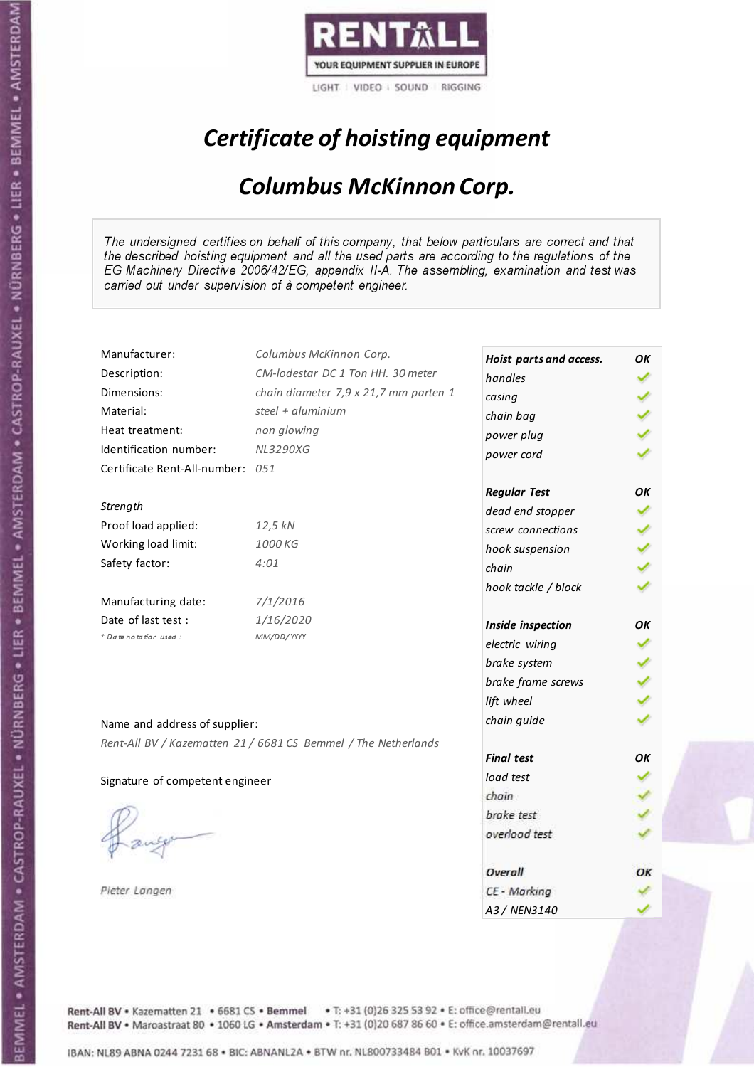

## Certificate of hoisting equipment

### Columbus McKinnon Corp.

The undersigned certifies on behalf of this company, that below particulars are correct and that the described hoisting equipment and all the used parts are according to the regulations of the EG Machinery Directive 2006/42/EG, appendix II-A. The assembling, examination and test was carried out under supervision of à competent engineer.

| Manufacturer:                    | Columbus McKinnon Corp.                                        | Hoist parts and access. | OK |
|----------------------------------|----------------------------------------------------------------|-------------------------|----|
| Description:                     | CM-lodestar DC 1 Ton HH. 30 meter                              | handles                 |    |
| Dimensions:                      | chain diameter 7,9 x 21,7 mm parten 1                          | casing                  |    |
| Material:                        | steel + $\alpha$ luminium                                      | chain bag               |    |
| Heat treatment:                  | non glowing                                                    | power plug              |    |
| Identification number:           | <b>NL3290XG</b>                                                | power cord              |    |
| Certificate Rent-All-number: 051 |                                                                |                         |    |
|                                  |                                                                | <b>Regular Test</b>     | ΟK |
| Strength                         |                                                                | dead end stopper        |    |
| Proof load applied:              | 12,5 kN                                                        | screw connections       |    |
| Working load limit:              | 1000 KG                                                        | hook suspension         |    |
| Safety factor:                   | 4:01                                                           | chain                   |    |
|                                  |                                                                | hook tackle / block     |    |
| Manufacturing date:              | 7/1/2016                                                       |                         |    |
| Date of last test :              | 1/16/2020                                                      | Inside inspection       | ОΚ |
| + Date notation used:            | MM/DD/YYYY                                                     | electric wiring         |    |
|                                  |                                                                | brake system            |    |
|                                  |                                                                | brake frame screws      |    |
|                                  |                                                                | lift wheel              |    |
| Name and address of supplier:    |                                                                | chain guide             |    |
|                                  | Rent-All BV / Kazematten 21 / 6681 CS Bemmel / The Netherlands |                         |    |
|                                  |                                                                | <b>Final test</b>       | OK |
| Signature of competent engineer  |                                                                | load test               |    |
|                                  |                                                                | chain                   |    |
|                                  |                                                                | brake test              |    |
|                                  |                                                                | overload test           |    |
|                                  |                                                                |                         |    |
|                                  |                                                                | Overall                 | OК |
| Pieter Langen                    |                                                                | CE - Marking            |    |
|                                  |                                                                | A3 / NEN3140            |    |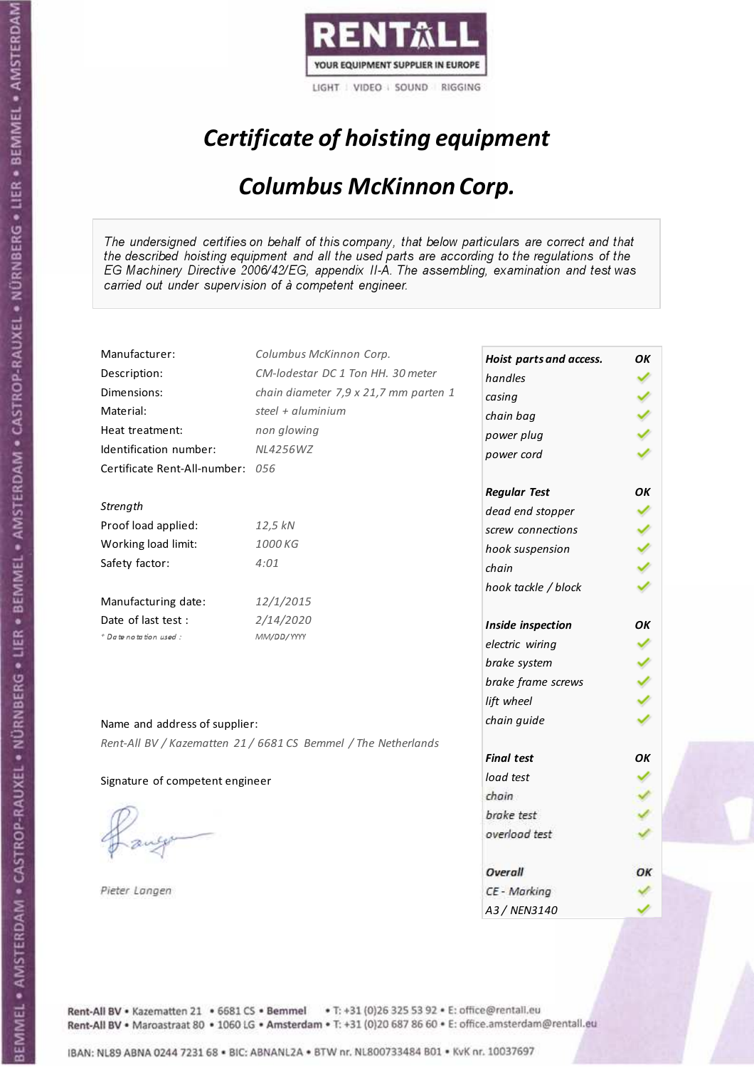

## Certificate of hoisting equipment

### Columbus McKinnon Corp.

The undersigned certifies on behalf of this company, that below particulars are correct and that the described hoisting equipment and all the used parts are according to the regulations of the EG Machinery Directive 2006/42/EG, appendix II-A. The assembling, examination and test was carried out under supervision of à competent engineer.

| Manufacturer:                    | Columbus McKinnon Corp.                                        | Hoist parts and access. | OK |
|----------------------------------|----------------------------------------------------------------|-------------------------|----|
| Description:                     | CM-lodestar DC 1 Ton HH. 30 meter                              | handles                 |    |
| Dimensions:                      | chain diameter 7,9 x 21,7 mm parten 1                          | casing                  |    |
| Material:                        | steel + aluminium                                              | chain bag               |    |
| Heat treatment:                  | non glowing                                                    | power plug              |    |
| Identification number:           | <b>NL4256WZ</b>                                                | power cord              |    |
| Certificate Rent-All-number: 056 |                                                                |                         |    |
|                                  |                                                                | <b>Regular Test</b>     | OK |
| Strength                         |                                                                | dead end stopper        |    |
| Proof load applied:              | 12,5 kN                                                        | screw connections       |    |
| Working load limit:              | 1000 KG                                                        | hook suspension         |    |
| Safety factor:                   | 4:01                                                           | chain                   |    |
|                                  |                                                                | hook tackle / block     |    |
| Manufacturing date:              | 12/1/2015                                                      |                         |    |
| Date of last test :              | 2/14/2020                                                      | Inside inspection       | OK |
| + Date notation used:            | MM/DD/YYYY                                                     | electric wiring         |    |
|                                  |                                                                | brake system            |    |
|                                  |                                                                | brake frame screws      |    |
|                                  |                                                                | lift wheel              |    |
| Name and address of supplier:    |                                                                | chain guide             |    |
|                                  | Rent-All BV / Kazematten 21 / 6681 CS Bemmel / The Netherlands |                         |    |
|                                  |                                                                | <b>Final test</b>       | OK |
| Signature of competent engineer  |                                                                | load test               |    |
|                                  |                                                                | chain                   |    |
|                                  |                                                                | brake test              |    |
|                                  |                                                                | overload test           |    |
|                                  |                                                                |                         |    |
|                                  |                                                                | Overall                 | ОΚ |
| Pieter Langen                    |                                                                | CE - Marking            |    |
|                                  |                                                                | A3 / NEN3140            |    |

Rent-All BV . Kazematten 21 . 6681 CS . Bemmel . T: +31 (0)26 325 53 92 . E: office@rentall.eu Rent-All BV · Maroastraat 80 · 1060 LG · Amsterdam · T: +31 (0)20 687 86 60 · E: office.amsterdam@rentall.eu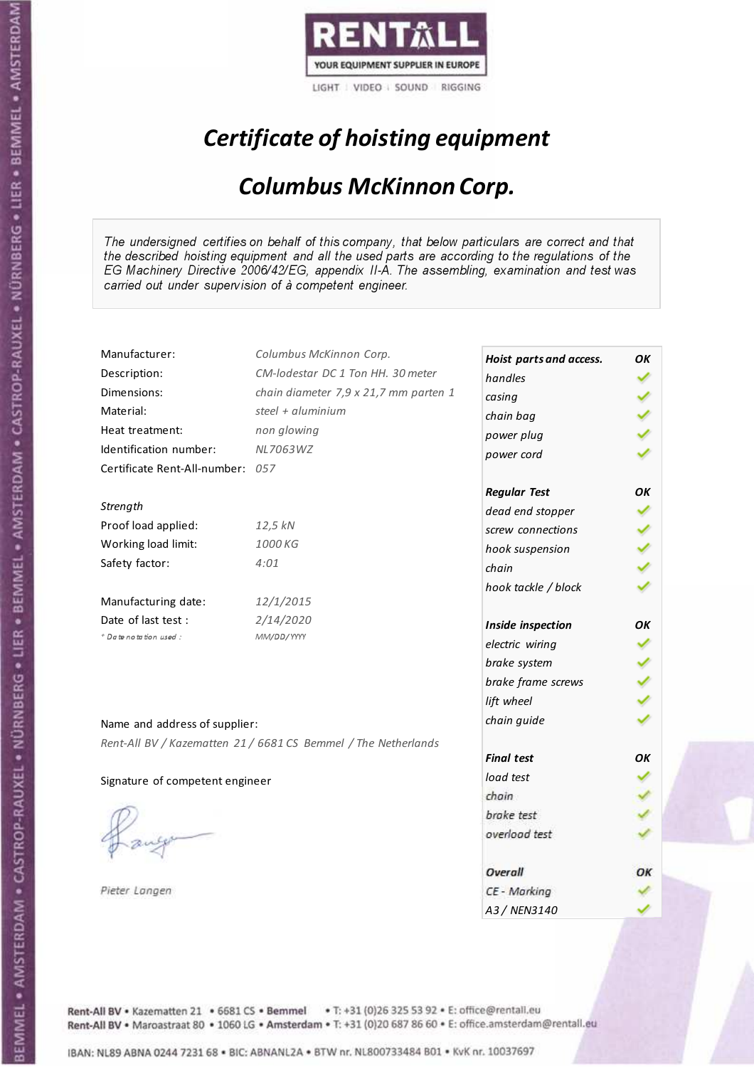

## Certificate of hoisting equipment

### Columbus McKinnon Corp.

The undersigned certifies on behalf of this company, that below particulars are correct and that the described hoisting equipment and all the used parts are according to the regulations of the EG Machinery Directive 2006/42/EG, appendix II-A. The assembling, examination and test was carried out under supervision of à competent engineer.

| Manufacturer:                    | Columbus McKinnon Corp.                                        | Hoist parts and access. | OK |
|----------------------------------|----------------------------------------------------------------|-------------------------|----|
| Description:                     | CM-lodestar DC 1 Ton HH. 30 meter                              | handles                 |    |
| Dimensions:                      | chain diameter 7,9 x 21,7 mm parten 1                          | casing                  |    |
| Material:                        | steel + aluminium                                              | chain bag               |    |
| Heat treatment:                  | non glowing                                                    | power plug              |    |
| Identification number:           | NL7063WZ                                                       | power cord              |    |
| Certificate Rent-All-number: 057 |                                                                |                         |    |
|                                  |                                                                | <b>Regular Test</b>     | OK |
| Strength                         |                                                                | dead end stopper        |    |
| Proof load applied:              | 12,5 kN                                                        | screw connections       |    |
| Working load limit:              | 1000 KG                                                        | hook suspension         |    |
| Safety factor:                   | 4:01                                                           | chain                   |    |
|                                  |                                                                | hook tackle / block     |    |
| Manufacturing date:              | 12/1/2015                                                      |                         |    |
| Date of last test :              | 2/14/2020                                                      | Inside inspection       | OK |
| + Date notation used:            | MM/DD/YYYY                                                     | electric wiring         |    |
|                                  |                                                                | brake system            |    |
|                                  |                                                                | brake frame screws      |    |
|                                  |                                                                | lift wheel              |    |
| Name and address of supplier:    |                                                                | chain guide             |    |
|                                  | Rent-All BV / Kazematten 21 / 6681 CS Bemmel / The Netherlands |                         |    |
|                                  |                                                                | <b>Final test</b>       | OK |
| Signature of competent engineer  |                                                                | load test               |    |
|                                  |                                                                | chain                   |    |
|                                  |                                                                | brake test              |    |
|                                  |                                                                | overload test           |    |
|                                  |                                                                |                         |    |
|                                  |                                                                | Overall                 | ОΚ |
| Pieter Langen                    |                                                                | CE - Marking            |    |
|                                  |                                                                | A3 / NEN3140            |    |

Rent-All BV . Kazematten 21 . 6681 CS . Bemmel . T: +31 (0)26 325 53 92 . E: office@rentall.eu Rent-All BV · Maroastraat 80 · 1060 LG · Amsterdam · T: +31 (0)20 687 86 60 · E: office.amsterdam@rentall.eu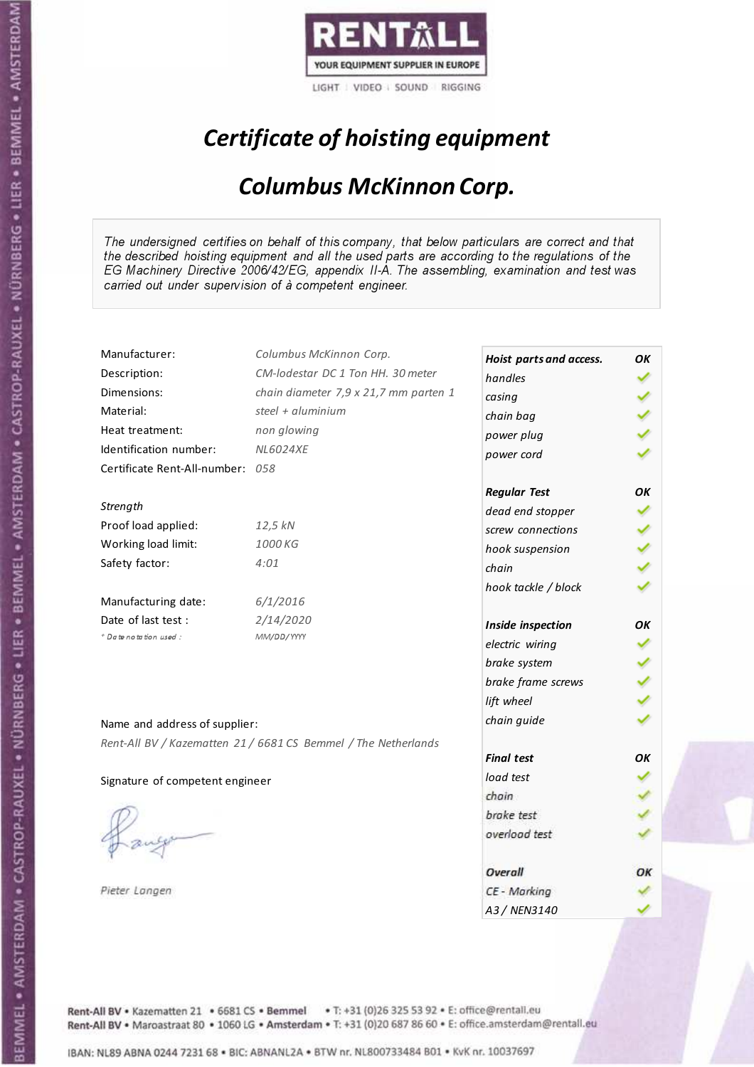

# Certificate of hoisting equipment

### Columbus McKinnon Corp.

The undersigned certifies on behalf of this company, that below particulars are correct and that the described hoisting equipment and all the used parts are according to the regulations of the EG Machinery Directive 2006/42/EG, appendix II-A. The assembling, examination and test was carried out under supervision of à competent engineer.

| Manufacturer:                    | Columbus McKinnon Corp.                                        | Hoist parts and access. | ΟK |
|----------------------------------|----------------------------------------------------------------|-------------------------|----|
| Description:                     | CM-lodestar DC 1 Ton HH. 30 meter                              | handles                 |    |
| Dimensions:                      | chain diameter 7,9 x 21,7 mm parten 1                          | casing                  |    |
| Material:                        | steel + $aluminim$                                             | chain bag               |    |
| Heat treatment:                  | non glowing                                                    | power plug              |    |
| Identification number:           | <b>NL6024XE</b>                                                | power cord              |    |
| Certificate Rent-All-number: 058 |                                                                |                         |    |
|                                  |                                                                | <b>Regular Test</b>     | OK |
| Strength                         |                                                                | dead end stopper        |    |
| Proof load applied:              | 12,5 kN                                                        | screw connections       |    |
| Working load limit:              | 1000 KG                                                        | hook suspension         |    |
| Safety factor:                   | 4:01                                                           | chain                   |    |
|                                  |                                                                | hook tackle / block     |    |
| Manufacturing date:              | 6/1/2016                                                       |                         |    |
| Date of last test :              | 2/14/2020                                                      | Inside inspection       | ОΚ |
| * Date notation used :           | MM/DD/YYYY                                                     | electric wiring         |    |
|                                  |                                                                | brake system            |    |
|                                  |                                                                | brake frame screws      |    |
|                                  |                                                                | lift wheel              |    |
|                                  |                                                                | chain guide             |    |
| Name and address of supplier:    |                                                                |                         |    |
|                                  | Rent-All BV / Kazematten 21 / 6681 CS Bemmel / The Netherlands | <b>Final test</b>       | OK |
|                                  |                                                                |                         |    |
| Signature of competent engineer  |                                                                | load test               |    |
|                                  |                                                                | chain                   |    |
|                                  |                                                                | brake test              |    |
|                                  |                                                                | overload test           |    |
|                                  |                                                                |                         |    |
|                                  |                                                                | Overall                 | ОΚ |
| Pieter Langen                    |                                                                | CE - Marking            |    |
|                                  |                                                                | A3 / NEN3140            |    |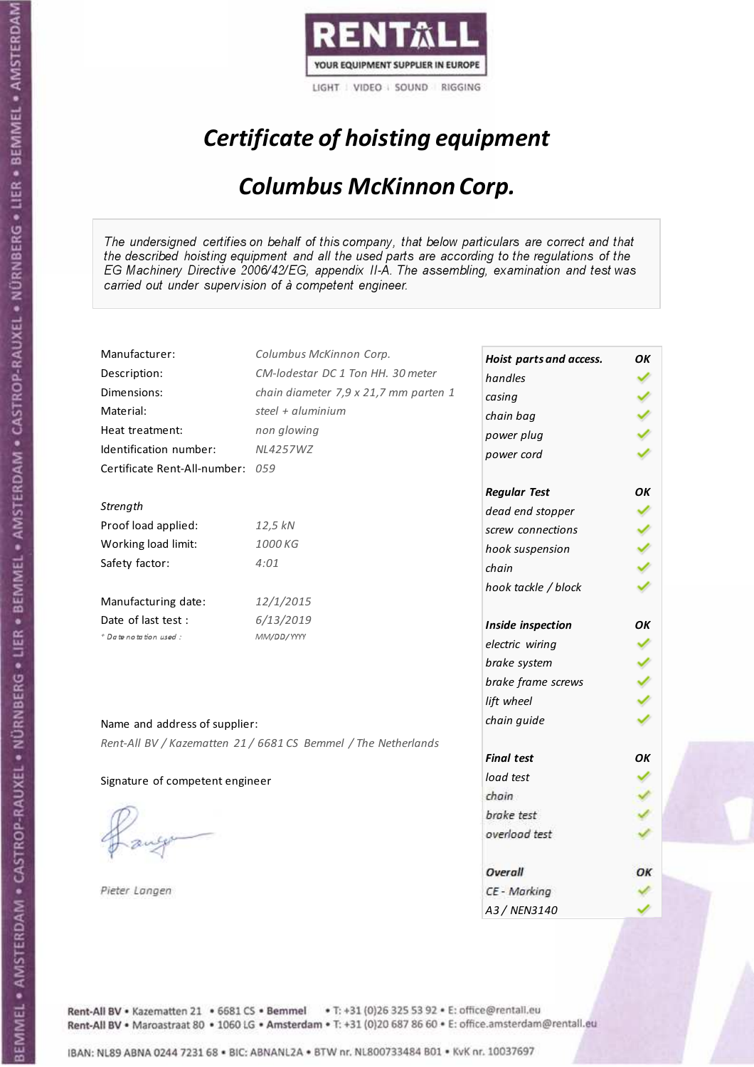

## Certificate of hoisting equipment

### Columbus McKinnon Corp.

The undersigned certifies on behalf of this company, that below particulars are correct and that the described hoisting equipment and all the used parts are according to the regulations of the EG Machinery Directive 2006/42/EG, appendix II-A. The assembling, examination and test was carried out under supervision of à competent engineer.

| Manufacturer:                    | Columbus McKinnon Corp.                                        | Hoist parts and access. | OK |
|----------------------------------|----------------------------------------------------------------|-------------------------|----|
| Description:                     | CM-lodestar DC 1 Ton HH. 30 meter                              | handles                 |    |
| Dimensions:                      | chain diameter 7,9 x 21,7 mm parten 1                          | casing                  |    |
| Material:                        | steel + aluminium                                              | chain bag               |    |
| Heat treatment:                  | non glowing                                                    | power plug              |    |
| Identification number:           | <b>NL4257WZ</b>                                                | power cord              |    |
| Certificate Rent-All-number: 059 |                                                                |                         |    |
|                                  |                                                                | <b>Regular Test</b>     | OK |
| Strength                         |                                                                | dead end stopper        |    |
| Proof load applied:              | 12,5 kN                                                        | screw connections       |    |
| Working load limit:              | 1000 KG                                                        | hook suspension         |    |
| Safety factor:                   | 4:01                                                           | chain                   |    |
|                                  |                                                                | hook tackle / block     |    |
| Manufacturing date:              | 12/1/2015                                                      |                         |    |
| Date of last test :              | 6/13/2019                                                      | Inside inspection       | OK |
| + Date notation used:            | MM/DD/YYYY                                                     | electric wiring         |    |
|                                  |                                                                | brake system            |    |
|                                  |                                                                | brake frame screws      |    |
|                                  |                                                                | lift wheel              |    |
| Name and address of supplier:    |                                                                | chain guide             |    |
|                                  | Rent-All BV / Kazematten 21 / 6681 CS Bemmel / The Netherlands |                         |    |
|                                  |                                                                | <b>Final test</b>       | OK |
| Signature of competent engineer  |                                                                | load test               |    |
|                                  |                                                                | chain                   |    |
|                                  |                                                                | brake test              |    |
|                                  |                                                                | overload test           |    |
|                                  |                                                                |                         |    |
|                                  |                                                                | Overall                 | ОΚ |
| Pieter Langen                    |                                                                | CE - Marking            |    |
|                                  |                                                                | A3 / NEN3140            |    |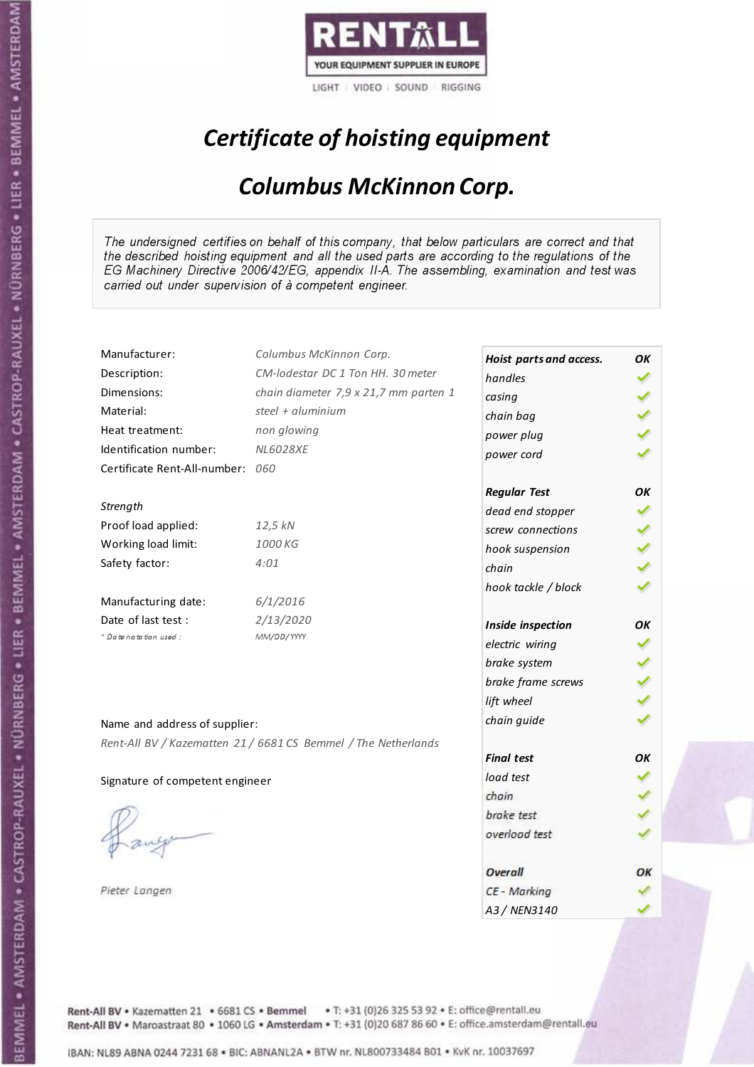

## Certificate of hoisting equipment

### Columbus McKinnon Corp.

The undersigned certifies on behalf of this company, that below particulars are correct and that the described hoisting equipment and all the used parts are according to the regulations of the EG Machinery Directive 2006/42/EG, appendix II-A. The assembling, examination and test was carried out under supervision of à competent engineer.

| Manufacturer:                   | Columbus McKinnon Corp.                                        | Hoist parts and access. | ΟK |
|---------------------------------|----------------------------------------------------------------|-------------------------|----|
| Description:                    | CM-lodestar DC 1 Ton HH. 30 meter                              | handles                 |    |
| Dimensions:                     | chain diameter 7,9 x 21,7 mm parten 1                          | casing                  |    |
| Material:                       | steel + $aluminim$                                             | chain bag               |    |
| Heat treatment:                 | non glowing                                                    | power plug              |    |
| Identification number:          | <b>NL6028XE</b>                                                | power cord              |    |
| Certificate Rent-All-number:    | 060                                                            |                         |    |
|                                 |                                                                | <b>Regular Test</b>     | ОΚ |
| Strength                        |                                                                | dead end stopper        |    |
| Proof load applied:             | 12,5 kN                                                        | screw connections       |    |
| Working load limit:             | 1000 KG                                                        | hook suspension         |    |
| Safety factor:                  | 4:01                                                           | chain                   |    |
|                                 |                                                                | hook tackle / block     |    |
| Manufacturing date:             | 6/1/2016                                                       |                         |    |
| Date of last test :             | 2/13/2020                                                      | Inside inspection       | ОΚ |
| + Date notation used:           | MM/DD/YYYY                                                     | electric wiring         |    |
|                                 |                                                                | brake system            |    |
|                                 |                                                                | brake frame screws      |    |
|                                 |                                                                | lift wheel              |    |
| Name and address of supplier:   |                                                                | chain guide             |    |
|                                 | Rent-All BV / Kazematten 21 / 6681 CS Bemmel / The Netherlands |                         |    |
|                                 |                                                                | <b>Final test</b>       | OK |
| Signature of competent engineer |                                                                | load test               |    |
|                                 |                                                                | chain                   |    |
|                                 |                                                                | brake test              |    |
|                                 |                                                                | overload test           |    |
|                                 |                                                                |                         |    |
|                                 |                                                                | Overall                 | OК |
| Pieter Langen                   |                                                                | CE - Marking            |    |
|                                 |                                                                | A3 / NEN3140            |    |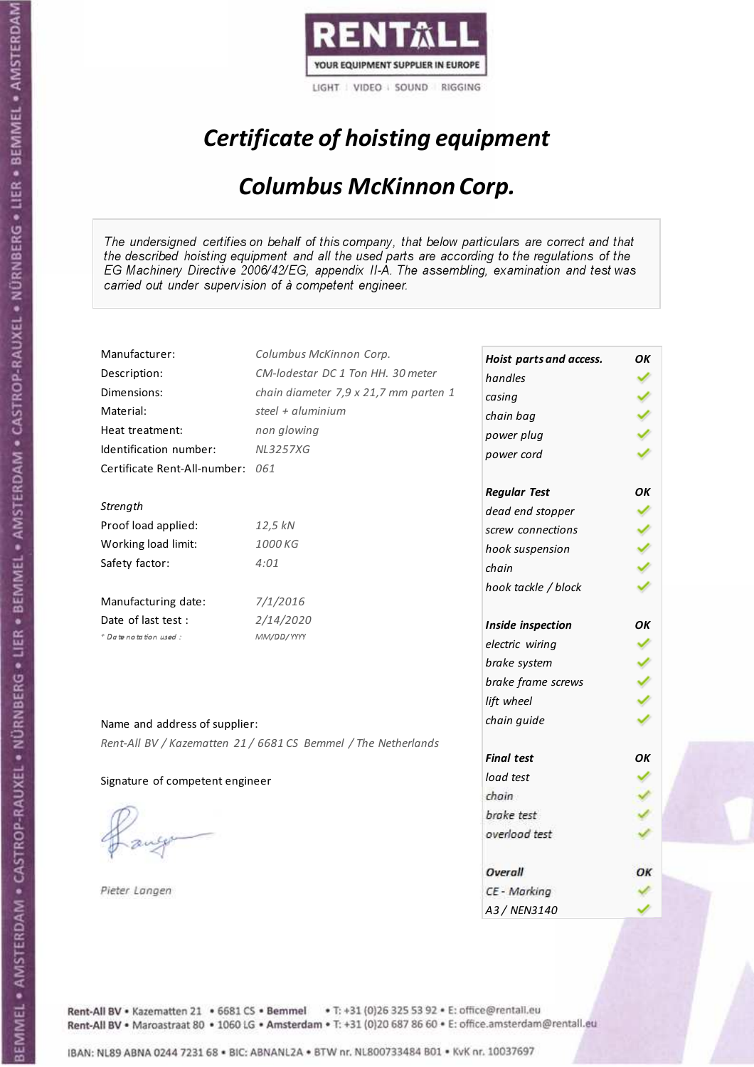

## Certificate of hoisting equipment

### Columbus McKinnon Corp.

The undersigned certifies on behalf of this company, that below particulars are correct and that the described hoisting equipment and all the used parts are according to the regulations of the EG Machinery Directive 2006/42/EG, appendix II-A. The assembling, examination and test was carried out under supervision of à competent engineer.

| Manufacturer:                    | Columbus McKinnon Corp.                                        | Hoist parts and access. | OK |
|----------------------------------|----------------------------------------------------------------|-------------------------|----|
| Description:                     | CM-lodestar DC 1 Ton HH. 30 meter                              | handles                 |    |
| Dimensions:                      | chain diameter 7,9 x 21,7 mm parten 1                          | casing                  |    |
| Material:                        | steel + aluminium                                              | chain bag               |    |
| Heat treatment:                  | non glowing                                                    | power plug              |    |
| Identification number:           | <b>NL3257XG</b>                                                | power cord              |    |
| Certificate Rent-All-number: 061 |                                                                |                         |    |
|                                  |                                                                | <b>Regular Test</b>     | OK |
| Strength                         |                                                                | dead end stopper        |    |
| Proof load applied:              | 12,5 kN                                                        | screw connections       |    |
| Working load limit:              | 1000 KG                                                        | hook suspension         |    |
| Safety factor:                   | 4:01                                                           | chain                   |    |
|                                  |                                                                | hook tackle / block     |    |
| Manufacturing date:              | 7/1/2016                                                       |                         |    |
| Date of last test :              | 2/14/2020                                                      | Inside inspection       | OK |
| + Date notation used:            | MM/DD/YYYY                                                     | electric wiring         |    |
|                                  |                                                                | brake system            |    |
|                                  |                                                                | brake frame screws      |    |
|                                  |                                                                | lift wheel              |    |
| Name and address of supplier:    |                                                                | chain guide             |    |
|                                  | Rent-All BV / Kazematten 21 / 6681 CS Bemmel / The Netherlands |                         |    |
|                                  |                                                                | <b>Final test</b>       | OK |
| Signature of competent engineer  |                                                                | load test               |    |
|                                  |                                                                | chain                   |    |
|                                  |                                                                | brake test              |    |
|                                  |                                                                | overload test           |    |
|                                  |                                                                |                         |    |
|                                  |                                                                | Overall                 | ОΚ |
| Pieter Langen                    |                                                                | CE - Marking            |    |
|                                  |                                                                | A3 / NEN3140            |    |

Rent-All BV . Kazematten 21 . 6681 CS . Bemmel . T: +31 (0)26 325 53 92 . E: office@rentall.eu Rent-All BV · Maroastraat 80 · 1060 LG · Amsterdam · T: +31 (0)20 687 86 60 · E: office.amsterdam@rentall.eu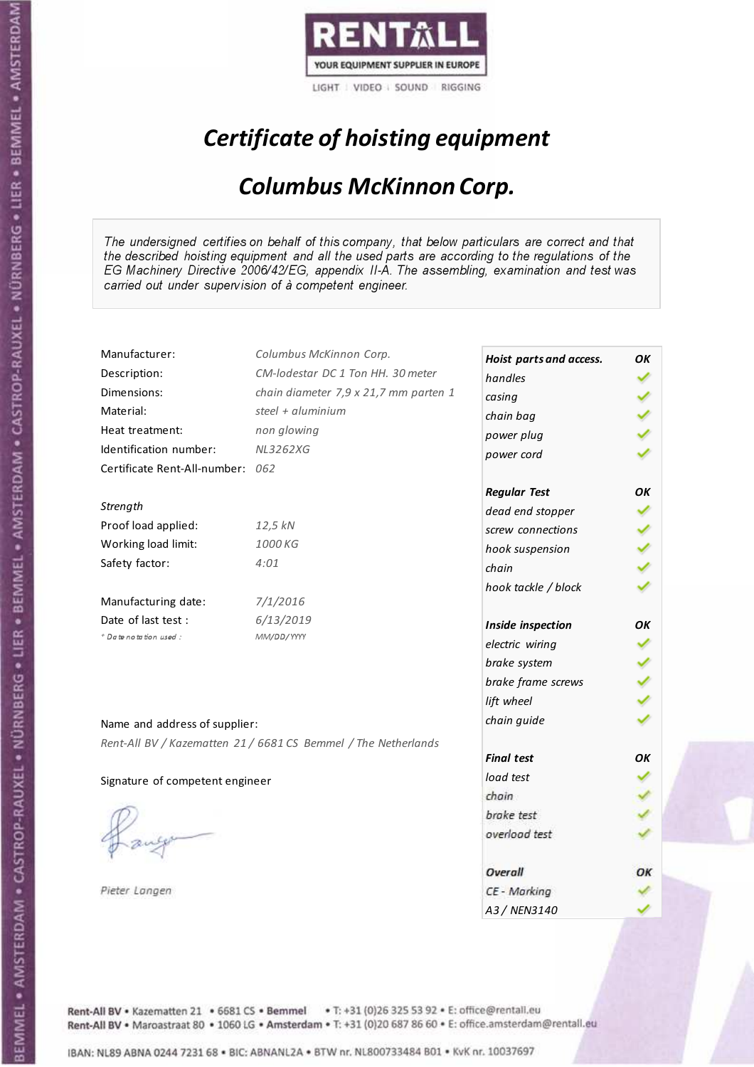

## Certificate of hoisting equipment

### Columbus McKinnon Corp.

The undersigned certifies on behalf of this company, that below particulars are correct and that the described hoisting equipment and all the used parts are according to the regulations of the EG Machinery Directive 2006/42/EG, appendix II-A. The assembling, examination and test was carried out under supervision of à competent engineer.

| Manufacturer:                    | Columbus McKinnon Corp.                                        | Hoist parts and access. | OK |
|----------------------------------|----------------------------------------------------------------|-------------------------|----|
| Description:                     | CM-lodestar DC 1 Ton HH. 30 meter                              | handles                 |    |
| Dimensions:                      | chain diameter 7,9 x 21,7 mm parten 1                          | casing                  |    |
| Material:                        | steel + aluminium                                              | chain bag               |    |
| Heat treatment:                  | non glowing                                                    | power plug              |    |
| Identification number:           | <b>NL3262XG</b>                                                | power cord              |    |
| Certificate Rent-All-number: 062 |                                                                |                         |    |
|                                  |                                                                | <b>Regular Test</b>     | OK |
| Strength                         |                                                                | dead end stopper        |    |
| Proof load applied:              | 12,5 kN                                                        | screw connections       |    |
| Working load limit:              | 1000 KG                                                        | hook suspension         |    |
| Safety factor:                   | 4:01                                                           | chain                   |    |
|                                  |                                                                | hook tackle / block     |    |
| Manufacturing date:              | 7/1/2016                                                       |                         |    |
| Date of last test:               | 6/13/2019                                                      | Inside inspection       | OK |
| + Date notation used:            | MM/DD/YYYY                                                     | electric wiring         |    |
|                                  |                                                                | brake system            |    |
|                                  |                                                                | brake frame screws      |    |
|                                  |                                                                | lift wheel              |    |
| Name and address of supplier:    |                                                                | chain guide             |    |
|                                  | Rent-All BV / Kazematten 21 / 6681 CS Bemmel / The Netherlands |                         |    |
|                                  |                                                                | <b>Final test</b>       | OΚ |
| Signature of competent engineer  |                                                                | load test               |    |
|                                  |                                                                | chain                   |    |
|                                  |                                                                | brake test              |    |
|                                  |                                                                | overload test           |    |
|                                  |                                                                |                         |    |
|                                  |                                                                | Overall                 | ОΚ |
| Pieter Langen                    |                                                                | CE - Marking            |    |
|                                  |                                                                | A3 / NEN3140            |    |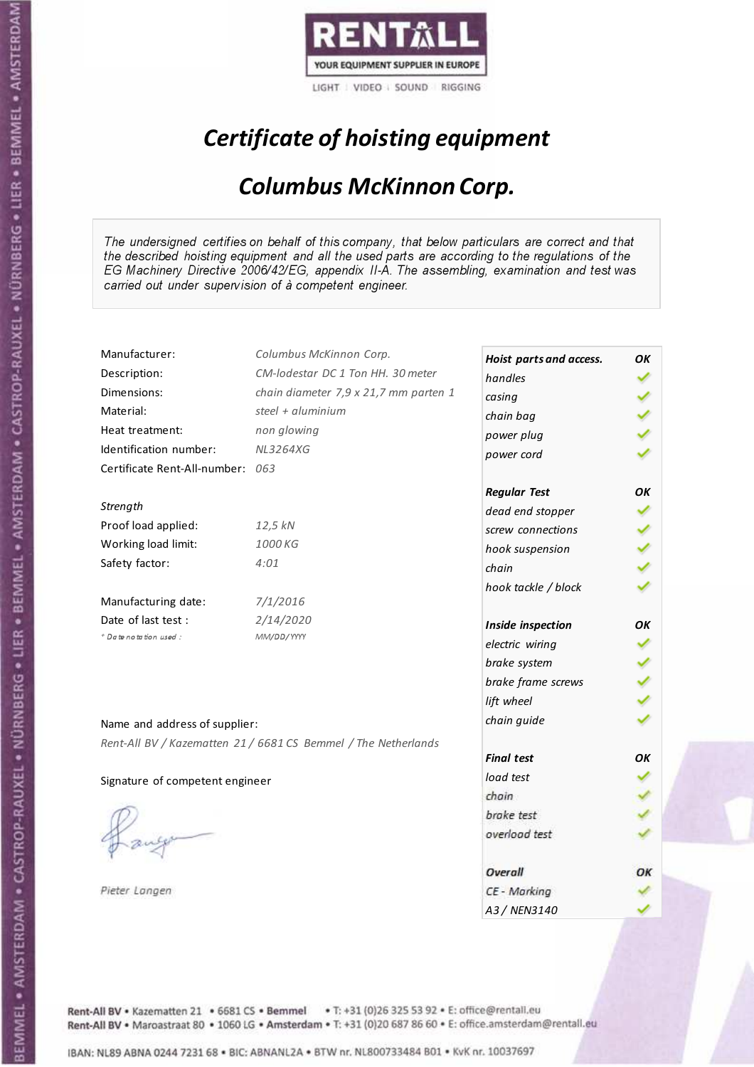

## Certificate of hoisting equipment

### Columbus McKinnon Corp.

The undersigned certifies on behalf of this company, that below particulars are correct and that the described hoisting equipment and all the used parts are according to the regulations of the EG Machinery Directive 2006/42/EG, appendix II-A. The assembling, examination and test was carried out under supervision of à competent engineer.

| Manufacturer:                   | Columbus McKinnon Corp.                                        | Hoist parts and access. | OK |
|---------------------------------|----------------------------------------------------------------|-------------------------|----|
| Description:                    | CM-lodestar DC 1 Ton HH. 30 meter                              | handles                 |    |
| Dimensions:                     | chain diameter 7,9 x 21,7 mm parten 1                          | casing                  |    |
| Material:                       | steel + aluminium                                              | chain bag               |    |
| Heat treatment:                 | non glowing                                                    | power plug              |    |
| Identification number:          | <b>NL3264XG</b>                                                | power cord              |    |
| Certificate Rent-All-number:    | 063                                                            |                         |    |
|                                 |                                                                | <b>Regular Test</b>     | OK |
| Strength                        |                                                                | dead end stopper        |    |
| Proof load applied:             | 12,5 kN                                                        | screw connections       |    |
| Working load limit:             | 1000 KG                                                        | hook suspension         |    |
| Safety factor:                  | 4:01                                                           | chain                   |    |
|                                 |                                                                | hook tackle / block     |    |
| Manufacturing date:             | 7/1/2016                                                       |                         |    |
| Date of last test:              | 2/14/2020                                                      | Inside inspection       | OК |
| + Date notation used:           | MM/DD/YYYY                                                     | electric wiring         |    |
|                                 |                                                                | brake system            |    |
|                                 |                                                                | brake frame screws      |    |
|                                 |                                                                | lift wheel              |    |
|                                 |                                                                | chain guide             |    |
| Name and address of supplier:   |                                                                |                         |    |
|                                 | Rent-All BV / Kazematten 21 / 6681 CS Bemmel / The Netherlands | <b>Final test</b>       | OK |
| Signature of competent engineer |                                                                | load test               |    |
|                                 |                                                                | chain                   |    |
|                                 |                                                                | brake test              |    |
|                                 |                                                                | overload test           |    |
|                                 |                                                                |                         |    |
|                                 |                                                                | Overall                 | ОΚ |
| Pieter Langen                   |                                                                | CE - Marking            |    |
|                                 |                                                                | A3 / NEN3140            |    |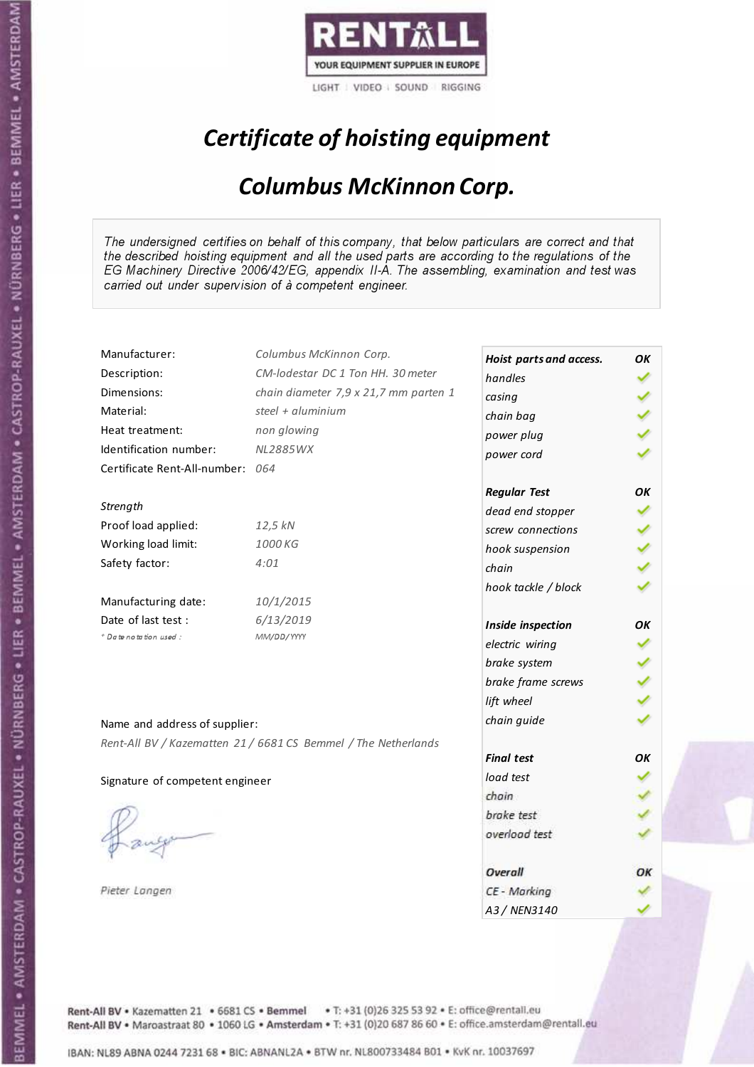

## Certificate of hoisting equipment

### Columbus McKinnon Corp.

The undersigned certifies on behalf of this company, that below particulars are correct and that the described hoisting equipment and all the used parts are according to the regulations of the EG Machinery Directive 2006/42/EG, appendix II-A. The assembling, examination and test was carried out under supervision of à competent engineer.

| Manufacturer:                    | Columbus McKinnon Corp.                                        | Hoist parts and access. | OK |
|----------------------------------|----------------------------------------------------------------|-------------------------|----|
| Description:                     | CM-lodestar DC 1 Ton HH. 30 meter                              | handles                 |    |
| Dimensions:                      | chain diameter 7,9 x 21,7 mm parten 1                          | casing                  |    |
| Material:                        | steel + aluminium                                              | chain bag               |    |
| Heat treatment:                  | non glowing                                                    | power plug              |    |
| Identification number:           | <b>NL2885WX</b>                                                | power cord              |    |
| Certificate Rent-All-number: 064 |                                                                |                         |    |
|                                  |                                                                | <b>Regular Test</b>     | OK |
| Strength                         |                                                                | dead end stopper        |    |
| Proof load applied:              | 12,5 kN                                                        | screw connections       |    |
| Working load limit:              | 1000 KG                                                        | hook suspension         |    |
| Safety factor:                   | 4:01                                                           | chain                   |    |
|                                  |                                                                | hook tackle / block     |    |
| Manufacturing date:              | 10/1/2015                                                      |                         |    |
| Date of last test:               | 6/13/2019                                                      | Inside inspection       | OК |
| * Date notation used :           | MM/DD/YYYY                                                     | electric wiring         |    |
|                                  |                                                                | brake system            |    |
|                                  |                                                                | brake frame screws      |    |
|                                  |                                                                | lift wheel              |    |
| Name and address of supplier:    |                                                                | chain guide             |    |
|                                  | Rent-All BV / Kazematten 21 / 6681 CS Bemmel / The Netherlands |                         |    |
|                                  |                                                                | <b>Final test</b>       | OK |
| Signature of competent engineer  |                                                                | load test               |    |
|                                  |                                                                | chain                   |    |
|                                  |                                                                | brake test              |    |
|                                  |                                                                | overload test           |    |
|                                  |                                                                |                         |    |
|                                  |                                                                | Overall                 | ОΚ |
| Pieter Langen                    |                                                                | CE - Marking            |    |
|                                  |                                                                | A3 / NEN3140            |    |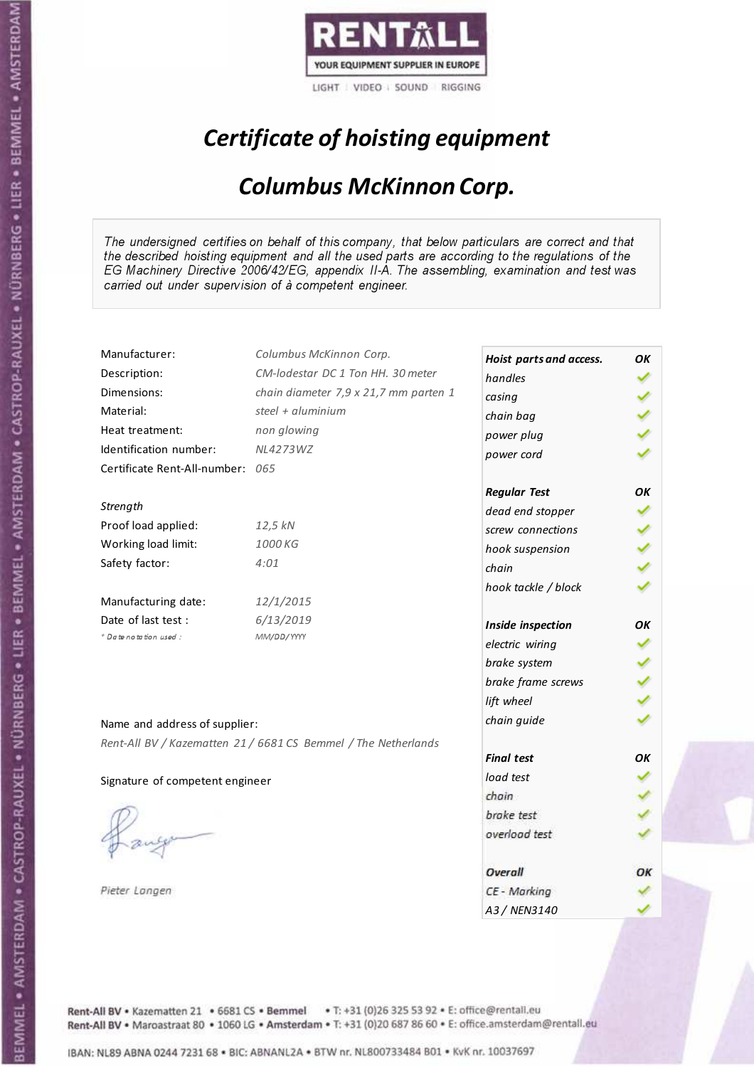

## Certificate of hoisting equipment

### Columbus McKinnon Corp.

The undersigned certifies on behalf of this company, that below particulars are correct and that the described hoisting equipment and all the used parts are according to the regulations of the EG Machinery Directive 2006/42/EG, appendix II-A. The assembling, examination and test was carried out under supervision of à competent engineer.

| Manufacturer:                    | Columbus McKinnon Corp.                                        | Hoist parts and access. | OK |
|----------------------------------|----------------------------------------------------------------|-------------------------|----|
| Description:                     | CM-lodestar DC 1 Ton HH. 30 meter                              | handles                 |    |
| Dimensions:                      | chain diameter 7,9 x 21,7 mm parten 1                          | casing                  |    |
| Material:                        | steel + aluminium                                              | chain bag               |    |
| Heat treatment:                  | non glowing                                                    | power plug              |    |
| Identification number:           | NL4273WZ                                                       | power cord              |    |
| Certificate Rent-All-number: 065 |                                                                |                         |    |
|                                  |                                                                | <b>Regular Test</b>     | OK |
| Strength                         |                                                                | dead end stopper        |    |
| Proof load applied:              | 12,5 kN                                                        | screw connections       |    |
| Working load limit:              | 1000 KG                                                        | hook suspension         |    |
| Safety factor:                   | 4:01                                                           | chain                   |    |
|                                  |                                                                | hook tackle / block     |    |
| Manufacturing date:              | 12/1/2015                                                      |                         |    |
| Date of last test :              | 6/13/2019                                                      | Inside inspection       | OK |
| + Date notation used:            | MM/DD/YYYY                                                     | electric wiring         |    |
|                                  |                                                                | brake system            |    |
|                                  |                                                                | brake frame screws      |    |
|                                  |                                                                | lift wheel              |    |
| Name and address of supplier:    |                                                                | chain guide             |    |
|                                  | Rent-All BV / Kazematten 21 / 6681 CS Bemmel / The Netherlands |                         |    |
|                                  |                                                                | <b>Final test</b>       | OK |
| Signature of competent engineer  |                                                                | load test               |    |
|                                  |                                                                | chain                   |    |
|                                  |                                                                | brake test              |    |
|                                  |                                                                | overload test           |    |
|                                  |                                                                |                         |    |
|                                  |                                                                | Overall                 | ОΚ |
| Pieter Langen                    |                                                                | CE - Marking            |    |
|                                  |                                                                | A3 / NEN3140            |    |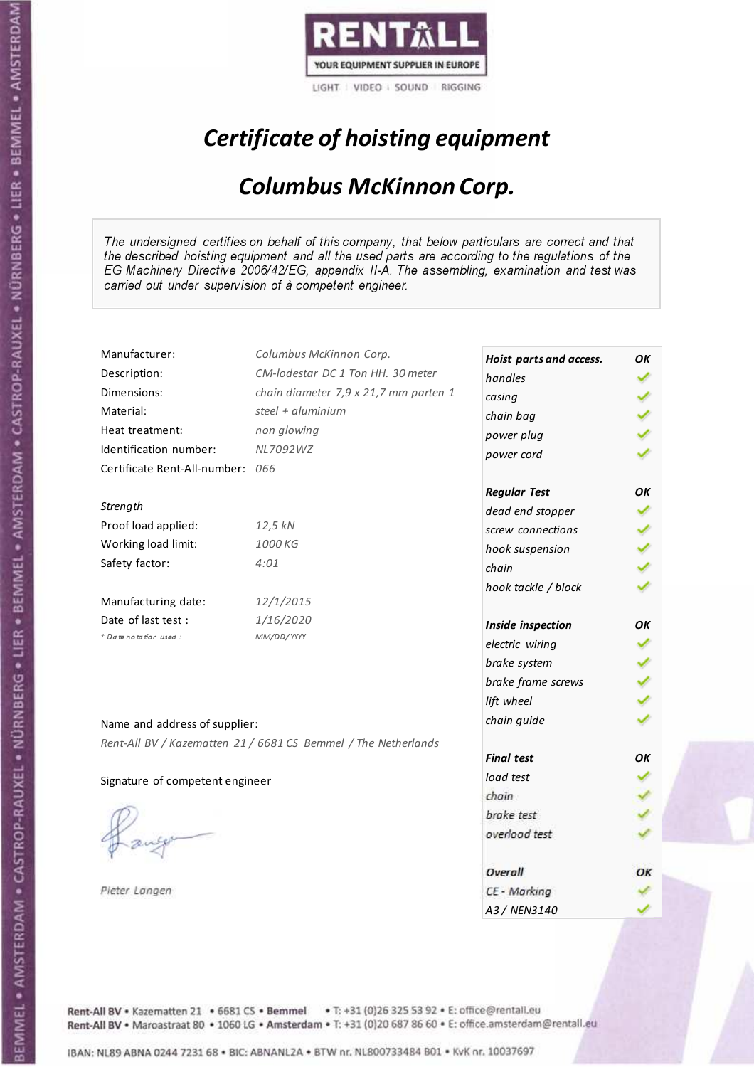

## Certificate of hoisting equipment

### Columbus McKinnon Corp.

The undersigned certifies on behalf of this company, that below particulars are correct and that the described hoisting equipment and all the used parts are according to the regulations of the EG Machinery Directive 2006/42/EG, appendix II-A. The assembling, examination and test was carried out under supervision of à competent engineer.

| Manufacturer:                    | Columbus McKinnon Corp.                                        | Hoist parts and access. | OK |
|----------------------------------|----------------------------------------------------------------|-------------------------|----|
| Description:                     | CM-lodestar DC 1 Ton HH. 30 meter                              | handles                 |    |
| Dimensions:                      | chain diameter 7,9 x 21,7 mm parten 1                          | casing                  |    |
| Material:                        | steel + aluminium                                              | chain bag               |    |
| Heat treatment:                  | non glowing                                                    | power plug              |    |
| Identification number:           | NL7092WZ                                                       | power cord              |    |
| Certificate Rent-All-number: 066 |                                                                |                         |    |
|                                  |                                                                | <b>Regular Test</b>     | OK |
| Strength                         |                                                                | dead end stopper        |    |
| Proof load applied:              | 12,5 kN                                                        | screw connections       |    |
| Working load limit:              | 1000 KG                                                        | hook suspension         |    |
| Safety factor:                   | 4:01                                                           | chain                   |    |
|                                  |                                                                | hook tackle / block     |    |
| Manufacturing date:              | 12/1/2015                                                      |                         |    |
| Date of last test :              | 1/16/2020                                                      | Inside inspection       | OK |
| + Date notation used:            | MM/DD/YYYY                                                     | electric wiring         |    |
|                                  |                                                                | brake system            |    |
|                                  |                                                                | brake frame screws      |    |
|                                  |                                                                | lift wheel              |    |
| Name and address of supplier:    |                                                                | chain guide             |    |
|                                  | Rent-All BV / Kazematten 21 / 6681 CS Bemmel / The Netherlands |                         |    |
|                                  |                                                                | <b>Final test</b>       | OK |
| Signature of competent engineer  |                                                                | load test               |    |
|                                  |                                                                | chain                   |    |
|                                  |                                                                | brake test              |    |
|                                  |                                                                | overload test           |    |
|                                  |                                                                |                         |    |
|                                  |                                                                | Overall                 | ОΚ |
| Pieter Langen                    |                                                                | CE - Marking            |    |
|                                  |                                                                | A3 / NEN3140            |    |

Rent-All BV . Kazematten 21 . 6681 CS . Bemmel . T: +31 (0)26 325 53 92 . E: office@rentall.eu Rent-All BV · Maroastraat 80 · 1060 LG · Amsterdam · T: +31 (0)20 687 86 60 · E: office.amsterdam@rentall.eu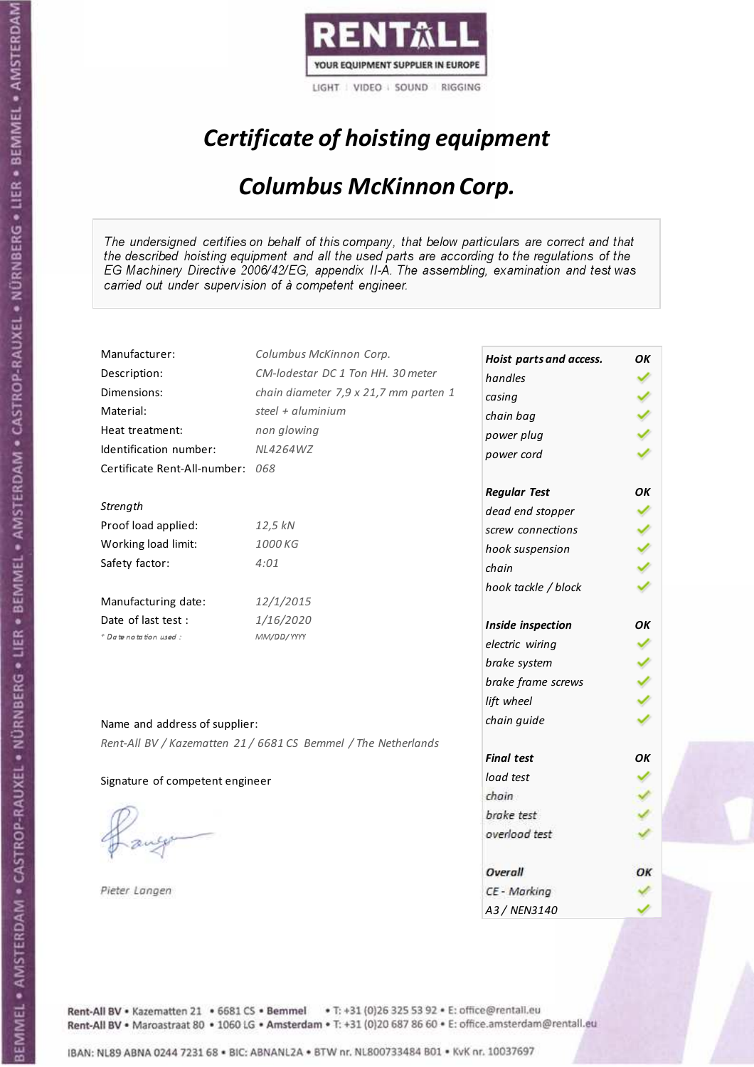

# Certificate of hoisting equipment

### Columbus McKinnon Corp.

The undersigned certifies on behalf of this company, that below particulars are correct and that the described hoisting equipment and all the used parts are according to the regulations of the EG Machinery Directive 2006/42/EG, appendix II-A. The assembling, examination and test was carried out under supervision of à competent engineer.

| Manufacturer:                    | Columbus McKinnon Corp.                                        | Hoist parts and access. | OK |
|----------------------------------|----------------------------------------------------------------|-------------------------|----|
| Description:                     | CM-lodestar DC 1 Ton HH. 30 meter                              | handles                 |    |
| Dimensions:                      | chain diameter 7,9 x 21,7 mm parten 1                          | casing                  |    |
| Material:                        | steel + aluminium                                              | chain bag               |    |
| Heat treatment:                  | non glowing                                                    | power plug              |    |
| Identification number:           | <b>NL4264WZ</b>                                                | power cord              |    |
| Certificate Rent-All-number: 068 |                                                                |                         |    |
|                                  |                                                                | <b>Regular Test</b>     | OK |
| Strength                         |                                                                | dead end stopper        |    |
| Proof load applied:              | 12,5 kN                                                        | screw connections       |    |
| Working load limit:              | 1000 KG                                                        | hook suspension         |    |
| Safety factor:                   | 4:01                                                           | chain                   |    |
|                                  |                                                                | hook tackle / block     |    |
| Manufacturing date:              | 12/1/2015                                                      |                         |    |
| Date of last test :              | 1/16/2020                                                      | Inside inspection       | OK |
| + Date notation used:            | MM/DD/YYYY                                                     | electric wiring         |    |
|                                  |                                                                | brake system            |    |
|                                  |                                                                | brake frame screws      |    |
|                                  |                                                                | lift wheel              |    |
| Name and address of supplier:    |                                                                | chain guide             |    |
|                                  | Rent-All BV / Kazematten 21 / 6681 CS Bemmel / The Netherlands |                         |    |
|                                  |                                                                | <b>Final test</b>       | OK |
| Signature of competent engineer  |                                                                | load test               |    |
|                                  |                                                                | chain                   |    |
|                                  |                                                                | brake test              |    |
|                                  |                                                                | overload test           |    |
|                                  |                                                                |                         |    |
|                                  |                                                                | Overall                 | ОΚ |
| Pieter Langen                    |                                                                | CE - Marking            |    |
|                                  |                                                                | A3 / NEN3140            |    |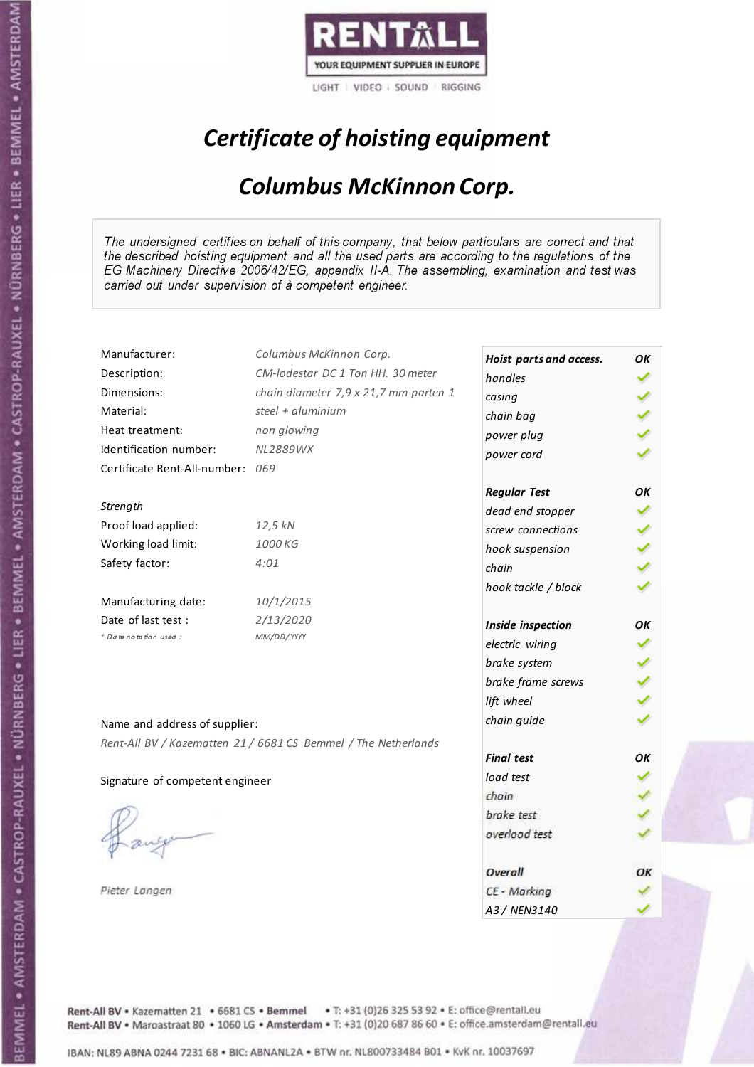

# Certificate of hoisting equipment

### Columbus McKinnon Corp.

The undersigned certifies on behalf of this company, that below particulars are correct and that the described hoisting equipment and all the used parts are according to the regulations of the EG Machinery Directive 2006/42/EG, appendix II-A. The assembling, examination and test was carried out under supervision of à competent engineer.

| Manufacturer:                    | Columbus McKinnon Corp.                                        | Hoist parts and access. | OK |
|----------------------------------|----------------------------------------------------------------|-------------------------|----|
| Description:                     | CM-lodestar DC 1 Ton HH. 30 meter                              | handles                 |    |
| Dimensions:                      | chain diameter 7,9 x 21,7 mm parten 1                          | casing                  |    |
| Material:                        | steel + aluminium                                              | chain bag               |    |
| Heat treatment:                  | non glowing                                                    | power plug              |    |
| Identification number:           | <b>NL2889WX</b>                                                | power cord              |    |
| Certificate Rent-All-number: 069 |                                                                |                         |    |
|                                  |                                                                | <b>Regular Test</b>     | OK |
| Strength                         |                                                                | dead end stopper        |    |
| Proof load applied:              | 12,5 kN                                                        | screw connections       |    |
| Working load limit:              | 1000 KG                                                        | hook suspension         |    |
| Safety factor:                   | 4:01                                                           | chain                   |    |
|                                  |                                                                | hook tackle / block     |    |
| Manufacturing date:              | 10/1/2015                                                      |                         |    |
| Date of last test:               | 2/13/2020                                                      | Inside inspection       | OK |
| + Date notation used:            | MM/DD/YYYY                                                     | electric wiring         |    |
|                                  |                                                                | brake system            |    |
|                                  |                                                                | brake frame screws      |    |
|                                  |                                                                | lift wheel              |    |
| Name and address of supplier:    |                                                                | chain guide             |    |
|                                  | Rent-All BV / Kazematten 21 / 6681 CS Bemmel / The Netherlands |                         |    |
|                                  |                                                                | <b>Final test</b>       | OΚ |
| Signature of competent engineer  |                                                                | load test               |    |
|                                  |                                                                | chain                   |    |
|                                  |                                                                | brake test              |    |
|                                  |                                                                | overload test           |    |
|                                  |                                                                |                         |    |
|                                  |                                                                | Overall                 | ОΚ |
| Pieter Langen                    |                                                                | CE - Marking            |    |
|                                  |                                                                | A3 / NEN3140            |    |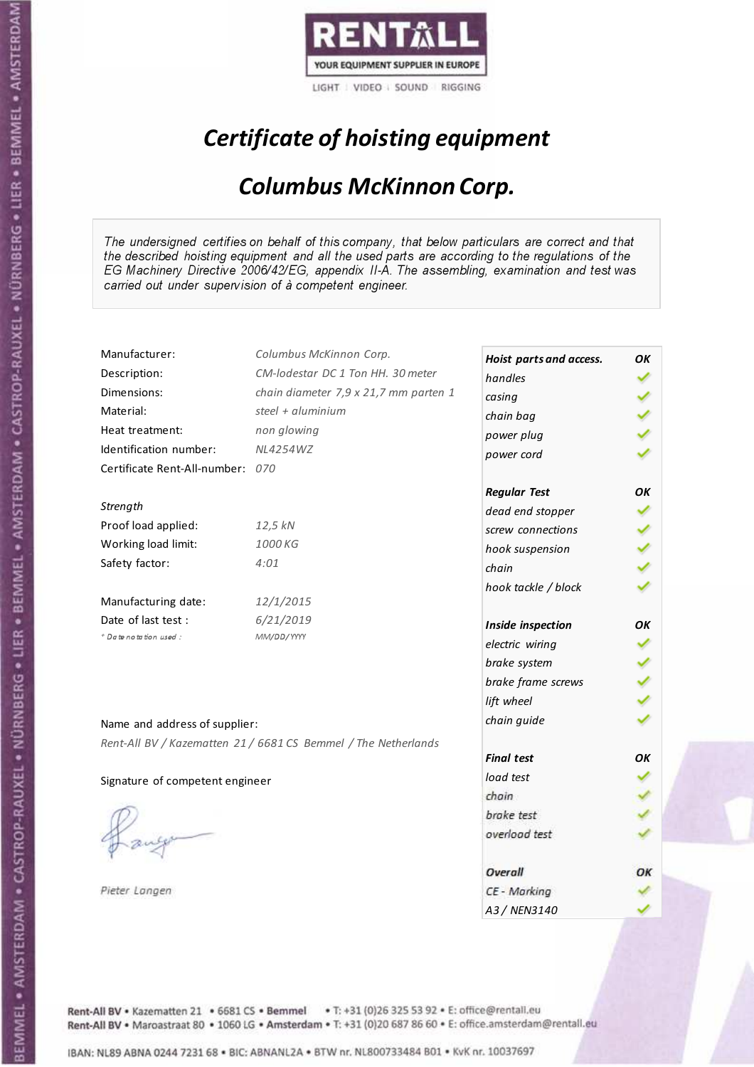

## Certificate of hoisting equipment

### Columbus McKinnon Corp.

The undersigned certifies on behalf of this company, that below particulars are correct and that the described hoisting equipment and all the used parts are according to the regulations of the EG Machinery Directive 2006/42/EG, appendix II-A. The assembling, examination and test was carried out under supervision of à competent engineer.

| Manufacturer:                    | Columbus McKinnon Corp.                                        | Hoist parts and access. | OK |
|----------------------------------|----------------------------------------------------------------|-------------------------|----|
| Description:                     | CM-lodestar DC 1 Ton HH. 30 meter                              | handles                 |    |
| Dimensions:                      | chain diameter 7,9 x 21,7 mm parten 1                          | casing                  |    |
| Material:                        | steel + aluminium                                              | chain bag               |    |
| Heat treatment:                  | non glowing                                                    | power plug              |    |
| Identification number:           | <b>NL4254WZ</b>                                                | power cord              |    |
| Certificate Rent-All-number: 070 |                                                                |                         |    |
|                                  |                                                                | <b>Regular Test</b>     | OK |
| Strength                         |                                                                | dead end stopper        |    |
| Proof load applied:              | 12,5 kN                                                        | screw connections       |    |
| Working load limit:              | 1000 KG                                                        | hook suspension         |    |
| Safety factor:                   | 4:01                                                           | chain                   |    |
|                                  |                                                                | hook tackle / block     |    |
| Manufacturing date:              | 12/1/2015                                                      |                         |    |
| Date of last test :              | 6/21/2019                                                      | Inside inspection       | OK |
| + Date notation used:            | MM/DD/YYYY                                                     | electric wiring         |    |
|                                  |                                                                | brake system            |    |
|                                  |                                                                | brake frame screws      |    |
|                                  |                                                                | lift wheel              |    |
| Name and address of supplier:    |                                                                | chain guide             |    |
|                                  | Rent-All BV / Kazematten 21 / 6681 CS Bemmel / The Netherlands |                         |    |
|                                  |                                                                | <b>Final test</b>       | OK |
| Signature of competent engineer  |                                                                | load test               |    |
|                                  |                                                                | chain                   |    |
|                                  |                                                                | brake test              |    |
|                                  |                                                                | overload test           |    |
|                                  |                                                                |                         |    |
|                                  |                                                                | Overall                 | ОΚ |
| Pieter Langen                    |                                                                | CE - Marking            |    |
|                                  |                                                                | A3 / NEN3140            |    |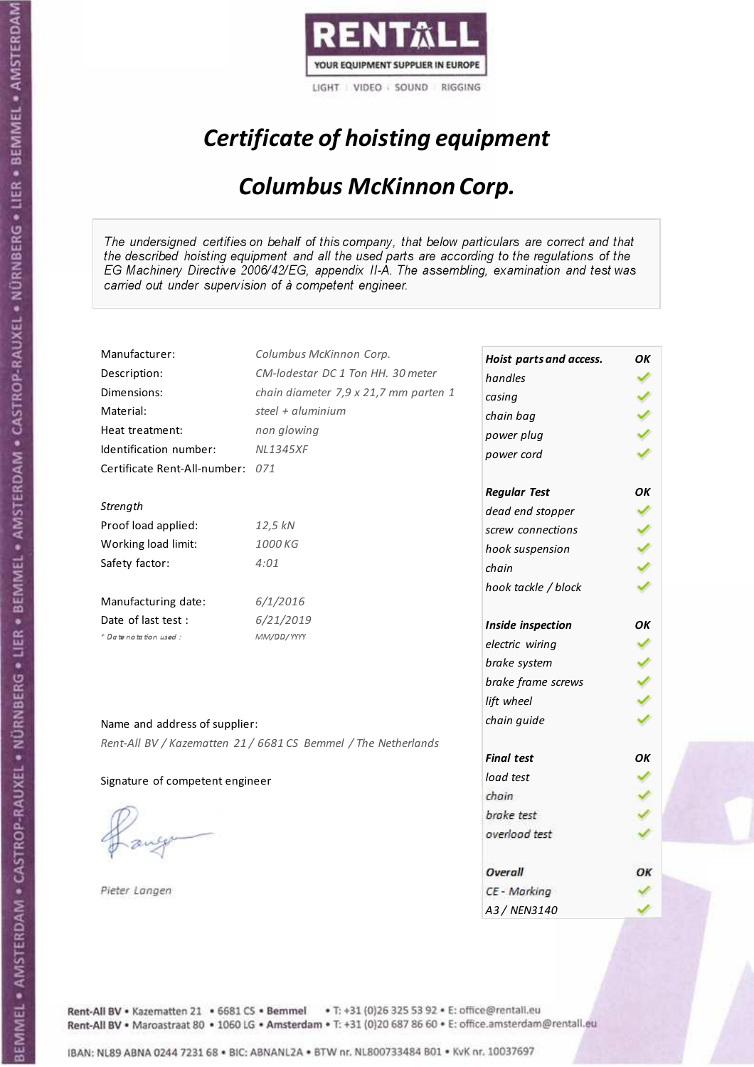

## Certificate of hoisting equipment

### Columbus McKinnon Corp.

The undersigned certifies on behalf of this company, that below particulars are correct and that the described hoisting equipment and all the used parts are according to the regulations of the EG Machinery Directive 2006/42/EG, appendix II-A. The assembling, examination and test was carried out under supervision of à competent engineer.

| Manufacturer:                    | Columbus McKinnon Corp.                                        | Hoist parts and access. | ΟK |
|----------------------------------|----------------------------------------------------------------|-------------------------|----|
| Description:                     | CM-lodestar DC 1 Ton HH. 30 meter                              | handles                 |    |
| Dimensions:                      | chain diameter 7,9 x 21,7 mm parten 1                          | casing                  |    |
| Material:                        | steel + aluminium                                              | chain bag               |    |
| Heat treatment:                  | non glowing                                                    | power plug              |    |
| Identification number:           | <b>NL1345XF</b>                                                | power cord              |    |
| Certificate Rent-All-number: 071 |                                                                |                         |    |
|                                  |                                                                | <b>Regular Test</b>     | OK |
| Strength                         |                                                                | dead end stopper        |    |
| Proof load applied:              | 12,5 kN                                                        | screw connections       |    |
| Working load limit:              | 1000 KG                                                        | hook suspension         |    |
| Safety factor:                   | 4:01                                                           | chain                   |    |
|                                  |                                                                | hook tackle / block     |    |
| Manufacturing date:              | 6/1/2016                                                       |                         |    |
| Date of last test:               | 6/21/2019                                                      | Inside inspection       | OК |
| * Date notation used :           | MM/DD/YYYY                                                     | electric wiring         |    |
|                                  |                                                                | brake system            |    |
|                                  |                                                                | brake frame screws      |    |
|                                  |                                                                | lift wheel              |    |
| Name and address of supplier:    |                                                                | chain guide             |    |
|                                  | Rent-All BV / Kazematten 21 / 6681 CS Bemmel / The Netherlands |                         |    |
|                                  |                                                                | <b>Final test</b>       | OK |
| Signature of competent engineer  |                                                                | load test               |    |
|                                  |                                                                | chain                   |    |
|                                  |                                                                | brake test              |    |
|                                  |                                                                | overload test           |    |
|                                  |                                                                |                         |    |
|                                  |                                                                | Overall                 | OК |
| Pieter Langen                    |                                                                | CE - Marking            |    |
|                                  |                                                                | A3 / NEN3140            |    |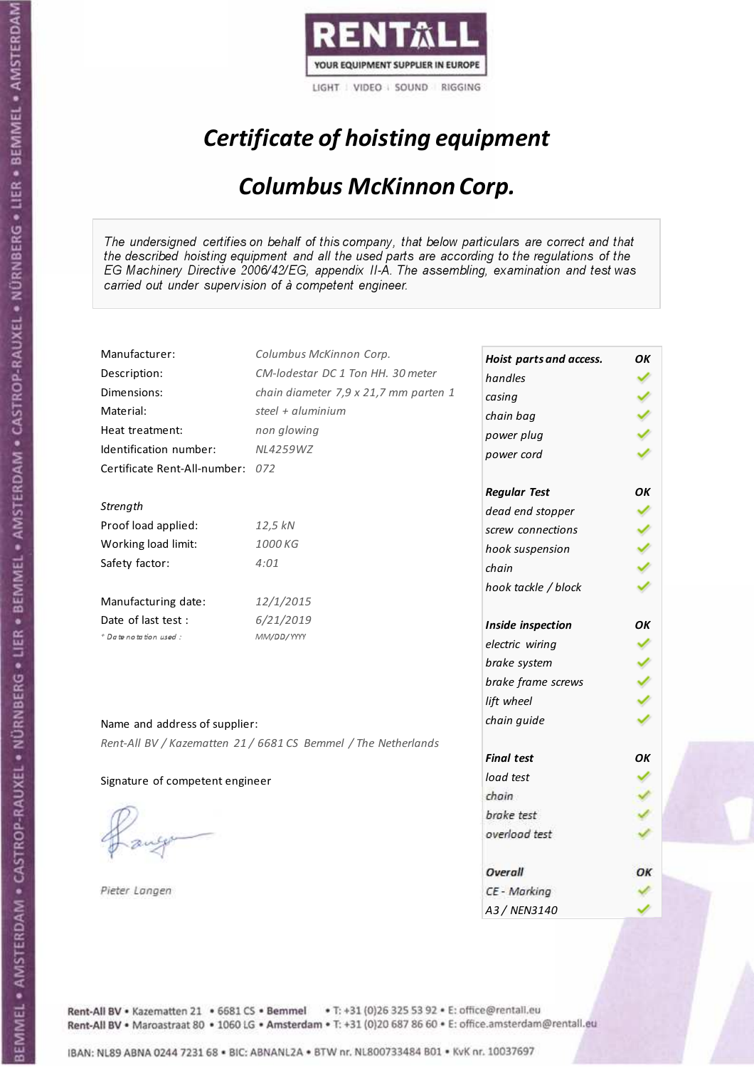

## Certificate of hoisting equipment

### Columbus McKinnon Corp.

The undersigned certifies on behalf of this company, that below particulars are correct and that the described hoisting equipment and all the used parts are according to the regulations of the EG Machinery Directive 2006/42/EG, appendix II-A. The assembling, examination and test was carried out under supervision of à competent engineer.

| Manufacturer:                    | Columbus McKinnon Corp.                                        | Hoist parts and access. | ΟK  |
|----------------------------------|----------------------------------------------------------------|-------------------------|-----|
| Description:                     | CM-lodestar DC 1 Ton HH. 30 meter                              | handles                 |     |
| Dimensions:                      | chain diameter 7,9 x 21,7 mm parten 1                          | casing                  |     |
| Material:                        | steel + aluminium                                              | chain bag               |     |
| Heat treatment:                  | non glowing                                                    | power plug              |     |
| Identification number:           | NL4259WZ                                                       | power cord              |     |
| Certificate Rent-All-number: 072 |                                                                |                         |     |
|                                  |                                                                | <b>Regular Test</b>     | OK  |
| Strength                         |                                                                | dead end stopper        |     |
| Proof load applied:              | 12,5 kN                                                        | screw connections       |     |
| Working load limit:              | 1000 KG                                                        | hook suspension         | くりょ |
| Safety factor:                   | 4:01                                                           | chain                   |     |
|                                  |                                                                | hook tackle / block     |     |
| Manufacturing date:              | 12/1/2015                                                      |                         |     |
| Date of last test:               | 6/21/2019                                                      | Inside inspection       | OК  |
| + Date notation used:            | MM/DD/YYYY                                                     | electric wiring         |     |
|                                  |                                                                | brake system            |     |
|                                  |                                                                | brake frame screws      |     |
|                                  |                                                                | lift wheel              |     |
|                                  |                                                                | chain guide             |     |
| Name and address of supplier:    |                                                                |                         |     |
|                                  | Rent-All BV / Kazematten 21 / 6681 CS Bemmel / The Netherlands | <b>Final test</b>       | OК  |
| Signature of competent engineer  |                                                                | load test               |     |
|                                  |                                                                | chain                   |     |
|                                  |                                                                | brake test              |     |
|                                  |                                                                | overload test           |     |
|                                  |                                                                |                         |     |
|                                  |                                                                | Overall                 | ОΚ  |
| Pieter Langen                    |                                                                | CE - Marking            |     |
|                                  |                                                                | A3 / NEN3140            |     |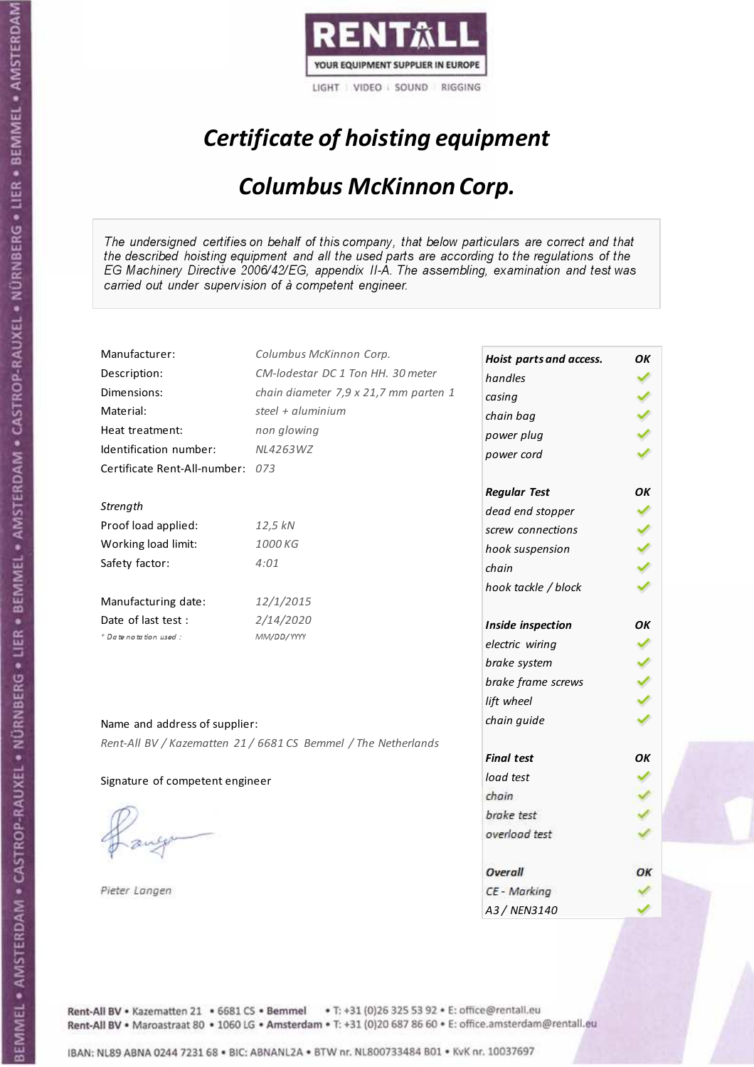

## Certificate of hoisting equipment

### Columbus McKinnon Corp.

The undersigned certifies on behalf of this company, that below particulars are correct and that the described hoisting equipment and all the used parts are according to the regulations of the EG Machinery Directive 2006/42/EG, appendix II-A. The assembling, examination and test was carried out under supervision of à competent engineer.

| Manufacturer:                    | Columbus McKinnon Corp.                                        | Hoist parts and access. | OK |
|----------------------------------|----------------------------------------------------------------|-------------------------|----|
| Description:                     | CM-lodestar DC 1 Ton HH. 30 meter                              | handles                 |    |
| Dimensions:                      | chain diameter 7,9 x 21,7 mm parten 1                          | casing                  |    |
| Material:                        | steel + aluminium                                              | chain bag               |    |
| Heat treatment:                  | non glowing                                                    | power plug              |    |
| Identification number:           | NL4263WZ                                                       | power cord              |    |
| Certificate Rent-All-number: 073 |                                                                |                         |    |
|                                  |                                                                | <b>Regular Test</b>     | OK |
| Strength                         |                                                                | dead end stopper        |    |
| Proof load applied:              | 12,5 kN                                                        | screw connections       |    |
| Working load limit:              | 1000 KG                                                        | hook suspension         |    |
| Safety factor:                   | 4:01                                                           | chain                   |    |
|                                  |                                                                | hook tackle / block     |    |
| Manufacturing date:              | 12/1/2015                                                      |                         |    |
| Date of last test:               | 2/14/2020                                                      | Inside inspection       | OK |
| + Date notation used:            | MM/DD/YYYY                                                     | electric wiring         |    |
|                                  |                                                                | brake system            |    |
|                                  |                                                                | brake frame screws      |    |
|                                  |                                                                | lift wheel              |    |
| Name and address of supplier:    |                                                                | chain guide             |    |
|                                  | Rent-All BV / Kazematten 21 / 6681 CS Bemmel / The Netherlands |                         |    |
|                                  |                                                                | <b>Final test</b>       | OΚ |
| Signature of competent engineer  |                                                                | load test               |    |
|                                  |                                                                | chain                   |    |
|                                  |                                                                | brake test              |    |
|                                  |                                                                | overload test           |    |
|                                  |                                                                |                         |    |
|                                  |                                                                | Overall                 | ОΚ |
| Pieter Langen                    |                                                                | CE - Marking            |    |
|                                  |                                                                | A3 / NEN3140            |    |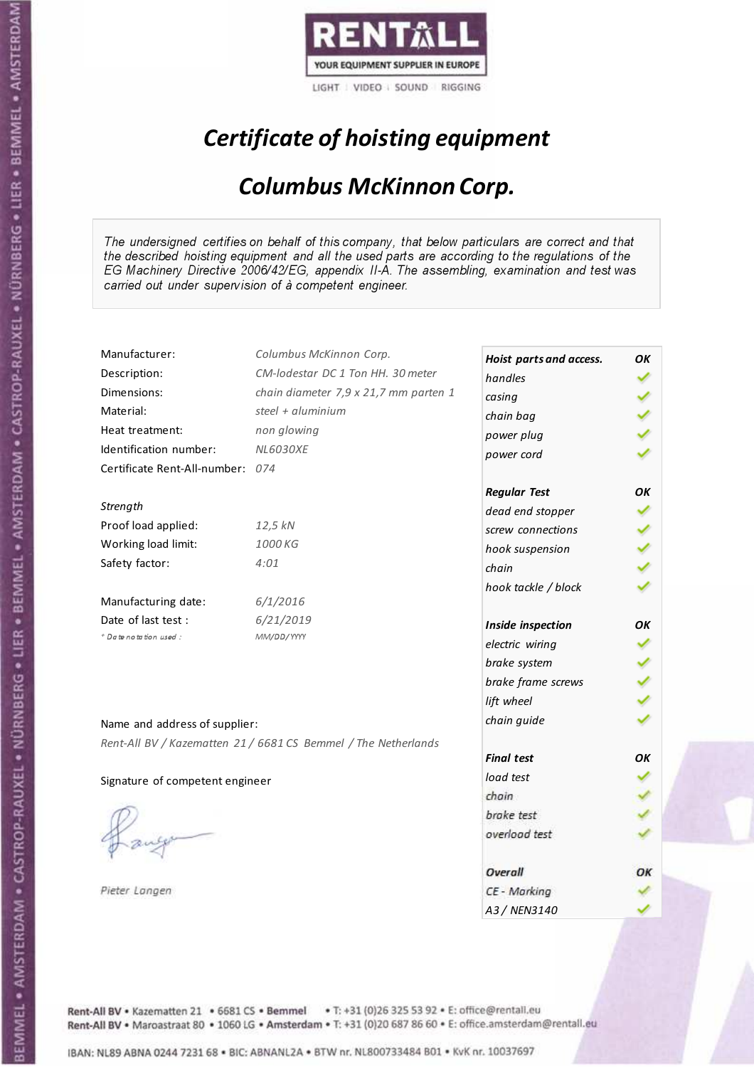

## Certificate of hoisting equipment

### Columbus McKinnon Corp.

The undersigned certifies on behalf of this company, that below particulars are correct and that the described hoisting equipment and all the used parts are according to the regulations of the EG Machinery Directive 2006/42/EG, appendix II-A. The assembling, examination and test was carried out under supervision of à competent engineer.

| Manufacturer:                    | Columbus McKinnon Corp.                                        | Hoist parts and access. | ΟK |
|----------------------------------|----------------------------------------------------------------|-------------------------|----|
| Description:                     | CM-lodestar DC 1 Ton HH. 30 meter                              | handles                 |    |
| Dimensions:                      | chain diameter 7,9 x 21,7 mm parten 1                          | casing                  |    |
| Material:                        | steel + aluminium                                              | chain bag               |    |
| Heat treatment:                  | non glowing                                                    | power plug              |    |
| Identification number:           | <b>NL6030XE</b>                                                | power cord              |    |
| Certificate Rent-All-number: 074 |                                                                |                         |    |
|                                  |                                                                | <b>Regular Test</b>     | OK |
| Strength                         |                                                                | dead end stopper        |    |
| Proof load applied:              | 12,5 kN                                                        | screw connections       |    |
| Working load limit:              | 1000 KG                                                        | hook suspension         |    |
| Safety factor:                   | 4:01                                                           | chain                   |    |
|                                  |                                                                | hook tackle / block     |    |
| Manufacturing date:              | 6/1/2016                                                       |                         |    |
| Date of last test:               | 6/21/2019                                                      | Inside inspection       | OК |
| * Date notation used :           | MM/DD/YYYY                                                     | electric wiring         |    |
|                                  |                                                                | brake system            |    |
|                                  |                                                                | brake frame screws      |    |
|                                  |                                                                | lift wheel              |    |
| Name and address of supplier:    |                                                                | chain guide             |    |
|                                  | Rent-All BV / Kazematten 21 / 6681 CS Bemmel / The Netherlands |                         |    |
|                                  |                                                                | <b>Final test</b>       | OK |
| Signature of competent engineer  |                                                                | load test               |    |
|                                  |                                                                | chain                   |    |
|                                  |                                                                | brake test              |    |
|                                  |                                                                | overload test           |    |
|                                  |                                                                |                         |    |
|                                  |                                                                | Overall                 | OК |
| Pieter Langen                    |                                                                | CE - Marking            |    |
|                                  |                                                                | A3 / NEN3140            |    |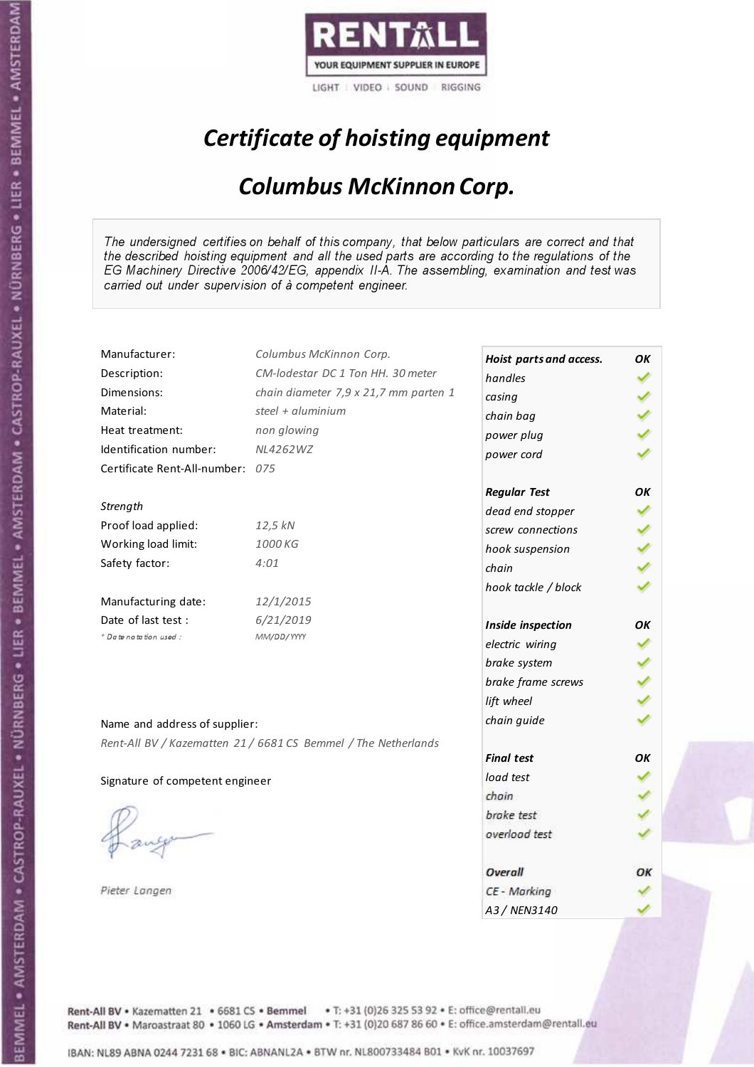

## Certificate of hoisting equipment

### Columbus McKinnon Corp.

The undersigned certifies on behalf of this company, that below particulars are correct and that the described hoisting equipment and all the used parts are according to the regulations of the EG Machinery Directive 2006/42/EG, appendix II-A. The assembling, examination and test was carried out under supervision of à competent engineer.

| Manufacturer:                    | Columbus McKinnon Corp.                                        | Hoist parts and access. | OK |
|----------------------------------|----------------------------------------------------------------|-------------------------|----|
| Description:                     | CM-lodestar DC 1 Ton HH. 30 meter                              | handles                 |    |
| Dimensions:                      | chain diameter 7,9 x 21,7 mm parten 1                          | casing                  |    |
| Material:                        | steel + aluminium                                              | chain bag               |    |
| Heat treatment:                  | non glowing                                                    | power plug              |    |
| Identification number:           | NL4262WZ                                                       | power cord              |    |
| Certificate Rent-All-number: 075 |                                                                |                         |    |
|                                  |                                                                | <b>Regular Test</b>     | OK |
| Strength                         |                                                                | dead end stopper        |    |
| Proof load applied:              | 12,5 kN                                                        | screw connections       |    |
| Working load limit:              | 1000 KG                                                        | hook suspension         |    |
| Safety factor:                   | 4:01                                                           | chain                   |    |
|                                  |                                                                | hook tackle / block     |    |
| Manufacturing date:              | 12/1/2015                                                      |                         |    |
| Date of last test :              | 6/21/2019                                                      | Inside inspection       | OK |
| + Date notation used:            | MM/DD/YYYY                                                     | electric wiring         |    |
|                                  |                                                                | brake system            |    |
|                                  |                                                                | brake frame screws      |    |
|                                  |                                                                | lift wheel              |    |
| Name and address of supplier:    |                                                                | chain guide             |    |
|                                  | Rent-All BV / Kazematten 21 / 6681 CS Bemmel / The Netherlands |                         |    |
|                                  |                                                                | <b>Final test</b>       | OK |
| Signature of competent engineer  |                                                                | load test               |    |
|                                  |                                                                | chain                   |    |
|                                  |                                                                | brake test              |    |
|                                  |                                                                | overload test           |    |
|                                  |                                                                |                         |    |
|                                  |                                                                | Overall                 | ОΚ |
| Pieter Langen                    |                                                                | CE - Marking            |    |
|                                  |                                                                | A3 / NEN3140            |    |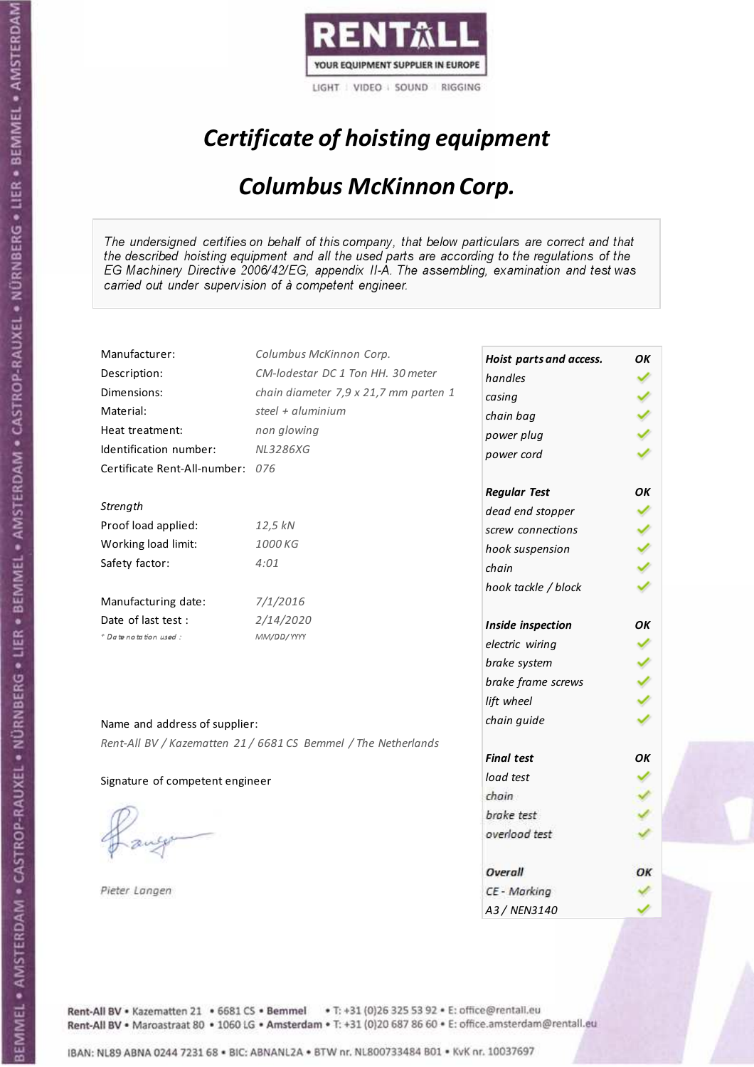

## Certificate of hoisting equipment

### Columbus McKinnon Corp.

The undersigned certifies on behalf of this company, that below particulars are correct and that the described hoisting equipment and all the used parts are according to the regulations of the EG Machinery Directive 2006/42/EG, appendix II-A. The assembling, examination and test was carried out under supervision of à competent engineer.

| Manufacturer:                    | Columbus McKinnon Corp.                                        | Hoist parts and access. | ΟK |
|----------------------------------|----------------------------------------------------------------|-------------------------|----|
| Description:                     | CM-lodestar DC 1 Ton HH. 30 meter                              | handles                 |    |
| Dimensions:                      | chain diameter 7,9 x 21,7 mm parten 1                          | casing                  |    |
| Material:                        | steel + aluminium                                              | chain bag               |    |
| Heat treatment:                  | non glowing                                                    | power plug              |    |
| Identification number:           | <b>NL3286XG</b>                                                | power cord              |    |
| Certificate Rent-All-number: 076 |                                                                |                         |    |
|                                  |                                                                | <b>Regular Test</b>     | OK |
| Strength                         |                                                                | dead end stopper        |    |
| Proof load applied:              | 12,5 kN                                                        | screw connections       |    |
| Working load limit:              | 1000 KG                                                        | hook suspension         |    |
| Safety factor:                   | 4:01                                                           | chain                   |    |
|                                  |                                                                | hook tackle / block     |    |
| Manufacturing date:              | 7/1/2016                                                       |                         |    |
| Date of last test :              | 2/14/2020                                                      | Inside inspection       | OK |
| * Date notation used :           | MM/DD/YYYY                                                     | electric wiring         |    |
|                                  |                                                                | brake system            |    |
|                                  |                                                                | brake frame screws      |    |
|                                  |                                                                | lift wheel              |    |
| Name and address of supplier:    |                                                                | chain guide             |    |
|                                  | Rent-All BV / Kazematten 21 / 6681 CS Bemmel / The Netherlands |                         |    |
|                                  |                                                                | <b>Final test</b>       | OK |
| Signature of competent engineer  |                                                                | load test               |    |
|                                  |                                                                | chain                   |    |
|                                  |                                                                | brake test              |    |
|                                  |                                                                | overload test           |    |
|                                  |                                                                |                         |    |
|                                  |                                                                | Overall                 | ОΚ |
| Pieter Langen                    |                                                                | CE - Marking            |    |
|                                  |                                                                | A3 / NEN3140            |    |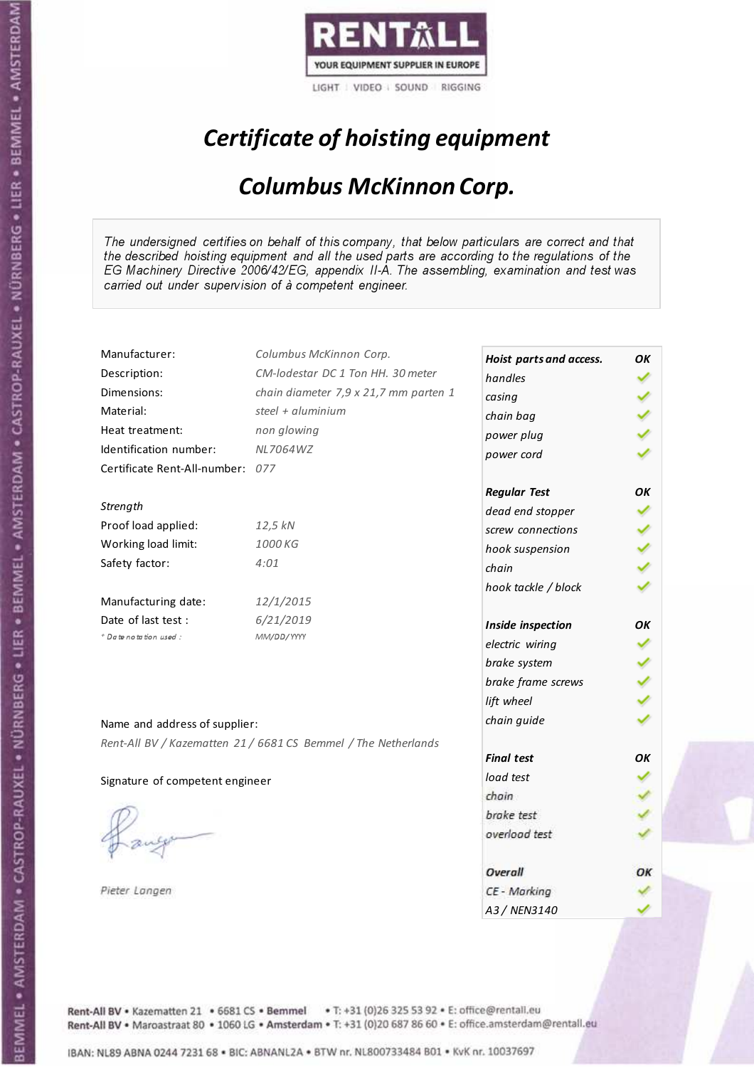

## Certificate of hoisting equipment

### Columbus McKinnon Corp.

The undersigned certifies on behalf of this company, that below particulars are correct and that the described hoisting equipment and all the used parts are according to the regulations of the EG Machinery Directive 2006/42/EG, appendix II-A. The assembling, examination and test was carried out under supervision of à competent engineer.

| Manufacturer:                    | Columbus McKinnon Corp.                                        | Hoist parts and access. | OK |
|----------------------------------|----------------------------------------------------------------|-------------------------|----|
| Description:                     | CM-lodestar DC 1 Ton HH. 30 meter                              | handles                 |    |
| Dimensions:                      | chain diameter 7,9 x 21,7 mm parten 1                          | casing                  |    |
| Material:                        | steel + aluminium                                              | chain bag               |    |
| Heat treatment:                  | non glowing                                                    | power plug              |    |
| Identification number:           | <b>NL7064WZ</b>                                                | power cord              |    |
| Certificate Rent-All-number: 077 |                                                                |                         |    |
|                                  |                                                                | <b>Regular Test</b>     | OK |
| Strength                         |                                                                | dead end stopper        |    |
| Proof load applied:              | 12,5 kN                                                        | screw connections       |    |
| Working load limit:              | 1000 KG                                                        | hook suspension         |    |
| Safety factor:                   | 4:01                                                           | chain                   |    |
|                                  |                                                                | hook tackle / block     |    |
| Manufacturing date:              | 12/1/2015                                                      |                         |    |
| Date of last test :              | 6/21/2019                                                      | Inside inspection       | OK |
| + Date notation used:            | MM/DD/YYYY                                                     | electric wiring         |    |
|                                  |                                                                | brake system            |    |
|                                  |                                                                | brake frame screws      |    |
|                                  |                                                                | lift wheel              |    |
| Name and address of supplier:    |                                                                | chain guide             |    |
|                                  | Rent-All BV / Kazematten 21 / 6681 CS Bemmel / The Netherlands |                         |    |
|                                  |                                                                | <b>Final test</b>       | OK |
| Signature of competent engineer  |                                                                | load test               |    |
|                                  |                                                                | chain                   |    |
|                                  |                                                                | brake test              |    |
|                                  |                                                                | overload test           |    |
|                                  |                                                                |                         |    |
|                                  |                                                                | Overall                 | ОΚ |
| Pieter Langen                    |                                                                | CE - Marking            |    |
|                                  |                                                                | A3 / NEN3140            |    |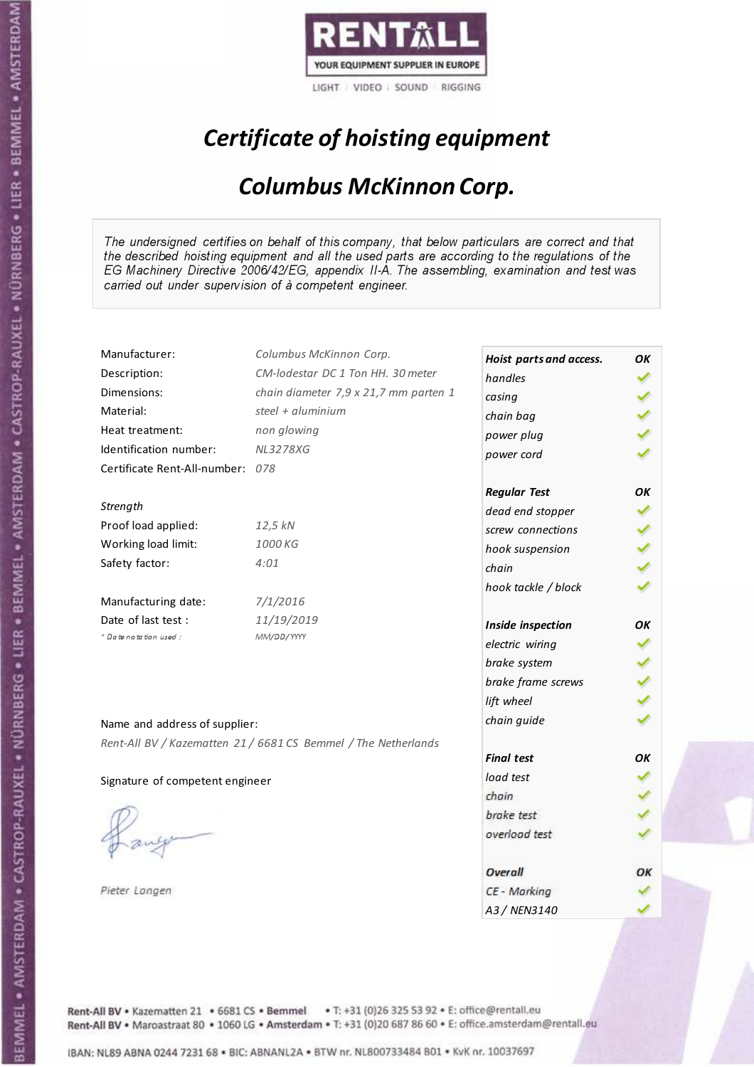

LIGHT VIDEO SOUND RIGGING

## Certificate of hoisting equipment

### Columbus McKinnon Corp.

The undersigned certifies on behalf of this company, that below particulars are correct and that the described hoisting equipment and all the used parts are according to the regulations of the EG Machinery Directive 2006/42/EG, appendix II-A. The assembling, examination and test was carried out under supervision of à competent engineer.

| Manufacturer:                    | Columbus McKinnon Corp.                                        | Hoist parts and access. | OK |
|----------------------------------|----------------------------------------------------------------|-------------------------|----|
| Description:                     | CM-lodestar DC 1 Ton HH. 30 meter                              | handles                 |    |
| Dimensions:                      | chain diameter 7,9 x 21,7 mm parten 1                          | casing                  |    |
| Material:                        | steel + aluminium                                              | chain bag               |    |
| Heat treatment:                  | non glowing                                                    | power plug              |    |
| Identification number:           | <b>NL3278XG</b>                                                | power cord              |    |
| Certificate Rent-All-number: 078 |                                                                |                         |    |
|                                  |                                                                | <b>Regular Test</b>     | OK |
| Strength                         |                                                                | dead end stopper        |    |
| Proof load applied:              | 12,5 kN                                                        | screw connections       |    |
| Working load limit:              | 1000 KG                                                        | hook suspension         |    |
| Safety factor:                   | 4:01                                                           | chain                   |    |
|                                  |                                                                | hook tackle / block     |    |
| Manufacturing date:              | 7/1/2016                                                       |                         |    |
| Date of last test :              | 11/19/2019                                                     | Inside inspection       | OΚ |
| * Date notation used :           | MM/DD/YYYY                                                     | electric wiring         |    |
|                                  |                                                                | brake system            |    |
|                                  |                                                                | brake frame screws      |    |
|                                  |                                                                | lift wheel              |    |
| Name and address of supplier:    |                                                                | chain guide             |    |
|                                  |                                                                |                         |    |
|                                  | Rent-All BV / Kazematten 21 / 6681 CS Bemmel / The Netherlands | <b>Final test</b>       | OK |
| Signature of competent engineer  |                                                                | load test               |    |
|                                  |                                                                | chain                   |    |
|                                  |                                                                | brake test              |    |
|                                  |                                                                | overload test           |    |
|                                  |                                                                |                         |    |
|                                  |                                                                | Overall                 | ОК |
| Pieter Langen                    |                                                                | CE - Marking            |    |
|                                  |                                                                | A3 / NEN3140            |    |

Rent-All BV . Kazematten 21 . 6681 CS . Bemmel . T: +31 (0)26 325 53 92 . E: office@rentall.eu Rent-All BV · Maroastraat 80 · 1060 LG · Amsterdam · T: +31 (0)20 687 86 60 · E: office.amsterdam@rentall.eu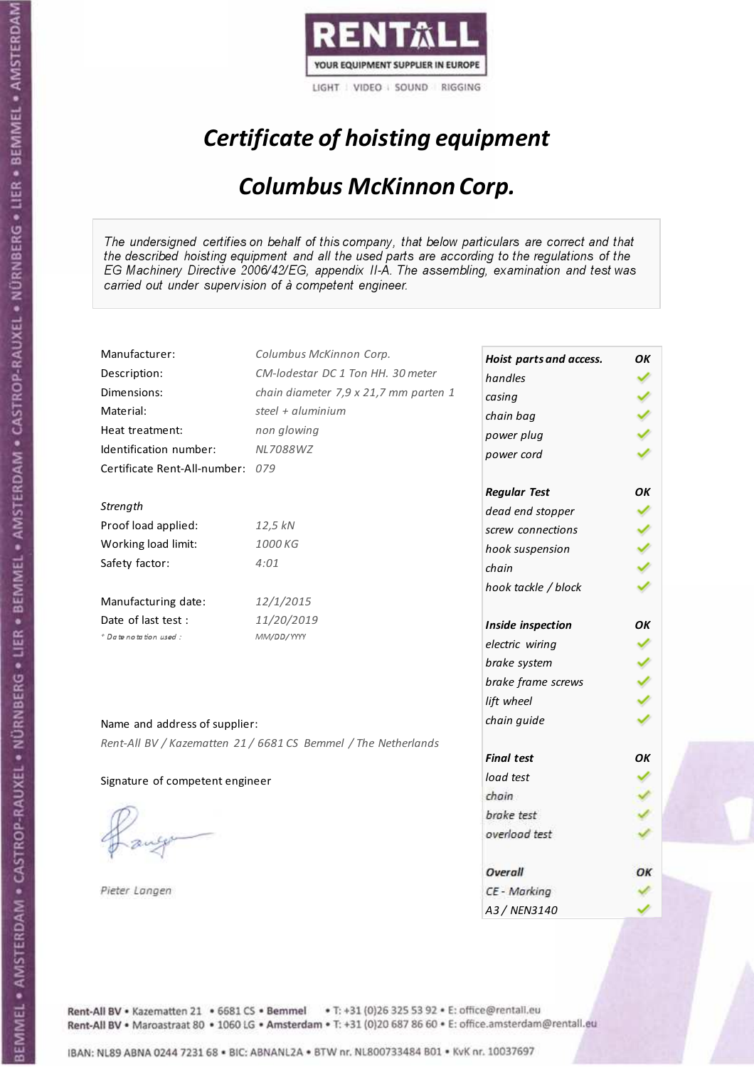

LIGHT VIDEO SOUND RIGGING

## Certificate of hoisting equipment

### Columbus McKinnon Corp.

The undersigned certifies on behalf of this company, that below particulars are correct and that the described hoisting equipment and all the used parts are according to the regulations of the EG Machinery Directive 2006/42/EG, appendix II-A. The assembling, examination and test was carried out under supervision of à competent engineer.

| Manufacturer:                    | Columbus McKinnon Corp.                                        | Hoist parts and access. | ΟK |
|----------------------------------|----------------------------------------------------------------|-------------------------|----|
| Description:                     | CM-lodestar DC 1 Ton HH. 30 meter                              | handles                 |    |
| Dimensions:                      | chain diameter 7,9 x 21,7 mm parten 1                          | casing                  |    |
| Material:                        | steel + aluminium                                              | chain bag               |    |
| Heat treatment:                  | non glowing                                                    | power plug              |    |
| Identification number:           | <b>NL7088WZ</b>                                                | power cord              |    |
| Certificate Rent-All-number: 079 |                                                                |                         |    |
|                                  |                                                                | <b>Regular Test</b>     | ΟK |
| Strength                         |                                                                | dead end stopper        |    |
| Proof load applied:              | 12,5 kN                                                        | screw connections       |    |
| Working load limit:              | 1000 KG                                                        | hook suspension         |    |
| Safety factor:                   | 4:01                                                           | chain                   |    |
|                                  |                                                                | hook tackle / block     |    |
| Manufacturing date:              | 12/1/2015                                                      |                         |    |
| Date of last test :              | 11/20/2019                                                     | Inside inspection       | ОΚ |
| + Date notation used:            | MM/DD/YYYY                                                     | electric wiring         |    |
|                                  |                                                                | brake system            |    |
|                                  |                                                                | brake frame screws      |    |
|                                  |                                                                | lift wheel              |    |
| Name and address of supplier:    |                                                                | chain guide             |    |
|                                  | Rent-All BV / Kazematten 21 / 6681 CS Bemmel / The Netherlands |                         |    |
|                                  |                                                                | <b>Final test</b>       | OK |
| Signature of competent engineer  |                                                                | load test               |    |
|                                  |                                                                | chain                   |    |
|                                  |                                                                | brake test              |    |
|                                  |                                                                | overload test           |    |
|                                  |                                                                |                         |    |
|                                  |                                                                | Overall                 | ОК |
| Pieter Langen                    |                                                                | CE - Marking            |    |
|                                  |                                                                | A3 / NEN3140            |    |

Rent-All BV . Kazematten 21 . 6681 CS . Bemmel . T: +31 (0)26 325 53 92 . E: office@rentall.eu Rent-All BV · Maroastraat 80 · 1060 LG · Amsterdam · T: +31 (0)20 687 86 60 · E: office.amsterdam@rentall.eu